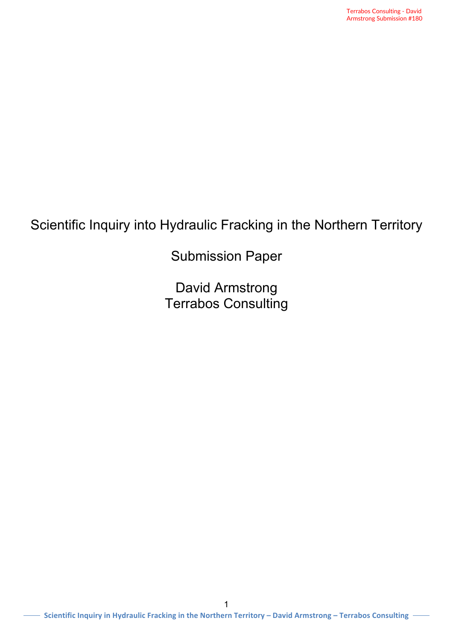# Scientific Inquiry into Hydraulic Fracking in the Northern Territory

Submission Paper

David Armstrong Terrabos Consulting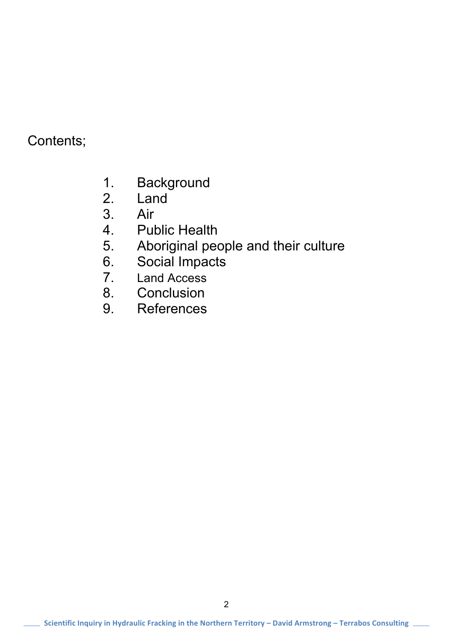# Contents;

- 1. Background<br>2. Land
- 2. Land<br>3. Air
- **Air**
- 4. Public Health<br>5. Aboriginal per
- 5. Aboriginal people and their culture
- 6. Social Impacts
- 7. Land Access
- 8. Conclusion<br>9. References
- **References**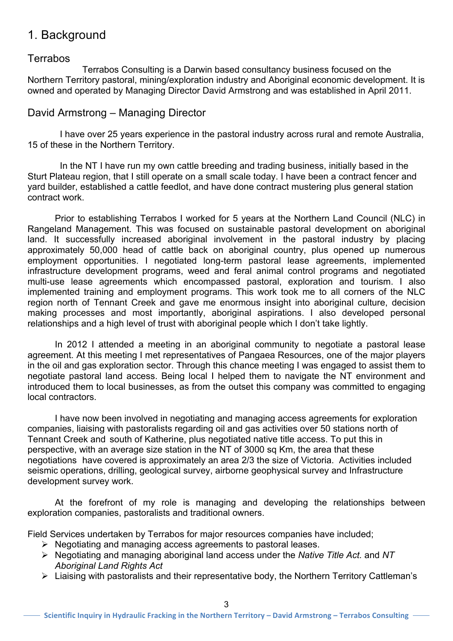# 1. Background

### **Terrabos**

Terrabos Consulting is a Darwin based consultancy business focused on the Northern Territory pastoral, mining/exploration industry and Aboriginal economic development. It is owned and operated by Managing Director David Armstrong and was established in April 2011.

### David Armstrong – Managing Director

I have over 25 years experience in the pastoral industry across rural and remote Australia, 15 of these in the Northern Territory.

In the NT I have run my own cattle breeding and trading business, initially based in the Sturt Plateau region, that I still operate on a small scale today. I have been a contract fencer and yard builder, established a cattle feedlot, and have done contract mustering plus general station contract work.

Prior to establishing Terrabos I worked for 5 years at the Northern Land Council (NLC) in Rangeland Management. This was focused on sustainable pastoral development on aboriginal land. It successfully increased aboriginal involvement in the pastoral industry by placing approximately 50,000 head of cattle back on aboriginal country, plus opened up numerous employment opportunities. I negotiated long-term pastoral lease agreements, implemented infrastructure development programs, weed and feral animal control programs and negotiated multi-use lease agreements which encompassed pastoral, exploration and tourism. I also implemented training and employment programs. This work took me to all corners of the NLC region north of Tennant Creek and gave me enormous insight into aboriginal culture, decision making processes and most importantly, aboriginal aspirations. I also developed personal relationships and a high level of trust with aboriginal people which I don't take lightly.

In 2012 I attended a meeting in an aboriginal community to negotiate a pastoral lease agreement. At this meeting I met representatives of Pangaea Resources, one of the major players in the oil and gas exploration sector. Through this chance meeting I was engaged to assist them to negotiate pastoral land access. Being local I helped them to navigate the NT environment and introduced them to local businesses, as from the outset this company was committed to engaging local contractors.

I have now been involved in negotiating and managing access agreements for exploration companies, liaising with pastoralists regarding oil and gas activities over 50 stations north of Tennant Creek and south of Katherine, plus negotiated native title access. To put this in perspective, with an average size station in the NT of 3000 sq Km, the area that these negotiations have covered is approximately an area 2/3 the size of Victoria. Activities included seismic operations, drilling, geological survey, airborne geophysical survey and Infrastructure development survey work.

At the forefront of my role is managing and developing the relationships between exploration companies, pastoralists and traditional owners.

Field Services undertaken by Terrabos for major resources companies have included;

- $\triangleright$  Negotiating and managing access agreements to pastoral leases.
- Ø Negotiating and managing aboriginal land access under the *Native Title Act.* and *NT Aboriginal Land Rights Act*
- $\triangleright$  Liaising with pastoralists and their representative body, the Northern Territory Cattleman's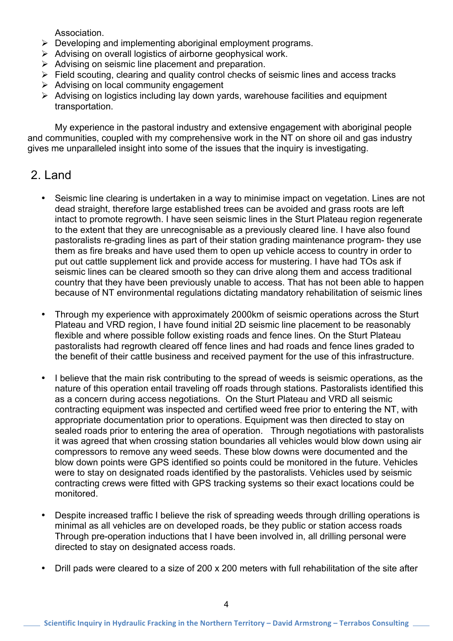Association.

- $\triangleright$  Developing and implementing aboriginal employment programs.
- $\triangleright$  Advising on overall logistics of airborne geophysical work.
- $\triangleright$  Advising on seismic line placement and preparation.
- $\triangleright$  Field scouting, clearing and quality control checks of seismic lines and access tracks
- $\triangleright$  Advising on local community engagement
- $\triangleright$  Advising on logistics including lay down yards, warehouse facilities and equipment transportation.

My experience in the pastoral industry and extensive engagement with aboriginal people and communities, coupled with my comprehensive work in the NT on shore oil and gas industry gives me unparalleled insight into some of the issues that the inquiry is investigating.

# 2. Land

- Seismic line clearing is undertaken in a way to minimise impact on vegetation. Lines are not dead straight, therefore large established trees can be avoided and grass roots are left intact to promote regrowth. I have seen seismic lines in the Sturt Plateau region regenerate to the extent that they are unrecognisable as a previously cleared line. I have also found pastoralists re-grading lines as part of their station grading maintenance program- they use them as fire breaks and have used them to open up vehicle access to country in order to put out cattle supplement lick and provide access for mustering. I have had TOs ask if seismic lines can be cleared smooth so they can drive along them and access traditional country that they have been previously unable to access. That has not been able to happen because of NT environmental regulations dictating mandatory rehabilitation of seismic lines
- Through my experience with approximately 2000km of seismic operations across the Sturt Plateau and VRD region, I have found initial 2D seismic line placement to be reasonably flexible and where possible follow existing roads and fence lines. On the Sturt Plateau pastoralists had regrowth cleared off fence lines and had roads and fence lines graded to the benefit of their cattle business and received payment for the use of this infrastructure.
- I believe that the main risk contributing to the spread of weeds is seismic operations, as the nature of this operation entail traveling off roads through stations. Pastoralists identified this as a concern during access negotiations. On the Sturt Plateau and VRD all seismic contracting equipment was inspected and certified weed free prior to entering the NT, with appropriate documentation prior to operations. Equipment was then directed to stay on sealed roads prior to entering the area of operation. Through negotiations with pastoralists it was agreed that when crossing station boundaries all vehicles would blow down using air compressors to remove any weed seeds. These blow downs were documented and the blow down points were GPS identified so points could be monitored in the future. Vehicles were to stay on designated roads identified by the pastoralists. Vehicles used by seismic contracting crews were fitted with GPS tracking systems so their exact locations could be monitored.
- Despite increased traffic I believe the risk of spreading weeds through drilling operations is minimal as all vehicles are on developed roads, be they public or station access roads Through pre-operation inductions that I have been involved in, all drilling personal were directed to stay on designated access roads.
- Drill pads were cleared to a size of 200 x 200 meters with full rehabilitation of the site after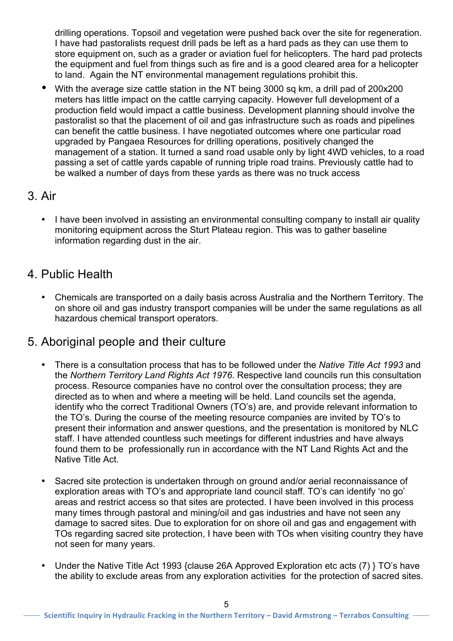drilling operations. Topsoil and vegetation were pushed back over the site for regeneration. I have had pastoralists request drill pads be left as a hard pads as they can use them to store equipment on, such as a grader or aviation fuel for helicopters. The hard pad protects the equipment and fuel from things such as fire and is a good cleared area for a helicopter to land. Again the NT environmental management regulations prohibit this.

• With the average size cattle station in the NT being 3000 sq km, a drill pad of 200x200 meters has little impact on the cattle carrying capacity. However full development of a production field would impact a cattle business. Development planning should involve the pastoralist so that the placement of oil and gas infrastructure such as roads and pipelines can benefit the cattle business. I have negotiated outcomes where one particular road upgraded by Pangaea Resources for drilling operations, positively changed the management of a station. It turned a sand road usable only by light 4WD vehicles, to a road passing a set of cattle yards capable of running triple road trains. Previously cattle had to be walked a number of days from these yards as there was no truck access

### 3. Air

• I have been involved in assisting an environmental consulting company to install air quality monitoring equipment across the Sturt Plateau region. This was to gather baseline information regarding dust in the air.

# 4. Public Health

• Chemicals are transported on a daily basis across Australia and the Northern Territory. The on shore oil and gas industry transport companies will be under the same regulations as all hazardous chemical transport operators.

# 5. Aboriginal people and their culture

- There is a consultation process that has to be followed under the *Native Title Act 1993* and the *Northern Territory Land Rights Act 1976*. Respective land councils run this consultation process. Resource companies have no control over the consultation process; they are directed as to when and where a meeting will be held. Land councils set the agenda, identify who the correct Traditional Owners (TO's) are, and provide relevant information to the TO's. During the course of the meeting resource companies are invited by TO's to present their information and answer questions, and the presentation is monitored by NLC staff. I have attended countless such meetings for different industries and have always found them to be professionally run in accordance with the NT Land Rights Act and the Native Title Act.
- Sacred site protection is undertaken through on ground and/or aerial reconnaissance of exploration areas with TO's and appropriate land council staff. TO's can identify 'no go' areas and restrict access so that sites are protected. I have been involved in this process many times through pastoral and mining/oil and gas industries and have not seen any damage to sacred sites. Due to exploration for on shore oil and gas and engagement with TOs regarding sacred site protection, I have been with TOs when visiting country they have not seen for many years.
- Under the Native Title Act 1993 {clause 26A Approved Exploration etc acts (7) } TO's have the ability to exclude areas from any exploration activities for the protection of sacred sites.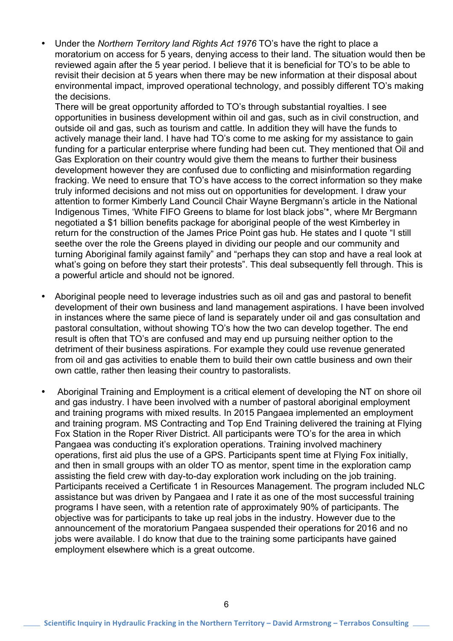• Under the *Northern Territory land Rights Act 1976* TO's have the right to place a moratorium on access for 5 years, denying access to their land. The situation would then be reviewed again after the 5 year period. I believe that it is beneficial for TO's to be able to revisit their decision at 5 years when there may be new information at their disposal about environmental impact, improved operational technology, and possibly different TO's making the decisions.

There will be great opportunity afforded to TO's through substantial royalties. I see opportunities in business development within oil and gas, such as in civil construction, and outside oil and gas, such as tourism and cattle. In addition they will have the funds to actively manage their land. I have had TO's come to me asking for my assistance to gain funding for a particular enterprise where funding had been cut. They mentioned that Oil and Gas Exploration on their country would give them the means to further their business development however they are confused due to conflicting and misinformation regarding fracking. We need to ensure that TO's have access to the correct information so they make truly informed decisions and not miss out on opportunities for development. I draw your attention to former Kimberly Land Council Chair Wayne Bergmann's article in the National Indigenous Times, 'White FIFO Greens to blame for lost black jobs'\*, where Mr Bergmann negotiated a \$1 billion benefits package for aboriginal people of the west Kimberley in return for the construction of the James Price Point gas hub. He states and I quote "I still seethe over the role the Greens played in dividing our people and our community and turning Aboriginal family against family" and "perhaps they can stop and have a real look at what's going on before they start their protests". This deal subsequently fell through. This is a powerful article and should not be ignored.

- Aboriginal people need to leverage industries such as oil and gas and pastoral to benefit development of their own business and land management aspirations. I have been involved in instances where the same piece of land is separately under oil and gas consultation and pastoral consultation, without showing TO's how the two can develop together. The end result is often that TO's are confused and may end up pursuing neither option to the detriment of their business aspirations. For example they could use revenue generated from oil and gas activities to enable them to build their own cattle business and own their own cattle, rather then leasing their country to pastoralists.
- Aboriginal Training and Employment is a critical element of developing the NT on shore oil and gas industry. I have been involved with a number of pastoral aboriginal employment and training programs with mixed results. In 2015 Pangaea implemented an employment and training program. MS Contracting and Top End Training delivered the training at Flying Fox Station in the Roper River District. All participants were TO's for the area in which Pangaea was conducting it's exploration operations. Training involved machinery operations, first aid plus the use of a GPS. Participants spent time at Flying Fox initially, and then in small groups with an older TO as mentor, spent time in the exploration camp assisting the field crew with day-to-day exploration work including on the job training. Participants received a Certificate 1 in Resources Management. The program included NLC assistance but was driven by Pangaea and I rate it as one of the most successful training programs I have seen, with a retention rate of approximately 90% of participants. The objective was for participants to take up real jobs in the industry. However due to the announcement of the moratorium Pangaea suspended their operations for 2016 and no jobs were available. I do know that due to the training some participants have gained employment elsewhere which is a great outcome.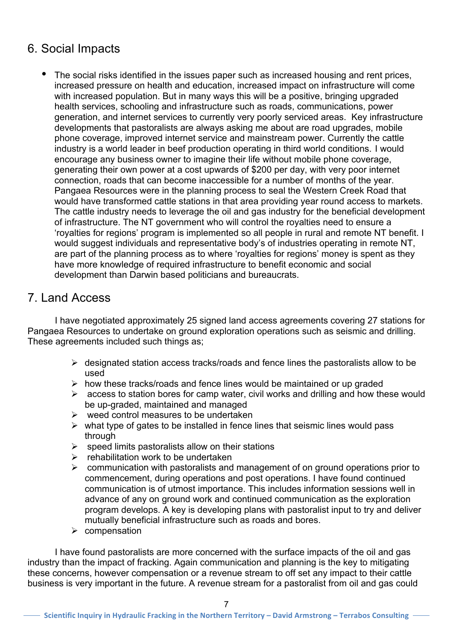# 6. Social Impacts

The social risks identified in the issues paper such as increased housing and rent prices, increased pressure on health and education, increased impact on infrastructure will come with increased population. But in many ways this will be a positive, bringing upgraded health services, schooling and infrastructure such as roads, communications, power generation, and internet services to currently very poorly serviced areas. Key infrastructure developments that pastoralists are always asking me about are road upgrades, mobile phone coverage, improved internet service and mainstream power. Currently the cattle industry is a world leader in beef production operating in third world conditions. I would encourage any business owner to imagine their life without mobile phone coverage, generating their own power at a cost upwards of \$200 per day, with very poor internet connection, roads that can become inaccessible for a number of months of the year. Pangaea Resources were in the planning process to seal the Western Creek Road that would have transformed cattle stations in that area providing year round access to markets. The cattle industry needs to leverage the oil and gas industry for the beneficial development of infrastructure. The NT government who will control the royalties need to ensure a 'royalties for regions' program is implemented so all people in rural and remote NT benefit. I would suggest individuals and representative body's of industries operating in remote NT, are part of the planning process as to where 'royalties for regions' money is spent as they have more knowledge of required infrastructure to benefit economic and social development than Darwin based politicians and bureaucrats.

# 7. Land Access

I have negotiated approximately 25 signed land access agreements covering 27 stations for Pangaea Resources to undertake on ground exploration operations such as seismic and drilling. These agreements included such things as;

- $\triangleright$  designated station access tracks/roads and fence lines the pastoralists allow to be used
- $\triangleright$  how these tracks/roads and fence lines would be maintained or up graded
- $\triangleright$  access to station bores for camp water, civil works and drilling and how these would be up-graded, maintained and managed
- $\triangleright$  weed control measures to be undertaken
- $\triangleright$  what type of gates to be installed in fence lines that seismic lines would pass through
- $\triangleright$  speed limits pastoralists allow on their stations
- $\triangleright$  rehabilitation work to be undertaken
- $\triangleright$  communication with pastoralists and management of on ground operations prior to commencement, during operations and post operations. I have found continued communication is of utmost importance. This includes information sessions well in advance of any on ground work and continued communication as the exploration program develops. A key is developing plans with pastoralist input to try and deliver mutually beneficial infrastructure such as roads and bores.
- $\triangleright$  compensation

I have found pastoralists are more concerned with the surface impacts of the oil and gas industry than the impact of fracking. Again communication and planning is the key to mitigating these concerns, however compensation or a revenue stream to off set any impact to their cattle business is very important in the future. A revenue stream for a pastoralist from oil and gas could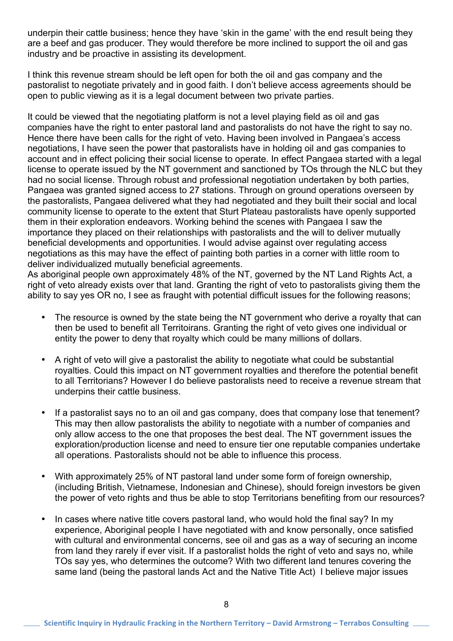underpin their cattle business; hence they have 'skin in the game' with the end result being they are a beef and gas producer. They would therefore be more inclined to support the oil and gas industry and be proactive in assisting its development.

I think this revenue stream should be left open for both the oil and gas company and the pastoralist to negotiate privately and in good faith. I don't believe access agreements should be open to public viewing as it is a legal document between two private parties.

It could be viewed that the negotiating platform is not a level playing field as oil and gas companies have the right to enter pastoral land and pastoralists do not have the right to say no. Hence there have been calls for the right of veto. Having been involved in Pangaea's access negotiations, I have seen the power that pastoralists have in holding oil and gas companies to account and in effect policing their social license to operate. In effect Pangaea started with a legal license to operate issued by the NT government and sanctioned by TOs through the NLC but they had no social license. Through robust and professional negotiation undertaken by both parties, Pangaea was granted signed access to 27 stations. Through on ground operations overseen by the pastoralists, Pangaea delivered what they had negotiated and they built their social and local community license to operate to the extent that Sturt Plateau pastoralists have openly supported them in their exploration endeavors. Working behind the scenes with Pangaea I saw the importance they placed on their relationships with pastoralists and the will to deliver mutually beneficial developments and opportunities. I would advise against over regulating access negotiations as this may have the effect of painting both parties in a corner with little room to deliver individualized mutually beneficial agreements.

As aboriginal people own approximately 48% of the NT, governed by the NT Land Rights Act, a right of veto already exists over that land. Granting the right of veto to pastoralists giving them the ability to say yes OR no, I see as fraught with potential difficult issues for the following reasons;

- The resource is owned by the state being the NT government who derive a royalty that can then be used to benefit all Territoirans. Granting the right of veto gives one individual or entity the power to deny that royalty which could be many millions of dollars.
- A right of veto will give a pastoralist the ability to negotiate what could be substantial royalties. Could this impact on NT government royalties and therefore the potential benefit to all Territorians? However I do believe pastoralists need to receive a revenue stream that underpins their cattle business.
- If a pastoralist says no to an oil and gas company, does that company lose that tenement? This may then allow pastoralists the ability to negotiate with a number of companies and only allow access to the one that proposes the best deal. The NT government issues the exploration/production license and need to ensure tier one reputable companies undertake all operations. Pastoralists should not be able to influence this process.
- With approximately 25% of NT pastoral land under some form of foreign ownership, (including British, Vietnamese, Indonesian and Chinese), should foreign investors be given the power of veto rights and thus be able to stop Territorians benefiting from our resources?
- In cases where native title covers pastoral land, who would hold the final say? In my experience, Aboriginal people I have negotiated with and know personally, once satisfied with cultural and environmental concerns, see oil and gas as a way of securing an income from land they rarely if ever visit. If a pastoralist holds the right of veto and says no, while TOs say yes, who determines the outcome? With two different land tenures covering the same land (being the pastoral lands Act and the Native Title Act) I believe major issues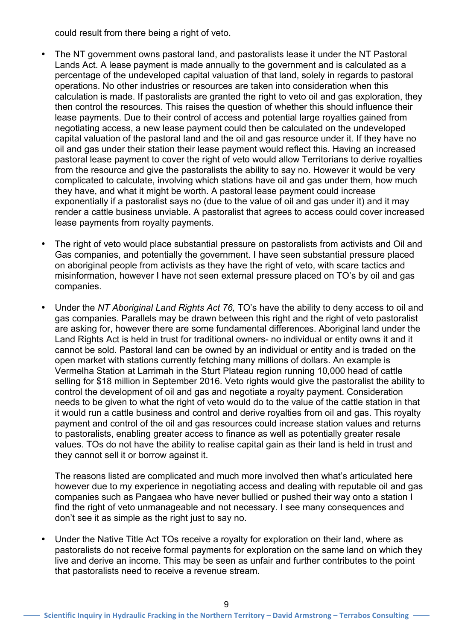could result from there being a right of veto.

- The NT government owns pastoral land, and pastoralists lease it under the NT Pastoral Lands Act. A lease payment is made annually to the government and is calculated as a percentage of the undeveloped capital valuation of that land, solely in regards to pastoral operations. No other industries or resources are taken into consideration when this calculation is made. If pastoralists are granted the right to veto oil and gas exploration, they then control the resources. This raises the question of whether this should influence their lease payments. Due to their control of access and potential large royalties gained from negotiating access, a new lease payment could then be calculated on the undeveloped capital valuation of the pastoral land and the oil and gas resource under it. If they have no oil and gas under their station their lease payment would reflect this. Having an increased pastoral lease payment to cover the right of veto would allow Territorians to derive royalties from the resource and give the pastoralists the ability to say no. However it would be very complicated to calculate, involving which stations have oil and gas under them, how much they have, and what it might be worth. A pastoral lease payment could increase exponentially if a pastoralist says no (due to the value of oil and gas under it) and it may render a cattle business unviable. A pastoralist that agrees to access could cover increased lease payments from royalty payments.
- The right of veto would place substantial pressure on pastoralists from activists and Oil and Gas companies, and potentially the government. I have seen substantial pressure placed on aboriginal people from activists as they have the right of veto, with scare tactics and misinformation, however I have not seen external pressure placed on TO's by oil and gas companies.
- Under the *NT Aboriginal Land Rights Act 76,* TO's have the ability to deny access to oil and gas companies. Parallels may be drawn between this right and the right of veto pastoralist are asking for, however there are some fundamental differences. Aboriginal land under the Land Rights Act is held in trust for traditional owners- no individual or entity owns it and it cannot be sold. Pastoral land can be owned by an individual or entity and is traded on the open market with stations currently fetching many millions of dollars. An example is Vermelha Station at Larrimah in the Sturt Plateau region running 10,000 head of cattle selling for \$18 million in September 2016. Veto rights would give the pastoralist the ability to control the development of oil and gas and negotiate a royalty payment. Consideration needs to be given to what the right of veto would do to the value of the cattle station in that it would run a cattle business and control and derive royalties from oil and gas. This royalty payment and control of the oil and gas resources could increase station values and returns to pastoralists, enabling greater access to finance as well as potentially greater resale values. TOs do not have the ability to realise capital gain as their land is held in trust and they cannot sell it or borrow against it.

The reasons listed are complicated and much more involved then what's articulated here however due to my experience in negotiating access and dealing with reputable oil and gas companies such as Pangaea who have never bullied or pushed their way onto a station I find the right of veto unmanageable and not necessary. I see many consequences and don't see it as simple as the right just to say no.

• Under the Native Title Act TOs receive a royalty for exploration on their land, where as pastoralists do not receive formal payments for exploration on the same land on which they live and derive an income. This may be seen as unfair and further contributes to the point that pastoralists need to receive a revenue stream.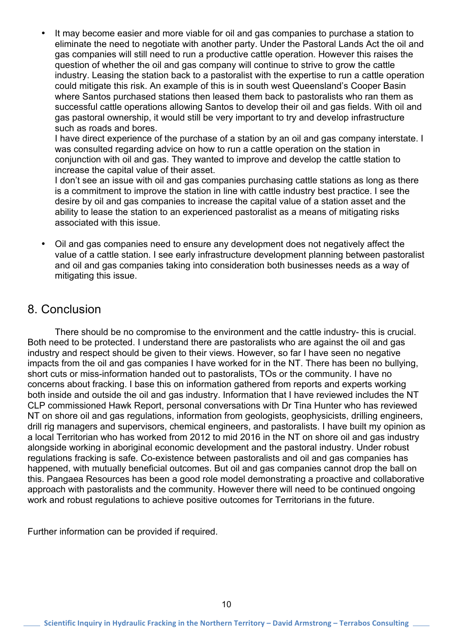It may become easier and more viable for oil and gas companies to purchase a station to eliminate the need to negotiate with another party. Under the Pastoral Lands Act the oil and gas companies will still need to run a productive cattle operation. However this raises the question of whether the oil and gas company will continue to strive to grow the cattle industry. Leasing the station back to a pastoralist with the expertise to run a cattle operation could mitigate this risk. An example of this is in south west Queensland's Cooper Basin where Santos purchased stations then leased them back to pastoralists who ran them as successful cattle operations allowing Santos to develop their oil and gas fields. With oil and gas pastoral ownership, it would still be very important to try and develop infrastructure such as roads and bores.

I have direct experience of the purchase of a station by an oil and gas company interstate. I was consulted regarding advice on how to run a cattle operation on the station in conjunction with oil and gas. They wanted to improve and develop the cattle station to increase the capital value of their asset.

I don't see an issue with oil and gas companies purchasing cattle stations as long as there is a commitment to improve the station in line with cattle industry best practice. I see the desire by oil and gas companies to increase the capital value of a station asset and the ability to lease the station to an experienced pastoralist as a means of mitigating risks associated with this issue.

• Oil and gas companies need to ensure any development does not negatively affect the value of a cattle station. I see early infrastructure development planning between pastoralist and oil and gas companies taking into consideration both businesses needs as a way of mitigating this issue.

### 8. Conclusion

There should be no compromise to the environment and the cattle industry- this is crucial. Both need to be protected. I understand there are pastoralists who are against the oil and gas industry and respect should be given to their views. However, so far I have seen no negative impacts from the oil and gas companies I have worked for in the NT. There has been no bullying, short cuts or miss-information handed out to pastoralists, TOs or the community. I have no concerns about fracking. I base this on information gathered from reports and experts working both inside and outside the oil and gas industry. Information that I have reviewed includes the NT CLP commissioned Hawk Report, personal conversations with Dr Tina Hunter who has reviewed NT on shore oil and gas regulations, information from geologists, geophysicists, drilling engineers, drill rig managers and supervisors, chemical engineers, and pastoralists. I have built my opinion as a local Territorian who has worked from 2012 to mid 2016 in the NT on shore oil and gas industry alongside working in aboriginal economic development and the pastoral industry. Under robust regulations fracking is safe. Co-existence between pastoralists and oil and gas companies has happened, with mutually beneficial outcomes. But oil and gas companies cannot drop the ball on this. Pangaea Resources has been a good role model demonstrating a proactive and collaborative approach with pastoralists and the community. However there will need to be continued ongoing work and robust regulations to achieve positive outcomes for Territorians in the future.

Further information can be provided if required.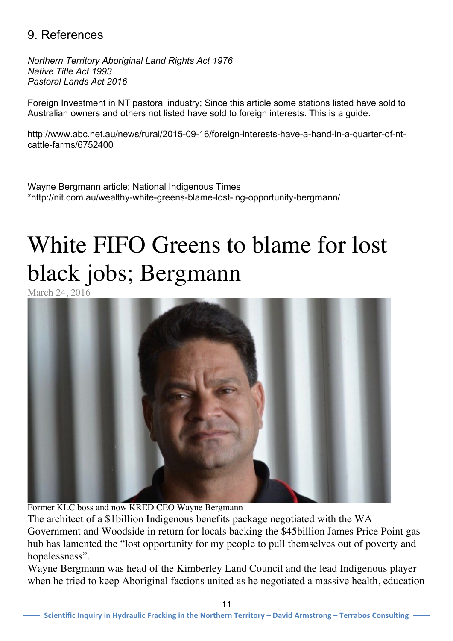# 9. References

*Northern Territory Aboriginal Land Rights Act 1976 Native Title Act 1993 Pastoral Lands Act 2016*

Foreign Investment in NT pastoral industry; Since this article some stations listed have sold to Australian owners and others not listed have sold to foreign interests. This is a guide.

http://www.abc.net.au/news/rural/2015-09-16/foreign-interests-have-a-hand-in-a-quarter-of-ntcattle-farms/6752400

Wayne Bergmann article; National Indigenous Times \*http://nit.com.au/wealthy-white-greens-blame-lost-lng-opportunity-bergmann/

# White FIFO Greens to blame for lost black jobs; Bergmann

March 24, 2016



Former KLC boss and now KRED CEO Wayne Bergmann

The architect of a \$1billion Indigenous benefits package negotiated with the WA Government and Woodside in return for locals backing the \$45billion James Price Point gas hub has lamented the "lost opportunity for my people to pull themselves out of poverty and hopelessness".

Wayne Bergmann was head of the Kimberley Land Council and the lead Indigenous player when he tried to keep Aboriginal factions united as he negotiated a massive health, education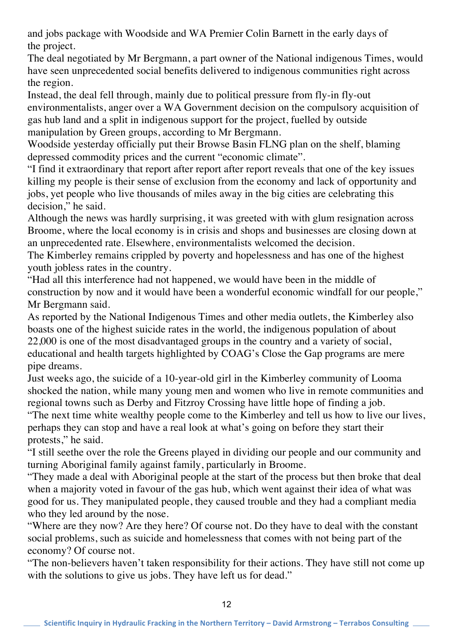and jobs package with Woodside and WA Premier Colin Barnett in the early days of the project.

The deal negotiated by Mr Bergmann, a part owner of the National indigenous Times, would have seen unprecedented social benefits delivered to indigenous communities right across the region.

Instead, the deal fell through, mainly due to political pressure from fly-in fly-out environmentalists, anger over a WA Government decision on the compulsory acquisition of gas hub land and a split in indigenous support for the project, fuelled by outside manipulation by Green groups, according to Mr Bergmann.

Woodside yesterday officially put their Browse Basin FLNG plan on the shelf, blaming depressed commodity prices and the current "economic climate".

"I find it extraordinary that report after report after report reveals that one of the key issues killing my people is their sense of exclusion from the economy and lack of opportunity and jobs, yet people who live thousands of miles away in the big cities are celebrating this decision," he said.

Although the news was hardly surprising, it was greeted with with glum resignation across Broome, where the local economy is in crisis and shops and businesses are closing down at an unprecedented rate. Elsewhere, environmentalists welcomed the decision.

The Kimberley remains crippled by poverty and hopelessness and has one of the highest youth jobless rates in the country.

"Had all this interference had not happened, we would have been in the middle of construction by now and it would have been a wonderful economic windfall for our people," Mr Bergmann said.

As reported by the National Indigenous Times and other media outlets, the Kimberley also boasts one of the highest suicide rates in the world, the indigenous population of about 22,000 is one of the most disadvantaged groups in the country and a variety of social, educational and health targets highlighted by COAG's Close the Gap programs are mere pipe dreams.

Just weeks ago, the suicide of a 10-year-old girl in the Kimberley community of Looma shocked the nation, while many young men and women who live in remote communities and regional towns such as Derby and Fitzroy Crossing have little hope of finding a job.

"The next time white wealthy people come to the Kimberley and tell us how to live our lives, perhaps they can stop and have a real look at what's going on before they start their protests," he said.

"I still seethe over the role the Greens played in dividing our people and our community and turning Aboriginal family against family, particularly in Broome.

"They made a deal with Aboriginal people at the start of the process but then broke that deal when a majority voted in favour of the gas hub, which went against their idea of what was good for us. They manipulated people, they caused trouble and they had a compliant media who they led around by the nose.

"Where are they now? Are they here? Of course not. Do they have to deal with the constant social problems, such as suicide and homelessness that comes with not being part of the economy? Of course not.

"The non-believers haven't taken responsibility for their actions. They have still not come up with the solutions to give us jobs. They have left us for dead."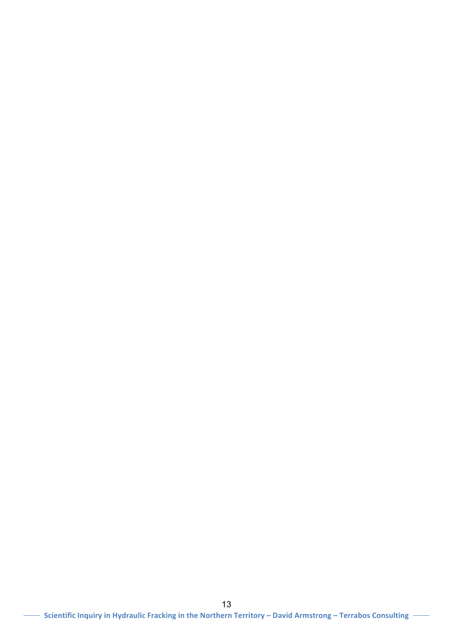**Scientific Inquiry in Hydraulic Fracking in the Northern Territory – David Armstrong – Terrabos Consulting –** 

 $\overline{\phantom{a}}$ 

 $\overline{\phantom{0}}$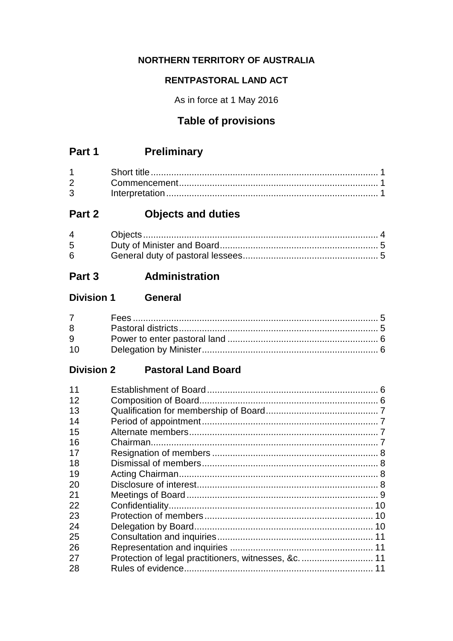### NORTHERN TERRITORY OF AUSTRALIA

### RENTPASTORAL LAND ACT

As in force at 1 May 2016

### **Table of provisions**

#### Preliminary Part 1

| $2 \left( \frac{1}{2} \right)$ |  |
|--------------------------------|--|
|                                |  |

#### Part 2 **Objects and duties**

| $\overline{4}$ and $\overline{4}$ |  |
|-----------------------------------|--|
| $5^{\circ}$                       |  |
| 6                                 |  |

#### Part 3 **Administration**

### Division 1 General

| $7 \quad \overline{\phantom{1}}$ |  |
|----------------------------------|--|
| 8                                |  |
| $9^{\circ}$                      |  |
| 10 <sup>1</sup>                  |  |

#### **Division 2 Pastoral Land Board**

| 11 |                                                       |  |
|----|-------------------------------------------------------|--|
| 12 |                                                       |  |
| 13 |                                                       |  |
| 14 |                                                       |  |
| 15 |                                                       |  |
| 16 |                                                       |  |
| 17 |                                                       |  |
| 18 |                                                       |  |
| 19 |                                                       |  |
| 20 |                                                       |  |
| 21 |                                                       |  |
| 22 |                                                       |  |
| 23 |                                                       |  |
| 24 |                                                       |  |
| 25 |                                                       |  |
| 26 |                                                       |  |
| 27 | Protection of legal practitioners, witnesses, &c.  11 |  |
| 28 |                                                       |  |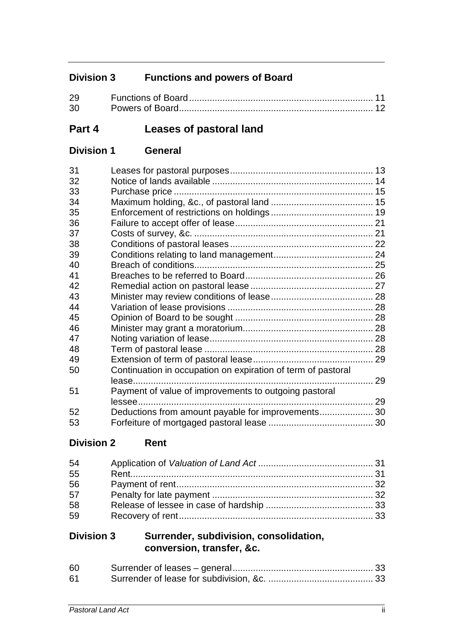### **Division 3 Functions and powers of Board**

| 29 |  |  |
|----|--|--|
| 30 |  |  |

# **Part 4 Leases of pastoral land**

### **Division 1 General**

| 31 |                                                              |  |
|----|--------------------------------------------------------------|--|
| 32 |                                                              |  |
| 33 |                                                              |  |
| 34 |                                                              |  |
| 35 |                                                              |  |
| 36 |                                                              |  |
| 37 |                                                              |  |
| 38 |                                                              |  |
| 39 |                                                              |  |
| 40 |                                                              |  |
| 41 |                                                              |  |
| 42 |                                                              |  |
| 43 |                                                              |  |
| 44 |                                                              |  |
| 45 |                                                              |  |
| 46 |                                                              |  |
| 47 |                                                              |  |
| 48 |                                                              |  |
| 49 |                                                              |  |
| 50 | Continuation in occupation on expiration of term of pastoral |  |
|    |                                                              |  |
| 51 | Payment of value of improvements to outgoing pastoral        |  |
|    |                                                              |  |
| 52 | Deductions from amount payable for improvements 30           |  |
| 53 |                                                              |  |
|    |                                                              |  |

### **Division 2 Rent**

| 54 |  |
|----|--|
| 55 |  |
| 56 |  |
| 57 |  |
| 58 |  |
| 59 |  |

### **Division 3 Surrender, subdivision, consolidation, conversion, transfer, &c.**

| 60 |  |
|----|--|
| 61 |  |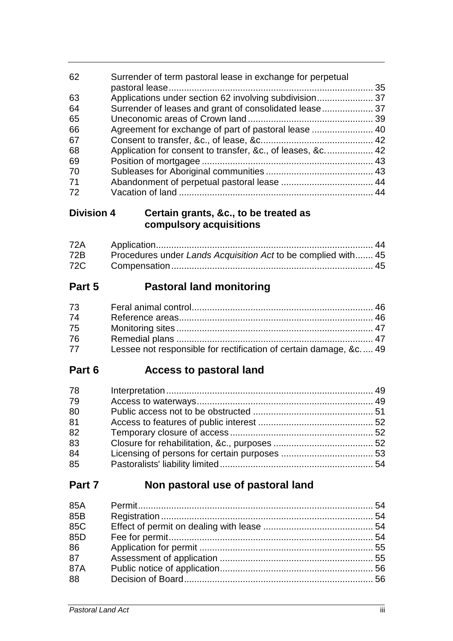| 62  | Surrender of term pastoral lease in exchange for perpetual |  |
|-----|------------------------------------------------------------|--|
| 63  |                                                            |  |
| 64  |                                                            |  |
| 65  |                                                            |  |
| 66  |                                                            |  |
| 67  |                                                            |  |
| 68  |                                                            |  |
| 69  |                                                            |  |
| 70  |                                                            |  |
| 71  |                                                            |  |
| -72 |                                                            |  |

### **Division 4 Certain grants, &c., to be treated as compulsory acquisitions**

| 72A |                                                               |  |
|-----|---------------------------------------------------------------|--|
| 72B | Procedures under Lands Acquisition Act to be complied with 45 |  |
| 72C |                                                               |  |

# **Part 5 Pastoral land monitoring**

| 73 |                                                                   |  |
|----|-------------------------------------------------------------------|--|
| 74 |                                                                   |  |
| 75 |                                                                   |  |
| 76 |                                                                   |  |
| 77 | Lessee not responsible for rectification of certain damage, &c 49 |  |

# **Part 6 Access to pastoral land**

| 78 |  |
|----|--|
| 79 |  |
| 80 |  |
| 81 |  |
| 82 |  |
| 83 |  |
| 84 |  |
| 85 |  |

# **Part 7 Non pastoral use of pastoral land**

| 85A <b>125</b> |  |
|----------------|--|
| 85B            |  |
| 85C            |  |
| 85D            |  |
| 86             |  |
| 87             |  |
| 87A            |  |
| 88             |  |
|                |  |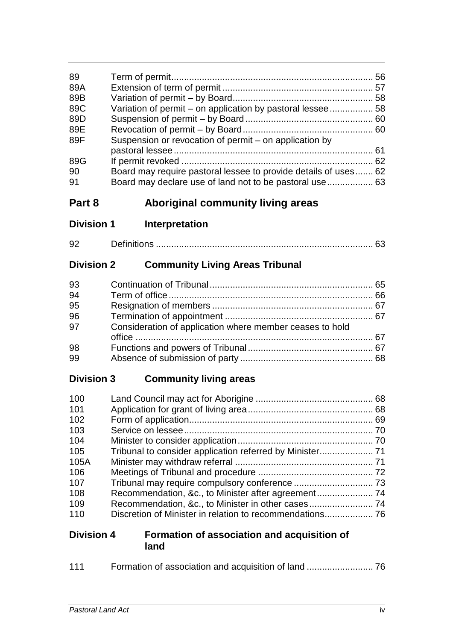| 89  |                                                                 |  |
|-----|-----------------------------------------------------------------|--|
| 89A |                                                                 |  |
| 89B |                                                                 |  |
| 89C | Variation of permit – on application by pastoral lessee  58     |  |
| 89D |                                                                 |  |
| 89E |                                                                 |  |
| 89F | Suspension or revocation of permit – on application by          |  |
|     |                                                                 |  |
| 89G |                                                                 |  |
| 90  | Board may require pastoral lessee to provide details of uses 62 |  |
| 91  |                                                                 |  |

# **Part 8 Aboriginal community living areas**

**Division 1 Interpretation**

| ാ |  |
|---|--|
|---|--|

### **Division 2 Community Living Areas Tribunal**

| 93 |                                                          |  |
|----|----------------------------------------------------------|--|
| 94 |                                                          |  |
| 95 |                                                          |  |
| 96 |                                                          |  |
| 97 | Consideration of application where member ceases to hold |  |
|    |                                                          |  |
| 98 |                                                          |  |
| 99 |                                                          |  |

### **Division 3 Community living areas**

| 100  |  |
|------|--|
| 101  |  |
| 102  |  |
| 103  |  |
| 104  |  |
| 105  |  |
| 105A |  |
| 106  |  |
| 107  |  |
| 108  |  |
| 109  |  |
| 110  |  |
|      |  |

### **Division 4 Formation of association and acquisition of land**

| 111 |  |  |
|-----|--|--|
|-----|--|--|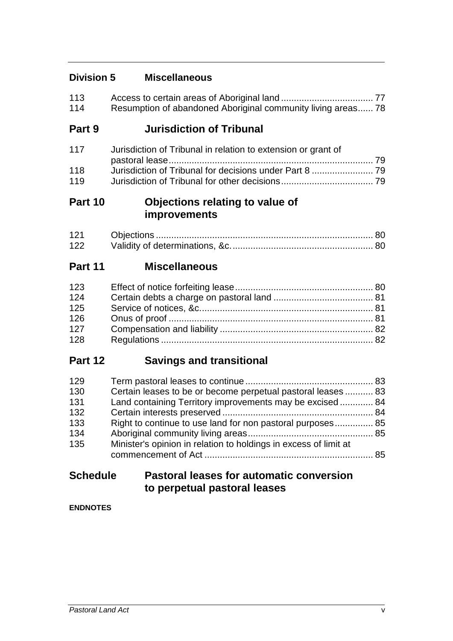### **Division 5 Miscellaneous**

| 113 |                                                              |  |
|-----|--------------------------------------------------------------|--|
| 114 | Resumption of abandoned Aboriginal community living areas 78 |  |

### **Part 9 Jurisdiction of Tribunal**

| 117 | Jurisdiction of Tribunal in relation to extension or grant of |  |
|-----|---------------------------------------------------------------|--|
|     |                                                               |  |
| 118 |                                                               |  |
| 119 |                                                               |  |

# **Part 10 Objections relating to value of improvements**

| 121 |  |
|-----|--|
| 122 |  |

# **Part 11 Miscellaneous**

| 123 |  |
|-----|--|
| 124 |  |
| 125 |  |
| 126 |  |
| 127 |  |
| 128 |  |

### **Part 12 Savings and transitional**

| 129 |                                                                  |  |
|-----|------------------------------------------------------------------|--|
| 130 | Certain leases to be or become perpetual pastoral leases  83     |  |
| 131 | Land containing Territory improvements may be excised 84         |  |
| 132 |                                                                  |  |
| 133 | Right to continue to use land for non pastoral purposes 85       |  |
| 134 |                                                                  |  |
| 135 | Minister's opinion in relation to holdings in excess of limit at |  |
|     |                                                                  |  |
|     |                                                                  |  |

### **Schedule Pastoral leases for automatic conversion to perpetual pastoral leases**

#### **ENDNOTES**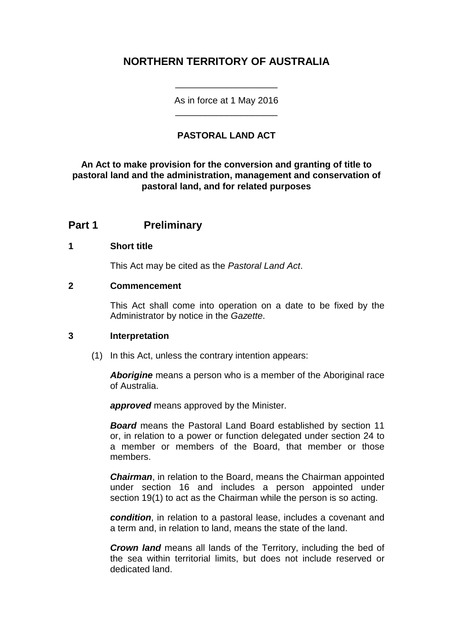### **NORTHERN TERRITORY OF AUSTRALIA**

As in force at 1 May 2016 \_\_\_\_\_\_\_\_\_\_\_\_\_\_\_\_\_\_\_\_

\_\_\_\_\_\_\_\_\_\_\_\_\_\_\_\_\_\_\_\_

### **PASTORAL LAND ACT**

#### **An Act to make provision for the conversion and granting of title to pastoral land and the administration, management and conservation of pastoral land, and for related purposes**

#### **Part 1 Preliminary**

#### **1 Short title**

This Act may be cited as the *Pastoral Land Act*.

#### **2 Commencement**

This Act shall come into operation on a date to be fixed by the Administrator by notice in the *Gazette*.

#### **3 Interpretation**

(1) In this Act, unless the contrary intention appears:

*Aborigine* means a person who is a member of the Aboriginal race of Australia.

*approved* means approved by the Minister.

*Board* means the Pastoral Land Board established by section 11 or, in relation to a power or function delegated under section 24 to a member or members of the Board, that member or those members.

*Chairman*, in relation to the Board, means the Chairman appointed under section 16 and includes a person appointed under section 19(1) to act as the Chairman while the person is so acting.

*condition*, in relation to a pastoral lease, includes a covenant and a term and, in relation to land, means the state of the land.

*Crown land* means all lands of the Territory, including the bed of the sea within territorial limits, but does not include reserved or dedicated land.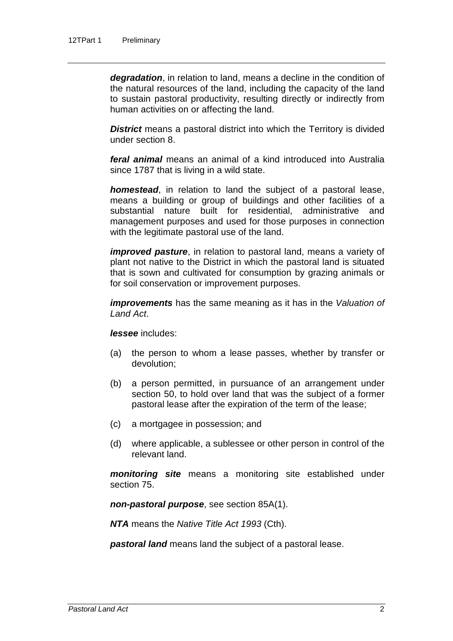*degradation*, in relation to land, means a decline in the condition of the natural resources of the land, including the capacity of the land to sustain pastoral productivity, resulting directly or indirectly from human activities on or affecting the land.

*District* means a pastoral district into which the Territory is divided under section 8.

*feral animal* means an animal of a kind introduced into Australia since 1787 that is living in a wild state.

*homestead*, in relation to land the subject of a pastoral lease, means a building or group of buildings and other facilities of a substantial nature built for residential, administrative and management purposes and used for those purposes in connection with the legitimate pastoral use of the land.

*improved pasture*, in relation to pastoral land, means a variety of plant not native to the District in which the pastoral land is situated that is sown and cultivated for consumption by grazing animals or for soil conservation or improvement purposes.

*improvements* has the same meaning as it has in the *Valuation of Land Act*.

#### *lessee* includes:

- (a) the person to whom a lease passes, whether by transfer or devolution;
- (b) a person permitted, in pursuance of an arrangement under section 50, to hold over land that was the subject of a former pastoral lease after the expiration of the term of the lease;
- (c) a mortgagee in possession; and
- (d) where applicable, a sublessee or other person in control of the relevant land.

*monitoring site* means a monitoring site established under section 75.

*non-pastoral purpose*, see section 85A(1).

*NTA* means the *Native Title Act 1993* (Cth).

*pastoral land* means land the subject of a pastoral lease.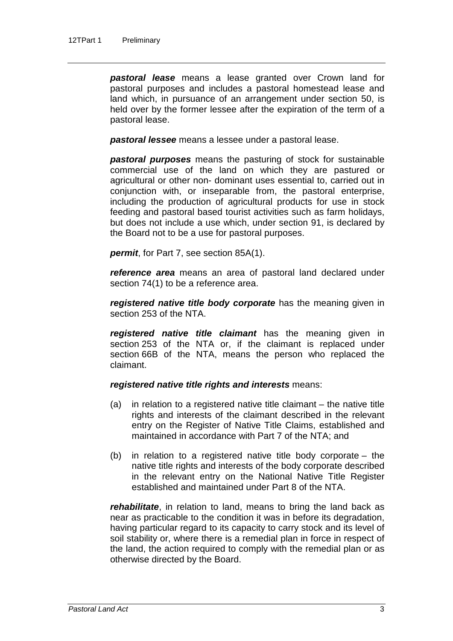*pastoral lease* means a lease granted over Crown land for pastoral purposes and includes a pastoral homestead lease and land which, in pursuance of an arrangement under section 50, is held over by the former lessee after the expiration of the term of a pastoral lease.

*pastoral lessee* means a lessee under a pastoral lease.

*pastoral purposes* means the pasturing of stock for sustainable commercial use of the land on which they are pastured or agricultural or other non- dominant uses essential to, carried out in conjunction with, or inseparable from, the pastoral enterprise, including the production of agricultural products for use in stock feeding and pastoral based tourist activities such as farm holidays, but does not include a use which, under section 91, is declared by the Board not to be a use for pastoral purposes.

*permit*, for Part 7, see section 85A(1).

*reference area* means an area of pastoral land declared under section 74(1) to be a reference area.

*registered native title body corporate* has the meaning given in section 253 of the NTA.

*registered native title claimant* has the meaning given in section 253 of the NTA or, if the claimant is replaced under section 66B of the NTA, means the person who replaced the claimant.

#### *registered native title rights and interests* means:

- (a) in relation to a registered native title claimant the native title rights and interests of the claimant described in the relevant entry on the Register of Native Title Claims, established and maintained in accordance with Part 7 of the NTA; and
- (b) in relation to a registered native title body corporate the native title rights and interests of the body corporate described in the relevant entry on the National Native Title Register established and maintained under Part 8 of the NTA.

*rehabilitate*, in relation to land, means to bring the land back as near as practicable to the condition it was in before its degradation, having particular regard to its capacity to carry stock and its level of soil stability or, where there is a remedial plan in force in respect of the land, the action required to comply with the remedial plan or as otherwise directed by the Board.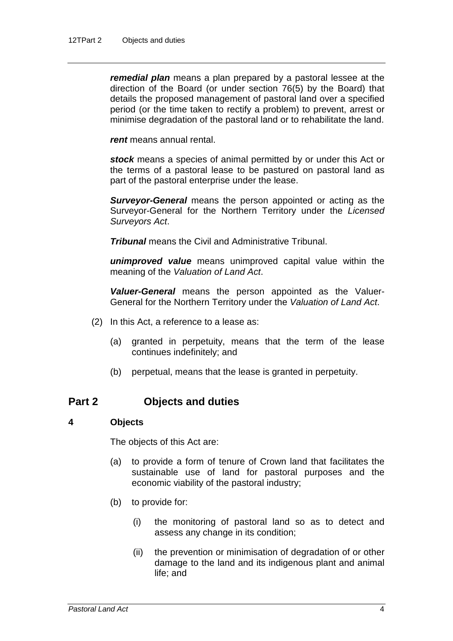*remedial plan* means a plan prepared by a pastoral lessee at the direction of the Board (or under section 76(5) by the Board) that details the proposed management of pastoral land over a specified period (or the time taken to rectify a problem) to prevent, arrest or minimise degradation of the pastoral land or to rehabilitate the land.

*rent* means annual rental.

*stock* means a species of animal permitted by or under this Act or the terms of a pastoral lease to be pastured on pastoral land as part of the pastoral enterprise under the lease.

*Surveyor-General* means the person appointed or acting as the Surveyor-General for the Northern Territory under the *Licensed Surveyors Act*.

*Tribunal* means the Civil and Administrative Tribunal.

*unimproved value* means unimproved capital value within the meaning of the *Valuation of Land Act*.

*Valuer-General* means the person appointed as the Valuer-General for the Northern Territory under the *Valuation of Land Act*.

- (2) In this Act, a reference to a lease as:
	- (a) granted in perpetuity, means that the term of the lease continues indefinitely; and
	- (b) perpetual, means that the lease is granted in perpetuity.

### **Part 2 Objects and duties**

#### **4 Objects**

The objects of this Act are:

- (a) to provide a form of tenure of Crown land that facilitates the sustainable use of land for pastoral purposes and the economic viability of the pastoral industry;
- (b) to provide for:
	- (i) the monitoring of pastoral land so as to detect and assess any change in its condition;
	- (ii) the prevention or minimisation of degradation of or other damage to the land and its indigenous plant and animal life; and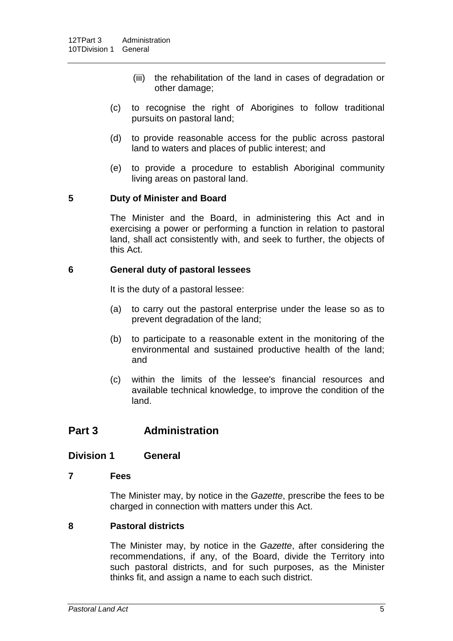- (iii) the rehabilitation of the land in cases of degradation or other damage;
- (c) to recognise the right of Aborigines to follow traditional pursuits on pastoral land;
- (d) to provide reasonable access for the public across pastoral land to waters and places of public interest; and
- (e) to provide a procedure to establish Aboriginal community living areas on pastoral land.

#### **5 Duty of Minister and Board**

The Minister and the Board, in administering this Act and in exercising a power or performing a function in relation to pastoral land, shall act consistently with, and seek to further, the objects of this Act.

#### **6 General duty of pastoral lessees**

It is the duty of a pastoral lessee:

- (a) to carry out the pastoral enterprise under the lease so as to prevent degradation of the land;
- (b) to participate to a reasonable extent in the monitoring of the environmental and sustained productive health of the land; and
- (c) within the limits of the lessee's financial resources and available technical knowledge, to improve the condition of the land.

### **Part 3 Administration**

#### **Division 1 General**

#### **7 Fees**

The Minister may, by notice in the *Gazette*, prescribe the fees to be charged in connection with matters under this Act.

#### **8 Pastoral districts**

The Minister may, by notice in the *Gazette*, after considering the recommendations, if any, of the Board, divide the Territory into such pastoral districts, and for such purposes, as the Minister thinks fit, and assign a name to each such district.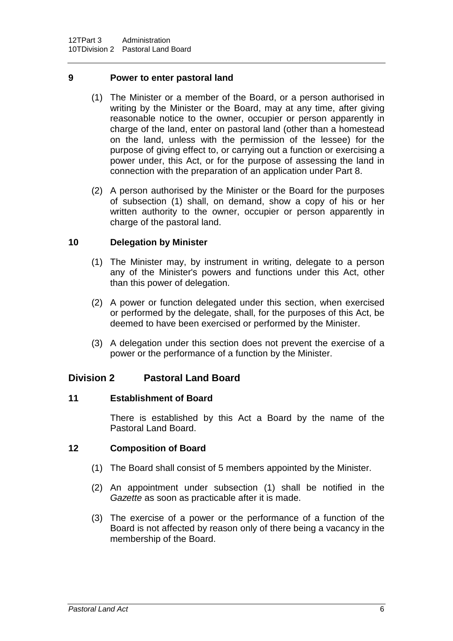#### **9 Power to enter pastoral land**

- (1) The Minister or a member of the Board, or a person authorised in writing by the Minister or the Board, may at any time, after giving reasonable notice to the owner, occupier or person apparently in charge of the land, enter on pastoral land (other than a homestead on the land, unless with the permission of the lessee) for the purpose of giving effect to, or carrying out a function or exercising a power under, this Act, or for the purpose of assessing the land in connection with the preparation of an application under Part 8.
- (2) A person authorised by the Minister or the Board for the purposes of subsection (1) shall, on demand, show a copy of his or her written authority to the owner, occupier or person apparently in charge of the pastoral land.

#### **10 Delegation by Minister**

- (1) The Minister may, by instrument in writing, delegate to a person any of the Minister's powers and functions under this Act, other than this power of delegation.
- (2) A power or function delegated under this section, when exercised or performed by the delegate, shall, for the purposes of this Act, be deemed to have been exercised or performed by the Minister.
- (3) A delegation under this section does not prevent the exercise of a power or the performance of a function by the Minister.

### **Division 2 Pastoral Land Board**

#### **11 Establishment of Board**

There is established by this Act a Board by the name of the Pastoral Land Board.

#### **12 Composition of Board**

- (1) The Board shall consist of 5 members appointed by the Minister.
- (2) An appointment under subsection (1) shall be notified in the *Gazette* as soon as practicable after it is made.
- (3) The exercise of a power or the performance of a function of the Board is not affected by reason only of there being a vacancy in the membership of the Board.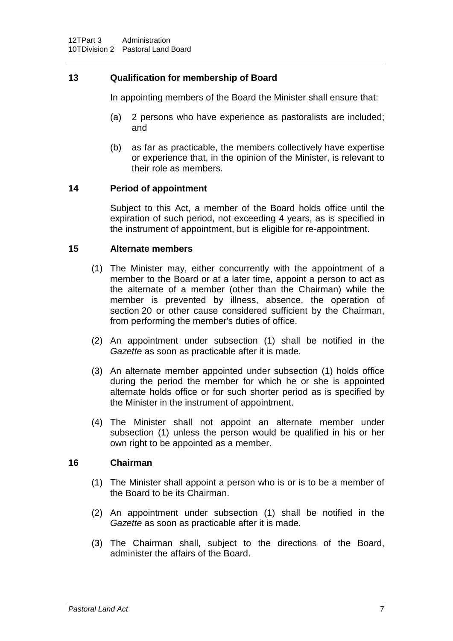#### **13 Qualification for membership of Board**

In appointing members of the Board the Minister shall ensure that:

- (a) 2 persons who have experience as pastoralists are included; and
- (b) as far as practicable, the members collectively have expertise or experience that, in the opinion of the Minister, is relevant to their role as members.

#### **14 Period of appointment**

Subject to this Act, a member of the Board holds office until the expiration of such period, not exceeding 4 years, as is specified in the instrument of appointment, but is eligible for re-appointment.

#### **15 Alternate members**

- (1) The Minister may, either concurrently with the appointment of a member to the Board or at a later time, appoint a person to act as the alternate of a member (other than the Chairman) while the member is prevented by illness, absence, the operation of section 20 or other cause considered sufficient by the Chairman, from performing the member's duties of office.
- (2) An appointment under subsection (1) shall be notified in the *Gazette* as soon as practicable after it is made.
- (3) An alternate member appointed under subsection (1) holds office during the period the member for which he or she is appointed alternate holds office or for such shorter period as is specified by the Minister in the instrument of appointment.
- (4) The Minister shall not appoint an alternate member under subsection (1) unless the person would be qualified in his or her own right to be appointed as a member.

#### **16 Chairman**

- (1) The Minister shall appoint a person who is or is to be a member of the Board to be its Chairman.
- (2) An appointment under subsection (1) shall be notified in the *Gazette* as soon as practicable after it is made.
- (3) The Chairman shall, subject to the directions of the Board, administer the affairs of the Board.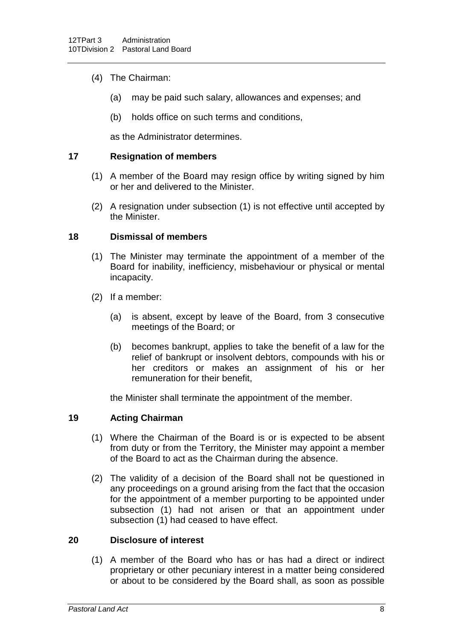- (4) The Chairman:
	- (a) may be paid such salary, allowances and expenses; and
	- (b) holds office on such terms and conditions,

as the Administrator determines.

#### **17 Resignation of members**

- (1) A member of the Board may resign office by writing signed by him or her and delivered to the Minister.
- (2) A resignation under subsection (1) is not effective until accepted by the Minister.

#### **18 Dismissal of members**

- (1) The Minister may terminate the appointment of a member of the Board for inability, inefficiency, misbehaviour or physical or mental incapacity.
- (2) If a member:
	- (a) is absent, except by leave of the Board, from 3 consecutive meetings of the Board; or
	- (b) becomes bankrupt, applies to take the benefit of a law for the relief of bankrupt or insolvent debtors, compounds with his or her creditors or makes an assignment of his or her remuneration for their benefit,

the Minister shall terminate the appointment of the member.

#### **19 Acting Chairman**

- (1) Where the Chairman of the Board is or is expected to be absent from duty or from the Territory, the Minister may appoint a member of the Board to act as the Chairman during the absence.
- (2) The validity of a decision of the Board shall not be questioned in any proceedings on a ground arising from the fact that the occasion for the appointment of a member purporting to be appointed under subsection (1) had not arisen or that an appointment under subsection (1) had ceased to have effect.

#### **20 Disclosure of interest**

(1) A member of the Board who has or has had a direct or indirect proprietary or other pecuniary interest in a matter being considered or about to be considered by the Board shall, as soon as possible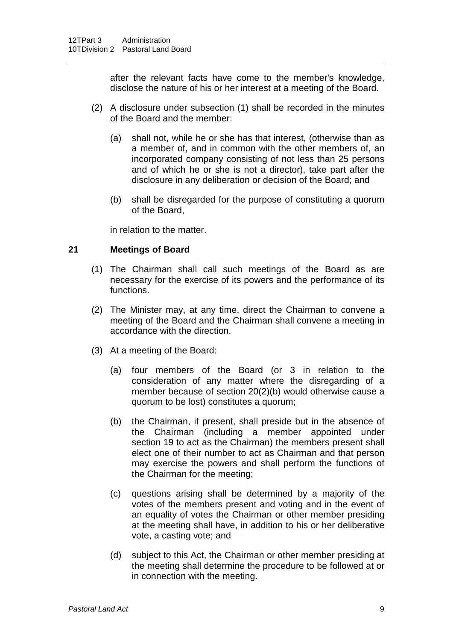after the relevant facts have come to the member's knowledge, disclose the nature of his or her interest at a meeting of the Board.

- (2) A disclosure under subsection (1) shall be recorded in the minutes of the Board and the member:
	- (a) shall not, while he or she has that interest, (otherwise than as a member of, and in common with the other members of, an incorporated company consisting of not less than 25 persons and of which he or she is not a director), take part after the disclosure in any deliberation or decision of the Board; and
	- (b) shall be disregarded for the purpose of constituting a quorum of the Board,

in relation to the matter.

#### **21 Meetings of Board**

- (1) The Chairman shall call such meetings of the Board as are necessary for the exercise of its powers and the performance of its functions.
- (2) The Minister may, at any time, direct the Chairman to convene a meeting of the Board and the Chairman shall convene a meeting in accordance with the direction.
- (3) At a meeting of the Board:
	- (a) four members of the Board (or 3 in relation to the consideration of any matter where the disregarding of a member because of section 20(2)(b) would otherwise cause a quorum to be lost) constitutes a quorum;
	- (b) the Chairman, if present, shall preside but in the absence of the Chairman (including a member appointed under section 19 to act as the Chairman) the members present shall elect one of their number to act as Chairman and that person may exercise the powers and shall perform the functions of the Chairman for the meeting;
	- (c) questions arising shall be determined by a majority of the votes of the members present and voting and in the event of an equality of votes the Chairman or other member presiding at the meeting shall have, in addition to his or her deliberative vote, a casting vote; and
	- (d) subject to this Act, the Chairman or other member presiding at the meeting shall determine the procedure to be followed at or in connection with the meeting.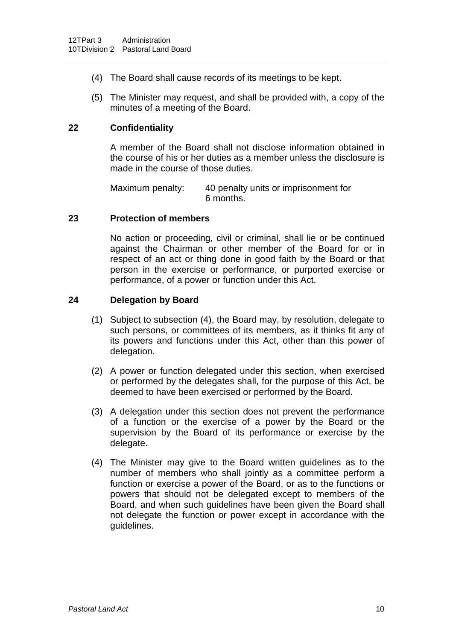- (4) The Board shall cause records of its meetings to be kept.
- (5) The Minister may request, and shall be provided with, a copy of the minutes of a meeting of the Board.

#### **22 Confidentiality**

A member of the Board shall not disclose information obtained in the course of his or her duties as a member unless the disclosure is made in the course of those duties.

Maximum penalty: 40 penalty units or imprisonment for 6 months.

#### **23 Protection of members**

No action or proceeding, civil or criminal, shall lie or be continued against the Chairman or other member of the Board for or in respect of an act or thing done in good faith by the Board or that person in the exercise or performance, or purported exercise or performance, of a power or function under this Act.

#### **24 Delegation by Board**

- (1) Subject to subsection (4), the Board may, by resolution, delegate to such persons, or committees of its members, as it thinks fit any of its powers and functions under this Act, other than this power of delegation.
- (2) A power or function delegated under this section, when exercised or performed by the delegates shall, for the purpose of this Act, be deemed to have been exercised or performed by the Board.
- (3) A delegation under this section does not prevent the performance of a function or the exercise of a power by the Board or the supervision by the Board of its performance or exercise by the delegate.
- (4) The Minister may give to the Board written guidelines as to the number of members who shall jointly as a committee perform a function or exercise a power of the Board, or as to the functions or powers that should not be delegated except to members of the Board, and when such guidelines have been given the Board shall not delegate the function or power except in accordance with the guidelines.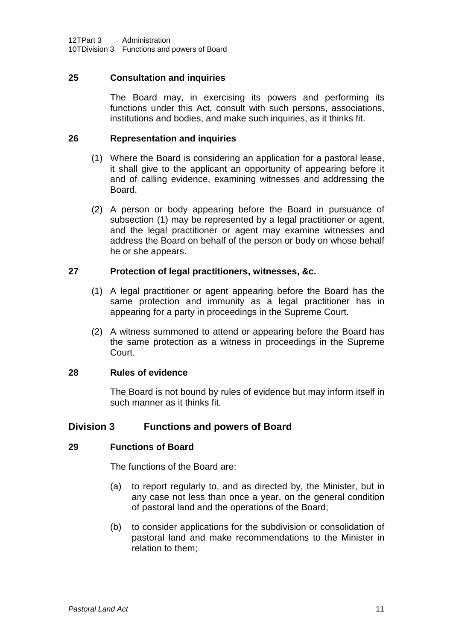#### **25 Consultation and inquiries**

The Board may, in exercising its powers and performing its functions under this Act, consult with such persons, associations, institutions and bodies, and make such inquiries, as it thinks fit.

#### **26 Representation and inquiries**

- (1) Where the Board is considering an application for a pastoral lease, it shall give to the applicant an opportunity of appearing before it and of calling evidence, examining witnesses and addressing the Board.
- (2) A person or body appearing before the Board in pursuance of subsection (1) may be represented by a legal practitioner or agent, and the legal practitioner or agent may examine witnesses and address the Board on behalf of the person or body on whose behalf he or she appears.

#### **27 Protection of legal practitioners, witnesses, &c.**

- (1) A legal practitioner or agent appearing before the Board has the same protection and immunity as a legal practitioner has in appearing for a party in proceedings in the Supreme Court.
- (2) A witness summoned to attend or appearing before the Board has the same protection as a witness in proceedings in the Supreme Court.

#### **28 Rules of evidence**

The Board is not bound by rules of evidence but may inform itself in such manner as it thinks fit.

### **Division 3 Functions and powers of Board**

#### **29 Functions of Board**

The functions of the Board are:

- (a) to report regularly to, and as directed by, the Minister, but in any case not less than once a year, on the general condition of pastoral land and the operations of the Board;
- (b) to consider applications for the subdivision or consolidation of pastoral land and make recommendations to the Minister in relation to them;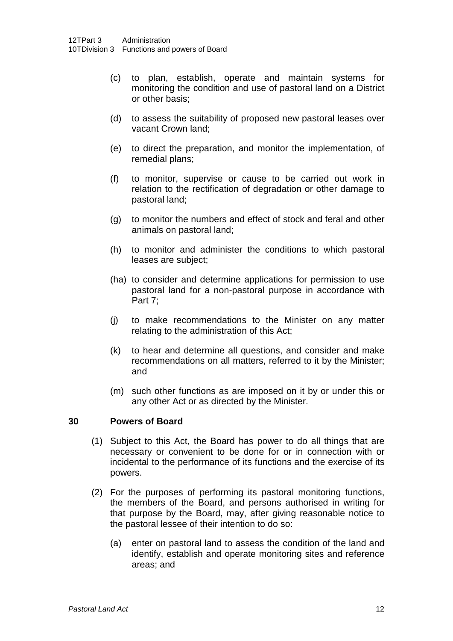- (c) to plan, establish, operate and maintain systems for monitoring the condition and use of pastoral land on a District or other basis;
- (d) to assess the suitability of proposed new pastoral leases over vacant Crown land;
- (e) to direct the preparation, and monitor the implementation, of remedial plans;
- (f) to monitor, supervise or cause to be carried out work in relation to the rectification of degradation or other damage to pastoral land;
- (g) to monitor the numbers and effect of stock and feral and other animals on pastoral land;
- (h) to monitor and administer the conditions to which pastoral leases are subject;
- (ha) to consider and determine applications for permission to use pastoral land for a non-pastoral purpose in accordance with Part 7;
- (j) to make recommendations to the Minister on any matter relating to the administration of this Act;
- (k) to hear and determine all questions, and consider and make recommendations on all matters, referred to it by the Minister; and
- (m) such other functions as are imposed on it by or under this or any other Act or as directed by the Minister.

#### **30 Powers of Board**

- (1) Subject to this Act, the Board has power to do all things that are necessary or convenient to be done for or in connection with or incidental to the performance of its functions and the exercise of its powers.
- (2) For the purposes of performing its pastoral monitoring functions, the members of the Board, and persons authorised in writing for that purpose by the Board, may, after giving reasonable notice to the pastoral lessee of their intention to do so:
	- (a) enter on pastoral land to assess the condition of the land and identify, establish and operate monitoring sites and reference areas; and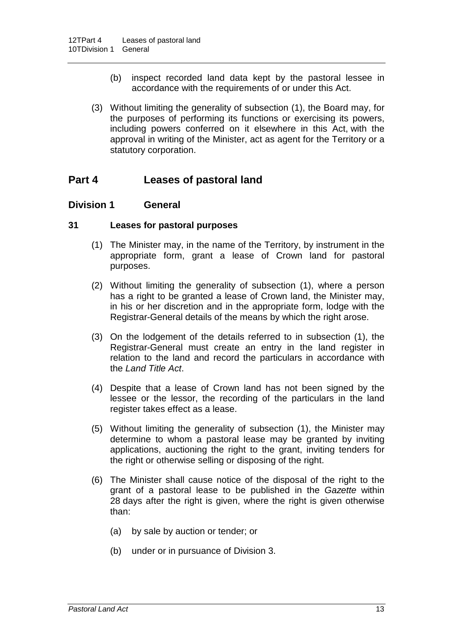- (b) inspect recorded land data kept by the pastoral lessee in accordance with the requirements of or under this Act.
- (3) Without limiting the generality of subsection (1), the Board may, for the purposes of performing its functions or exercising its powers, including powers conferred on it elsewhere in this Act, with the approval in writing of the Minister, act as agent for the Territory or a statutory corporation.

### **Part 4 Leases of pastoral land**

### **Division 1 General**

#### **31 Leases for pastoral purposes**

- (1) The Minister may, in the name of the Territory, by instrument in the appropriate form, grant a lease of Crown land for pastoral purposes.
- (2) Without limiting the generality of subsection (1), where a person has a right to be granted a lease of Crown land, the Minister may, in his or her discretion and in the appropriate form, lodge with the Registrar-General details of the means by which the right arose.
- (3) On the lodgement of the details referred to in subsection (1), the Registrar-General must create an entry in the land register in relation to the land and record the particulars in accordance with the *Land Title Act*.
- (4) Despite that a lease of Crown land has not been signed by the lessee or the lessor, the recording of the particulars in the land register takes effect as a lease.
- (5) Without limiting the generality of subsection (1), the Minister may determine to whom a pastoral lease may be granted by inviting applications, auctioning the right to the grant, inviting tenders for the right or otherwise selling or disposing of the right.
- (6) The Minister shall cause notice of the disposal of the right to the grant of a pastoral lease to be published in the *Gazette* within 28 days after the right is given, where the right is given otherwise than:
	- (a) by sale by auction or tender; or
	- (b) under or in pursuance of Division 3.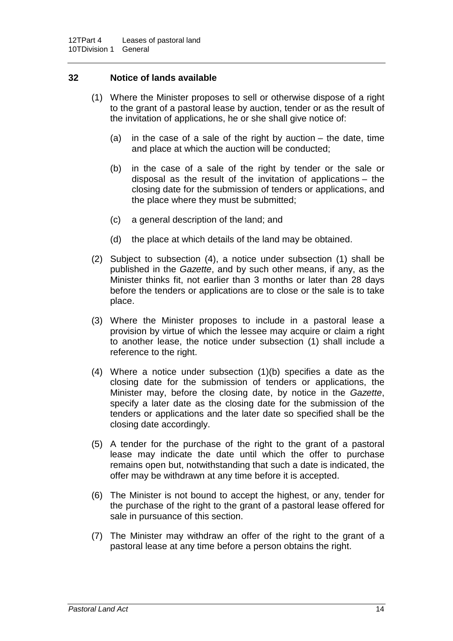#### **32 Notice of lands available**

- (1) Where the Minister proposes to sell or otherwise dispose of a right to the grant of a pastoral lease by auction, tender or as the result of the invitation of applications, he or she shall give notice of:
	- (a) in the case of a sale of the right by auction  $-$  the date, time and place at which the auction will be conducted;
	- (b) in the case of a sale of the right by tender or the sale or disposal as the result of the invitation of applications – the closing date for the submission of tenders or applications, and the place where they must be submitted;
	- (c) a general description of the land; and
	- (d) the place at which details of the land may be obtained.
- (2) Subject to subsection (4), a notice under subsection (1) shall be published in the *Gazette*, and by such other means, if any, as the Minister thinks fit, not earlier than 3 months or later than 28 days before the tenders or applications are to close or the sale is to take place.
- (3) Where the Minister proposes to include in a pastoral lease a provision by virtue of which the lessee may acquire or claim a right to another lease, the notice under subsection (1) shall include a reference to the right.
- (4) Where a notice under subsection (1)(b) specifies a date as the closing date for the submission of tenders or applications, the Minister may, before the closing date, by notice in the *Gazette*, specify a later date as the closing date for the submission of the tenders or applications and the later date so specified shall be the closing date accordingly.
- (5) A tender for the purchase of the right to the grant of a pastoral lease may indicate the date until which the offer to purchase remains open but, notwithstanding that such a date is indicated, the offer may be withdrawn at any time before it is accepted.
- (6) The Minister is not bound to accept the highest, or any, tender for the purchase of the right to the grant of a pastoral lease offered for sale in pursuance of this section.
- (7) The Minister may withdraw an offer of the right to the grant of a pastoral lease at any time before a person obtains the right.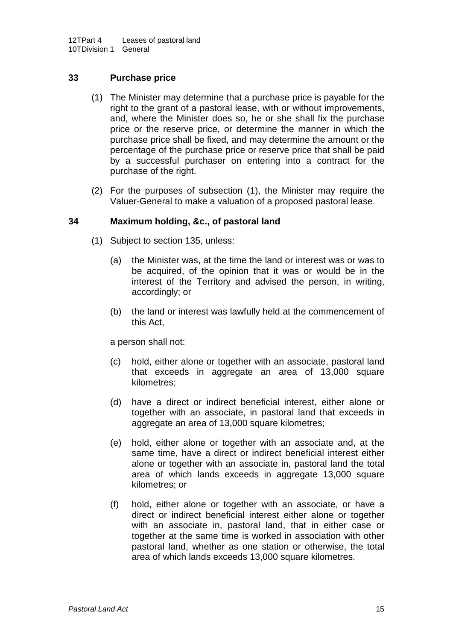#### **33 Purchase price**

- (1) The Minister may determine that a purchase price is payable for the right to the grant of a pastoral lease, with or without improvements, and, where the Minister does so, he or she shall fix the purchase price or the reserve price, or determine the manner in which the purchase price shall be fixed, and may determine the amount or the percentage of the purchase price or reserve price that shall be paid by a successful purchaser on entering into a contract for the purchase of the right.
- (2) For the purposes of subsection (1), the Minister may require the Valuer-General to make a valuation of a proposed pastoral lease.

#### **34 Maximum holding, &c., of pastoral land**

- (1) Subject to section 135, unless:
	- (a) the Minister was, at the time the land or interest was or was to be acquired, of the opinion that it was or would be in the interest of the Territory and advised the person, in writing, accordingly; or
	- (b) the land or interest was lawfully held at the commencement of this Act,

a person shall not:

- (c) hold, either alone or together with an associate, pastoral land that exceeds in aggregate an area of 13,000 square kilometres;
- (d) have a direct or indirect beneficial interest, either alone or together with an associate, in pastoral land that exceeds in aggregate an area of 13,000 square kilometres;
- (e) hold, either alone or together with an associate and, at the same time, have a direct or indirect beneficial interest either alone or together with an associate in, pastoral land the total area of which lands exceeds in aggregate 13,000 square kilometres; or
- (f) hold, either alone or together with an associate, or have a direct or indirect beneficial interest either alone or together with an associate in, pastoral land, that in either case or together at the same time is worked in association with other pastoral land, whether as one station or otherwise, the total area of which lands exceeds 13,000 square kilometres.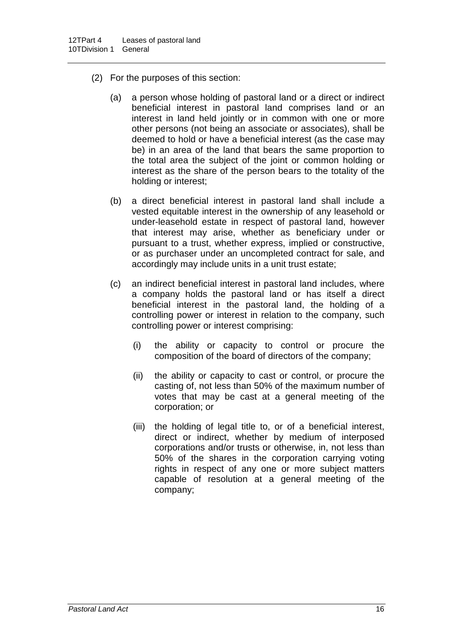- (2) For the purposes of this section:
	- (a) a person whose holding of pastoral land or a direct or indirect beneficial interest in pastoral land comprises land or an interest in land held jointly or in common with one or more other persons (not being an associate or associates), shall be deemed to hold or have a beneficial interest (as the case may be) in an area of the land that bears the same proportion to the total area the subject of the joint or common holding or interest as the share of the person bears to the totality of the holding or interest;
	- (b) a direct beneficial interest in pastoral land shall include a vested equitable interest in the ownership of any leasehold or under-leasehold estate in respect of pastoral land, however that interest may arise, whether as beneficiary under or pursuant to a trust, whether express, implied or constructive, or as purchaser under an uncompleted contract for sale, and accordingly may include units in a unit trust estate;
	- (c) an indirect beneficial interest in pastoral land includes, where a company holds the pastoral land or has itself a direct beneficial interest in the pastoral land, the holding of a controlling power or interest in relation to the company, such controlling power or interest comprising:
		- (i) the ability or capacity to control or procure the composition of the board of directors of the company;
		- (ii) the ability or capacity to cast or control, or procure the casting of, not less than 50% of the maximum number of votes that may be cast at a general meeting of the corporation; or
		- (iii) the holding of legal title to, or of a beneficial interest, direct or indirect, whether by medium of interposed corporations and/or trusts or otherwise, in, not less than 50% of the shares in the corporation carrying voting rights in respect of any one or more subject matters capable of resolution at a general meeting of the company;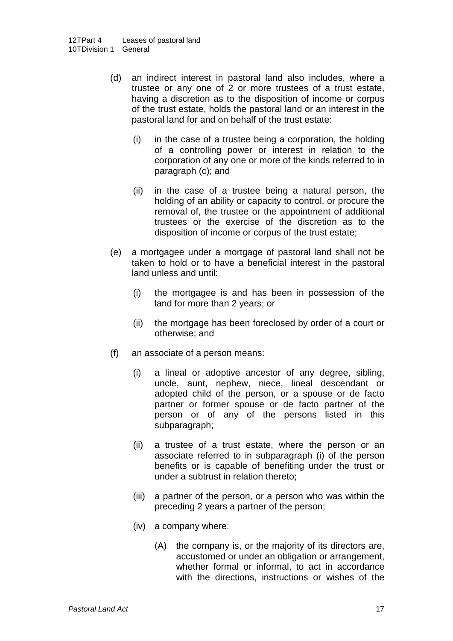- (d) an indirect interest in pastoral land also includes, where a trustee or any one of 2 or more trustees of a trust estate, having a discretion as to the disposition of income or corpus of the trust estate, holds the pastoral land or an interest in the pastoral land for and on behalf of the trust estate:
	- (i) in the case of a trustee being a corporation, the holding of a controlling power or interest in relation to the corporation of any one or more of the kinds referred to in paragraph (c); and
	- (ii) in the case of a trustee being a natural person, the holding of an ability or capacity to control, or procure the removal of, the trustee or the appointment of additional trustees or the exercise of the discretion as to the disposition of income or corpus of the trust estate;
- (e) a mortgagee under a mortgage of pastoral land shall not be taken to hold or to have a beneficial interest in the pastoral land unless and until:
	- (i) the mortgagee is and has been in possession of the land for more than 2 years; or
	- (ii) the mortgage has been foreclosed by order of a court or otherwise; and
- (f) an associate of a person means:
	- (i) a lineal or adoptive ancestor of any degree, sibling, uncle, aunt, nephew, niece, lineal descendant or adopted child of the person, or a spouse or de facto partner or former spouse or de facto partner of the person or of any of the persons listed in this subparagraph;
	- (ii) a trustee of a trust estate, where the person or an associate referred to in subparagraph (i) of the person benefits or is capable of benefiting under the trust or under a subtrust in relation thereto;
	- (iii) a partner of the person, or a person who was within the preceding 2 years a partner of the person;
	- (iv) a company where:
		- (A) the company is, or the majority of its directors are, accustomed or under an obligation or arrangement, whether formal or informal, to act in accordance with the directions, instructions or wishes of the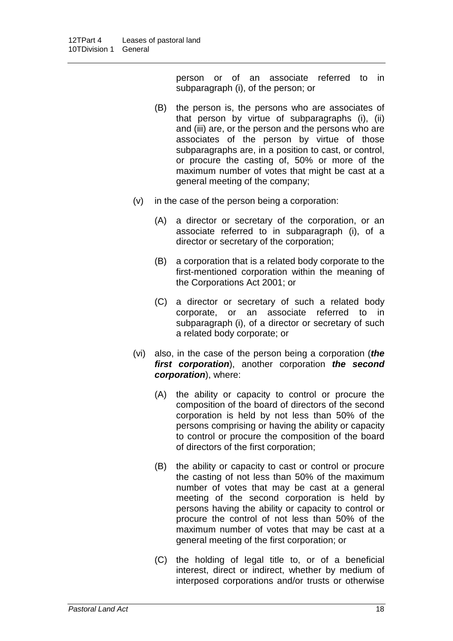person or of an associate referred to in subparagraph (i), of the person; or

- (B) the person is, the persons who are associates of that person by virtue of subparagraphs (i), (ii) and (iii) are, or the person and the persons who are associates of the person by virtue of those subparagraphs are, in a position to cast, or control, or procure the casting of, 50% or more of the maximum number of votes that might be cast at a general meeting of the company;
- (v) in the case of the person being a corporation:
	- (A) a director or secretary of the corporation, or an associate referred to in subparagraph (i), of a director or secretary of the corporation;
	- (B) a corporation that is a related body corporate to the first-mentioned corporation within the meaning of the Corporations Act 2001; or
	- (C) a director or secretary of such a related body corporate, or an associate referred to in subparagraph (i), of a director or secretary of such a related body corporate; or
- (vi) also, in the case of the person being a corporation (*the first corporation*), another corporation *the second corporation*), where:
	- (A) the ability or capacity to control or procure the composition of the board of directors of the second corporation is held by not less than 50% of the persons comprising or having the ability or capacity to control or procure the composition of the board of directors of the first corporation;
	- (B) the ability or capacity to cast or control or procure the casting of not less than 50% of the maximum number of votes that may be cast at a general meeting of the second corporation is held by persons having the ability or capacity to control or procure the control of not less than 50% of the maximum number of votes that may be cast at a general meeting of the first corporation; or
	- (C) the holding of legal title to, or of a beneficial interest, direct or indirect, whether by medium of interposed corporations and/or trusts or otherwise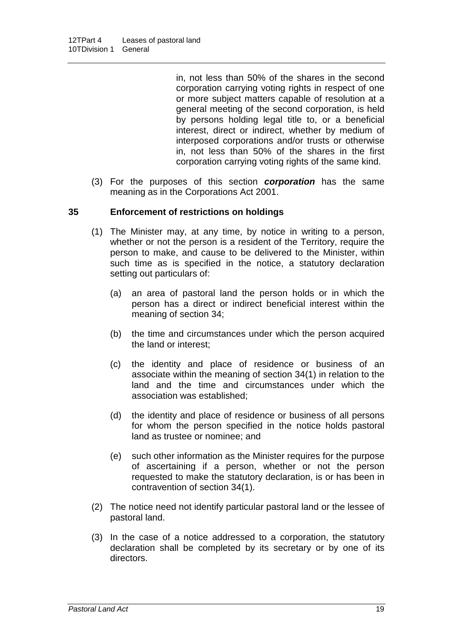in, not less than 50% of the shares in the second corporation carrying voting rights in respect of one or more subject matters capable of resolution at a general meeting of the second corporation, is held by persons holding legal title to, or a beneficial interest, direct or indirect, whether by medium of interposed corporations and/or trusts or otherwise in, not less than 50% of the shares in the first corporation carrying voting rights of the same kind.

(3) For the purposes of this section *corporation* has the same meaning as in the Corporations Act 2001.

### **35 Enforcement of restrictions on holdings**

- (1) The Minister may, at any time, by notice in writing to a person, whether or not the person is a resident of the Territory, require the person to make, and cause to be delivered to the Minister, within such time as is specified in the notice, a statutory declaration setting out particulars of:
	- (a) an area of pastoral land the person holds or in which the person has a direct or indirect beneficial interest within the meaning of section 34;
	- (b) the time and circumstances under which the person acquired the land or interest;
	- (c) the identity and place of residence or business of an associate within the meaning of section 34(1) in relation to the land and the time and circumstances under which the association was established;
	- (d) the identity and place of residence or business of all persons for whom the person specified in the notice holds pastoral land as trustee or nominee; and
	- (e) such other information as the Minister requires for the purpose of ascertaining if a person, whether or not the person requested to make the statutory declaration, is or has been in contravention of section 34(1).
- (2) The notice need not identify particular pastoral land or the lessee of pastoral land.
- (3) In the case of a notice addressed to a corporation, the statutory declaration shall be completed by its secretary or by one of its directors.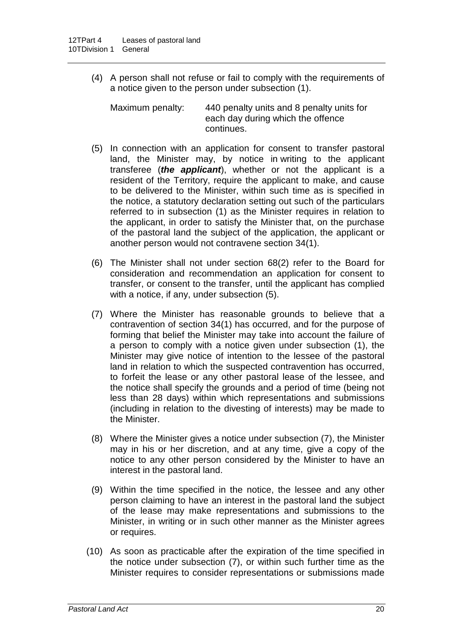(4) A person shall not refuse or fail to comply with the requirements of a notice given to the person under subsection (1).

Maximum penalty: 440 penalty units and 8 penalty units for each day during which the offence continues.

- (5) In connection with an application for consent to transfer pastoral land, the Minister may, by notice in writing to the applicant transferee (*the applicant*), whether or not the applicant is a resident of the Territory, require the applicant to make, and cause to be delivered to the Minister, within such time as is specified in the notice, a statutory declaration setting out such of the particulars referred to in subsection (1) as the Minister requires in relation to the applicant, in order to satisfy the Minister that, on the purchase of the pastoral land the subject of the application, the applicant or another person would not contravene section 34(1).
- (6) The Minister shall not under section 68(2) refer to the Board for consideration and recommendation an application for consent to transfer, or consent to the transfer, until the applicant has complied with a notice, if any, under subsection (5).
- (7) Where the Minister has reasonable grounds to believe that a contravention of section 34(1) has occurred, and for the purpose of forming that belief the Minister may take into account the failure of a person to comply with a notice given under subsection (1), the Minister may give notice of intention to the lessee of the pastoral land in relation to which the suspected contravention has occurred, to forfeit the lease or any other pastoral lease of the lessee, and the notice shall specify the grounds and a period of time (being not less than 28 days) within which representations and submissions (including in relation to the divesting of interests) may be made to the Minister.
- (8) Where the Minister gives a notice under subsection (7), the Minister may in his or her discretion, and at any time, give a copy of the notice to any other person considered by the Minister to have an interest in the pastoral land.
- (9) Within the time specified in the notice, the lessee and any other person claiming to have an interest in the pastoral land the subject of the lease may make representations and submissions to the Minister, in writing or in such other manner as the Minister agrees or requires.
- (10) As soon as practicable after the expiration of the time specified in the notice under subsection (7), or within such further time as the Minister requires to consider representations or submissions made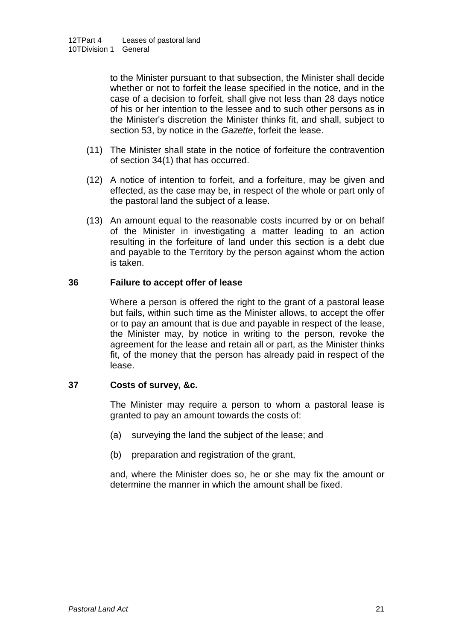to the Minister pursuant to that subsection, the Minister shall decide whether or not to forfeit the lease specified in the notice, and in the case of a decision to forfeit, shall give not less than 28 days notice of his or her intention to the lessee and to such other persons as in the Minister's discretion the Minister thinks fit, and shall, subject to section 53, by notice in the *Gazette*, forfeit the lease.

- (11) The Minister shall state in the notice of forfeiture the contravention of section 34(1) that has occurred.
- (12) A notice of intention to forfeit, and a forfeiture, may be given and effected, as the case may be, in respect of the whole or part only of the pastoral land the subject of a lease.
- (13) An amount equal to the reasonable costs incurred by or on behalf of the Minister in investigating a matter leading to an action resulting in the forfeiture of land under this section is a debt due and payable to the Territory by the person against whom the action is taken.

## **36 Failure to accept offer of lease**

Where a person is offered the right to the grant of a pastoral lease but fails, within such time as the Minister allows, to accept the offer or to pay an amount that is due and payable in respect of the lease, the Minister may, by notice in writing to the person, revoke the agreement for the lease and retain all or part, as the Minister thinks fit, of the money that the person has already paid in respect of the lease.

### **37 Costs of survey, &c.**

The Minister may require a person to whom a pastoral lease is granted to pay an amount towards the costs of:

- (a) surveying the land the subject of the lease; and
- (b) preparation and registration of the grant,

and, where the Minister does so, he or she may fix the amount or determine the manner in which the amount shall be fixed.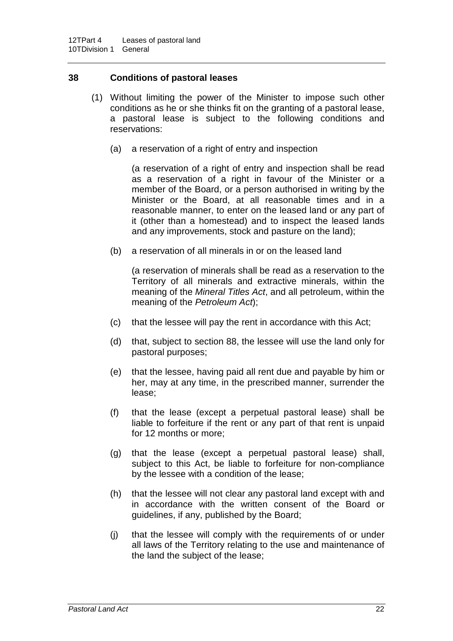## **38 Conditions of pastoral leases**

- (1) Without limiting the power of the Minister to impose such other conditions as he or she thinks fit on the granting of a pastoral lease, a pastoral lease is subject to the following conditions and reservations:
	- (a) a reservation of a right of entry and inspection

(a reservation of a right of entry and inspection shall be read as a reservation of a right in favour of the Minister or a member of the Board, or a person authorised in writing by the Minister or the Board, at all reasonable times and in a reasonable manner, to enter on the leased land or any part of it (other than a homestead) and to inspect the leased lands and any improvements, stock and pasture on the land);

(b) a reservation of all minerals in or on the leased land

(a reservation of minerals shall be read as a reservation to the Territory of all minerals and extractive minerals, within the meaning of the *Mineral Titles Act*, and all petroleum, within the meaning of the *Petroleum Act*);

- (c) that the lessee will pay the rent in accordance with this Act;
- (d) that, subject to section 88, the lessee will use the land only for pastoral purposes;
- (e) that the lessee, having paid all rent due and payable by him or her, may at any time, in the prescribed manner, surrender the lease;
- (f) that the lease (except a perpetual pastoral lease) shall be liable to forfeiture if the rent or any part of that rent is unpaid for 12 months or more;
- (g) that the lease (except a perpetual pastoral lease) shall, subject to this Act, be liable to forfeiture for non-compliance by the lessee with a condition of the lease;
- (h) that the lessee will not clear any pastoral land except with and in accordance with the written consent of the Board or guidelines, if any, published by the Board;
- (j) that the lessee will comply with the requirements of or under all laws of the Territory relating to the use and maintenance of the land the subject of the lease;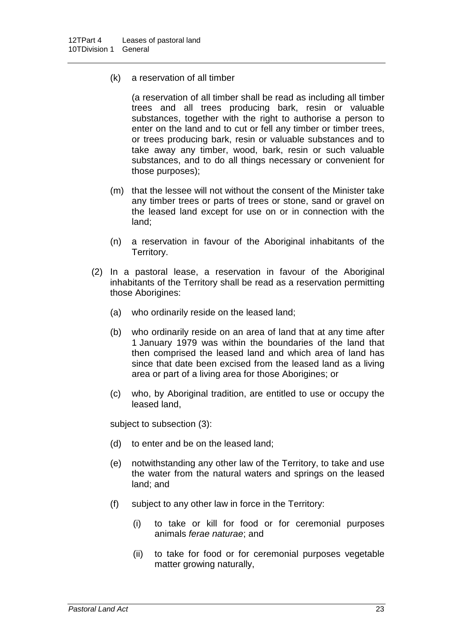(k) a reservation of all timber

(a reservation of all timber shall be read as including all timber trees and all trees producing bark, resin or valuable substances, together with the right to authorise a person to enter on the land and to cut or fell any timber or timber trees, or trees producing bark, resin or valuable substances and to take away any timber, wood, bark, resin or such valuable substances, and to do all things necessary or convenient for those purposes);

- (m) that the lessee will not without the consent of the Minister take any timber trees or parts of trees or stone, sand or gravel on the leased land except for use on or in connection with the land;
- (n) a reservation in favour of the Aboriginal inhabitants of the Territory.
- (2) In a pastoral lease, a reservation in favour of the Aboriginal inhabitants of the Territory shall be read as a reservation permitting those Aborigines:
	- (a) who ordinarily reside on the leased land;
	- (b) who ordinarily reside on an area of land that at any time after 1 January 1979 was within the boundaries of the land that then comprised the leased land and which area of land has since that date been excised from the leased land as a living area or part of a living area for those Aborigines; or
	- (c) who, by Aboriginal tradition, are entitled to use or occupy the leased land,

subject to subsection (3):

- (d) to enter and be on the leased land;
- (e) notwithstanding any other law of the Territory, to take and use the water from the natural waters and springs on the leased land; and
- (f) subject to any other law in force in the Territory:
	- (i) to take or kill for food or for ceremonial purposes animals *ferae naturae*; and
	- (ii) to take for food or for ceremonial purposes vegetable matter growing naturally,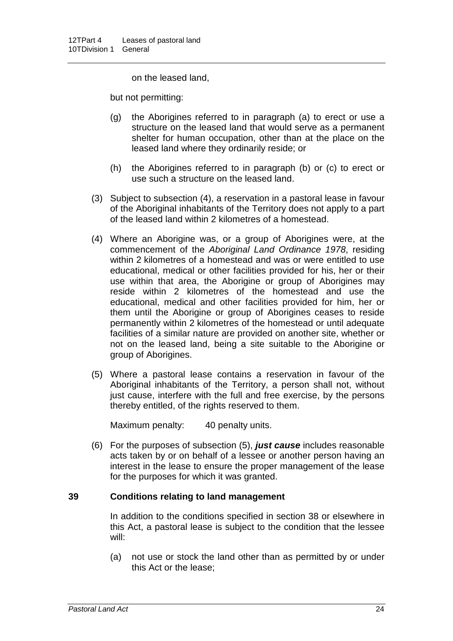on the leased land,

but not permitting:

- (g) the Aborigines referred to in paragraph (a) to erect or use a structure on the leased land that would serve as a permanent shelter for human occupation, other than at the place on the leased land where they ordinarily reside; or
- (h) the Aborigines referred to in paragraph (b) or (c) to erect or use such a structure on the leased land.
- (3) Subject to subsection (4), a reservation in a pastoral lease in favour of the Aboriginal inhabitants of the Territory does not apply to a part of the leased land within 2 kilometres of a homestead.
- (4) Where an Aborigine was, or a group of Aborigines were, at the commencement of the *Aboriginal Land Ordinance 1978*, residing within 2 kilometres of a homestead and was or were entitled to use educational, medical or other facilities provided for his, her or their use within that area, the Aborigine or group of Aborigines may reside within 2 kilometres of the homestead and use the educational, medical and other facilities provided for him, her or them until the Aborigine or group of Aborigines ceases to reside permanently within 2 kilometres of the homestead or until adequate facilities of a similar nature are provided on another site, whether or not on the leased land, being a site suitable to the Aborigine or group of Aborigines.
- (5) Where a pastoral lease contains a reservation in favour of the Aboriginal inhabitants of the Territory, a person shall not, without just cause, interfere with the full and free exercise, by the persons thereby entitled, of the rights reserved to them.

Maximum penalty: 40 penalty units.

(6) For the purposes of subsection (5), *just cause* includes reasonable acts taken by or on behalf of a lessee or another person having an interest in the lease to ensure the proper management of the lease for the purposes for which it was granted.

### **39 Conditions relating to land management**

In addition to the conditions specified in section 38 or elsewhere in this Act, a pastoral lease is subject to the condition that the lessee will:

(a) not use or stock the land other than as permitted by or under this Act or the lease;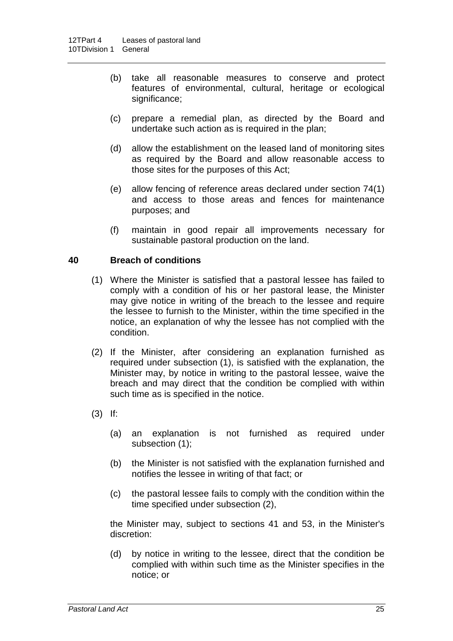- (b) take all reasonable measures to conserve and protect features of environmental, cultural, heritage or ecological significance;
- (c) prepare a remedial plan, as directed by the Board and undertake such action as is required in the plan;
- (d) allow the establishment on the leased land of monitoring sites as required by the Board and allow reasonable access to those sites for the purposes of this Act;
- (e) allow fencing of reference areas declared under section 74(1) and access to those areas and fences for maintenance purposes; and
- (f) maintain in good repair all improvements necessary for sustainable pastoral production on the land.

### **40 Breach of conditions**

- (1) Where the Minister is satisfied that a pastoral lessee has failed to comply with a condition of his or her pastoral lease, the Minister may give notice in writing of the breach to the lessee and require the lessee to furnish to the Minister, within the time specified in the notice, an explanation of why the lessee has not complied with the condition.
- (2) If the Minister, after considering an explanation furnished as required under subsection (1), is satisfied with the explanation, the Minister may, by notice in writing to the pastoral lessee, waive the breach and may direct that the condition be complied with within such time as is specified in the notice.
- (3) If:
	- (a) an explanation is not furnished as required under subsection (1);
	- (b) the Minister is not satisfied with the explanation furnished and notifies the lessee in writing of that fact; or
	- (c) the pastoral lessee fails to comply with the condition within the time specified under subsection (2),

the Minister may, subject to sections 41 and 53, in the Minister's discretion:

(d) by notice in writing to the lessee, direct that the condition be complied with within such time as the Minister specifies in the notice; or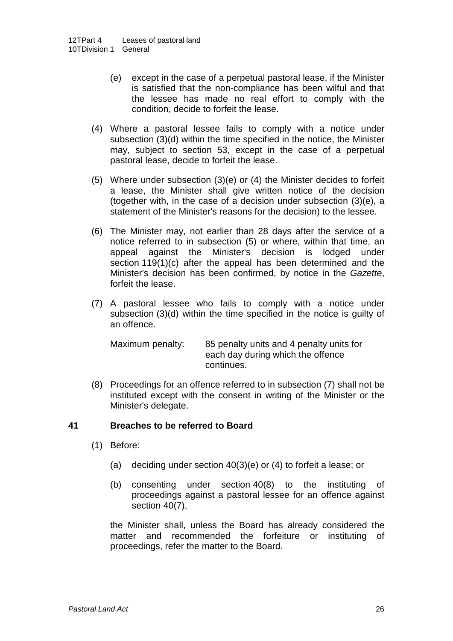- (e) except in the case of a perpetual pastoral lease, if the Minister is satisfied that the non-compliance has been wilful and that the lessee has made no real effort to comply with the condition, decide to forfeit the lease.
- (4) Where a pastoral lessee fails to comply with a notice under subsection (3)(d) within the time specified in the notice, the Minister may, subject to section 53, except in the case of a perpetual pastoral lease, decide to forfeit the lease.
- (5) Where under subsection (3)(e) or (4) the Minister decides to forfeit a lease, the Minister shall give written notice of the decision (together with, in the case of a decision under subsection (3)(e), a statement of the Minister's reasons for the decision) to the lessee.
- (6) The Minister may, not earlier than 28 days after the service of a notice referred to in subsection (5) or where, within that time, an appeal against the Minister's decision is lodged under section 119(1)(c) after the appeal has been determined and the Minister's decision has been confirmed, by notice in the *Gazette*, forfeit the lease.
- (7) A pastoral lessee who fails to comply with a notice under subsection (3)(d) within the time specified in the notice is guilty of an offence.

Maximum penalty: 85 penalty units and 4 penalty units for each day during which the offence continues.

(8) Proceedings for an offence referred to in subsection (7) shall not be instituted except with the consent in writing of the Minister or the Minister's delegate.

### **41 Breaches to be referred to Board**

- (1) Before:
	- (a) deciding under section 40(3)(e) or (4) to forfeit a lease; or
	- (b) consenting under section 40(8) to the instituting of proceedings against a pastoral lessee for an offence against section 40(7),

the Minister shall, unless the Board has already considered the matter and recommended the forfeiture or instituting of proceedings, refer the matter to the Board.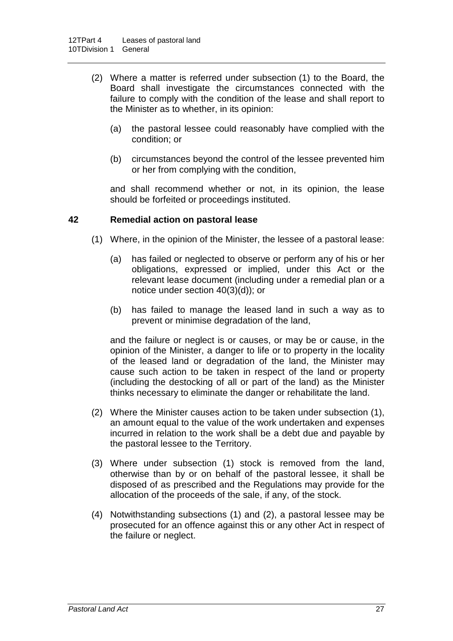- (2) Where a matter is referred under subsection (1) to the Board, the Board shall investigate the circumstances connected with the failure to comply with the condition of the lease and shall report to the Minister as to whether, in its opinion:
	- (a) the pastoral lessee could reasonably have complied with the condition; or
	- (b) circumstances beyond the control of the lessee prevented him or her from complying with the condition,

and shall recommend whether or not, in its opinion, the lease should be forfeited or proceedings instituted.

### **42 Remedial action on pastoral lease**

- (1) Where, in the opinion of the Minister, the lessee of a pastoral lease:
	- (a) has failed or neglected to observe or perform any of his or her obligations, expressed or implied, under this Act or the relevant lease document (including under a remedial plan or a notice under section 40(3)(d)); or
	- (b) has failed to manage the leased land in such a way as to prevent or minimise degradation of the land,

and the failure or neglect is or causes, or may be or cause, in the opinion of the Minister, a danger to life or to property in the locality of the leased land or degradation of the land, the Minister may cause such action to be taken in respect of the land or property (including the destocking of all or part of the land) as the Minister thinks necessary to eliminate the danger or rehabilitate the land.

- (2) Where the Minister causes action to be taken under subsection (1), an amount equal to the value of the work undertaken and expenses incurred in relation to the work shall be a debt due and payable by the pastoral lessee to the Territory.
- (3) Where under subsection (1) stock is removed from the land, otherwise than by or on behalf of the pastoral lessee, it shall be disposed of as prescribed and the Regulations may provide for the allocation of the proceeds of the sale, if any, of the stock.
- (4) Notwithstanding subsections (1) and (2), a pastoral lessee may be prosecuted for an offence against this or any other Act in respect of the failure or neglect.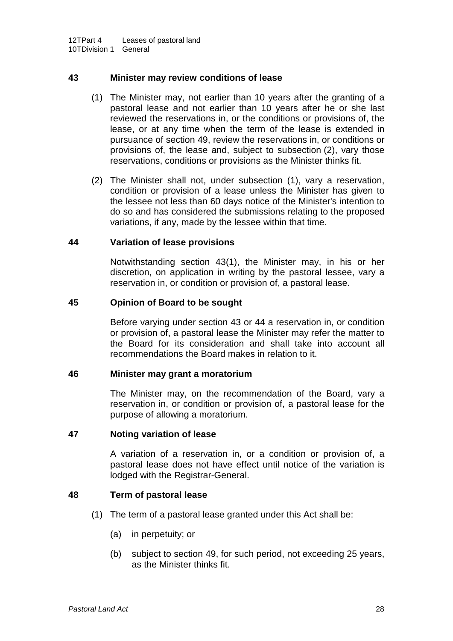### **43 Minister may review conditions of lease**

- (1) The Minister may, not earlier than 10 years after the granting of a pastoral lease and not earlier than 10 years after he or she last reviewed the reservations in, or the conditions or provisions of, the lease, or at any time when the term of the lease is extended in pursuance of section 49, review the reservations in, or conditions or provisions of, the lease and, subject to subsection (2), vary those reservations, conditions or provisions as the Minister thinks fit.
- (2) The Minister shall not, under subsection (1), vary a reservation, condition or provision of a lease unless the Minister has given to the lessee not less than 60 days notice of the Minister's intention to do so and has considered the submissions relating to the proposed variations, if any, made by the lessee within that time.

### **44 Variation of lease provisions**

Notwithstanding section 43(1), the Minister may, in his or her discretion, on application in writing by the pastoral lessee, vary a reservation in, or condition or provision of, a pastoral lease.

### **45 Opinion of Board to be sought**

Before varying under section 43 or 44 a reservation in, or condition or provision of, a pastoral lease the Minister may refer the matter to the Board for its consideration and shall take into account all recommendations the Board makes in relation to it.

#### **46 Minister may grant a moratorium**

The Minister may, on the recommendation of the Board, vary a reservation in, or condition or provision of, a pastoral lease for the purpose of allowing a moratorium.

### **47 Noting variation of lease**

A variation of a reservation in, or a condition or provision of, a pastoral lease does not have effect until notice of the variation is lodged with the Registrar-General.

### **48 Term of pastoral lease**

- (1) The term of a pastoral lease granted under this Act shall be:
	- (a) in perpetuity; or
	- (b) subject to section 49, for such period, not exceeding 25 years, as the Minister thinks fit.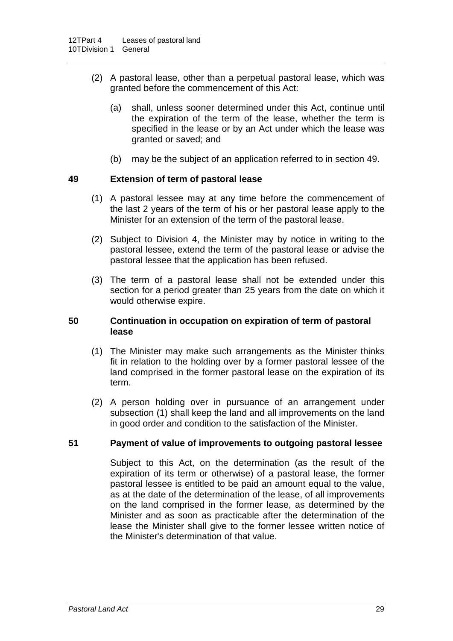- (2) A pastoral lease, other than a perpetual pastoral lease, which was granted before the commencement of this Act:
	- (a) shall, unless sooner determined under this Act, continue until the expiration of the term of the lease, whether the term is specified in the lease or by an Act under which the lease was granted or saved; and
	- (b) may be the subject of an application referred to in section 49.

### **49 Extension of term of pastoral lease**

- (1) A pastoral lessee may at any time before the commencement of the last 2 years of the term of his or her pastoral lease apply to the Minister for an extension of the term of the pastoral lease.
- (2) Subject to Division 4, the Minister may by notice in writing to the pastoral lessee, extend the term of the pastoral lease or advise the pastoral lessee that the application has been refused.
- (3) The term of a pastoral lease shall not be extended under this section for a period greater than 25 years from the date on which it would otherwise expire.

### **50 Continuation in occupation on expiration of term of pastoral lease**

- (1) The Minister may make such arrangements as the Minister thinks fit in relation to the holding over by a former pastoral lessee of the land comprised in the former pastoral lease on the expiration of its term.
- (2) A person holding over in pursuance of an arrangement under subsection (1) shall keep the land and all improvements on the land in good order and condition to the satisfaction of the Minister.

### **51 Payment of value of improvements to outgoing pastoral lessee**

Subject to this Act, on the determination (as the result of the expiration of its term or otherwise) of a pastoral lease, the former pastoral lessee is entitled to be paid an amount equal to the value, as at the date of the determination of the lease, of all improvements on the land comprised in the former lease, as determined by the Minister and as soon as practicable after the determination of the lease the Minister shall give to the former lessee written notice of the Minister's determination of that value.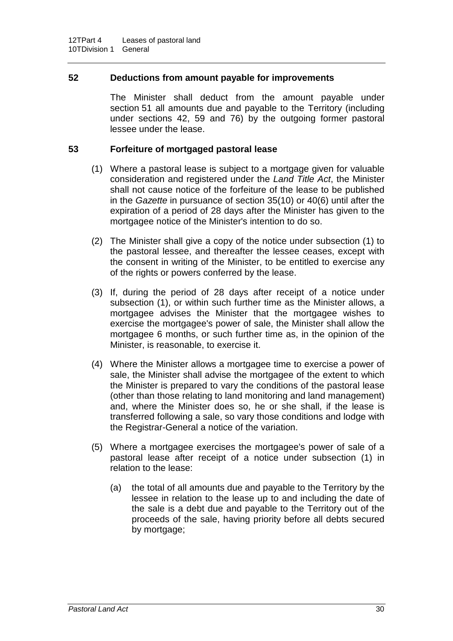### **52 Deductions from amount payable for improvements**

The Minister shall deduct from the amount payable under section 51 all amounts due and payable to the Territory (including under sections 42, 59 and 76) by the outgoing former pastoral lessee under the lease.

## **53 Forfeiture of mortgaged pastoral lease**

- (1) Where a pastoral lease is subject to a mortgage given for valuable consideration and registered under the *Land Title Act*, the Minister shall not cause notice of the forfeiture of the lease to be published in the *Gazette* in pursuance of section 35(10) or 40(6) until after the expiration of a period of 28 days after the Minister has given to the mortgagee notice of the Minister's intention to do so.
- (2) The Minister shall give a copy of the notice under subsection (1) to the pastoral lessee, and thereafter the lessee ceases, except with the consent in writing of the Minister, to be entitled to exercise any of the rights or powers conferred by the lease.
- (3) If, during the period of 28 days after receipt of a notice under subsection (1), or within such further time as the Minister allows, a mortgagee advises the Minister that the mortgagee wishes to exercise the mortgagee's power of sale, the Minister shall allow the mortgagee 6 months, or such further time as, in the opinion of the Minister, is reasonable, to exercise it.
- (4) Where the Minister allows a mortgagee time to exercise a power of sale, the Minister shall advise the mortgagee of the extent to which the Minister is prepared to vary the conditions of the pastoral lease (other than those relating to land monitoring and land management) and, where the Minister does so, he or she shall, if the lease is transferred following a sale, so vary those conditions and lodge with the Registrar-General a notice of the variation.
- (5) Where a mortgagee exercises the mortgagee's power of sale of a pastoral lease after receipt of a notice under subsection (1) in relation to the lease:
	- (a) the total of all amounts due and payable to the Territory by the lessee in relation to the lease up to and including the date of the sale is a debt due and payable to the Territory out of the proceeds of the sale, having priority before all debts secured by mortgage;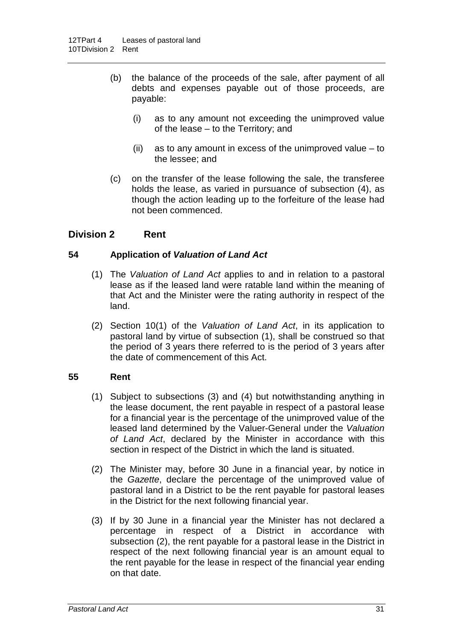- (b) the balance of the proceeds of the sale, after payment of all debts and expenses payable out of those proceeds, are payable:
	- (i) as to any amount not exceeding the unimproved value of the lease – to the Territory; and
	- (ii) as to any amount in excess of the unimproved value  $-$  to the lessee; and
- (c) on the transfer of the lease following the sale, the transferee holds the lease, as varied in pursuance of subsection (4), as though the action leading up to the forfeiture of the lease had not been commenced.

# **Division 2 Rent**

### **54 Application of** *Valuation of Land Act*

- (1) The *Valuation of Land Act* applies to and in relation to a pastoral lease as if the leased land were ratable land within the meaning of that Act and the Minister were the rating authority in respect of the land.
- (2) Section 10(1) of the *Valuation of Land Act*, in its application to pastoral land by virtue of subsection (1), shall be construed so that the period of 3 years there referred to is the period of 3 years after the date of commencement of this Act.

### **55 Rent**

- (1) Subject to subsections (3) and (4) but notwithstanding anything in the lease document, the rent payable in respect of a pastoral lease for a financial year is the percentage of the unimproved value of the leased land determined by the Valuer-General under the *Valuation of Land Act*, declared by the Minister in accordance with this section in respect of the District in which the land is situated.
- (2) The Minister may, before 30 June in a financial year, by notice in the *Gazette*, declare the percentage of the unimproved value of pastoral land in a District to be the rent payable for pastoral leases in the District for the next following financial year.
- (3) If by 30 June in a financial year the Minister has not declared a percentage in respect of a District in accordance with subsection (2), the rent payable for a pastoral lease in the District in respect of the next following financial year is an amount equal to the rent payable for the lease in respect of the financial year ending on that date.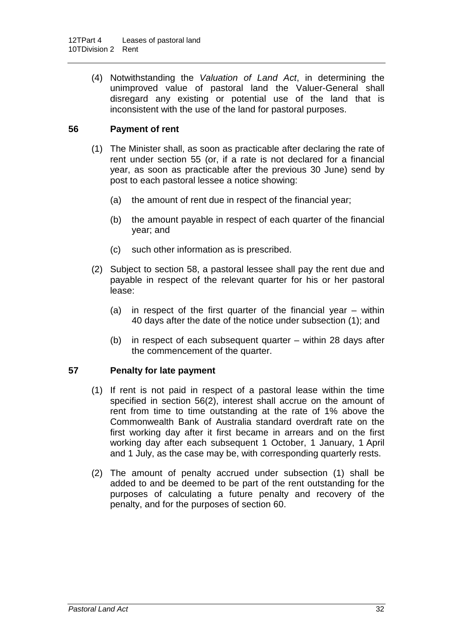(4) Notwithstanding the *Valuation of Land Act*, in determining the unimproved value of pastoral land the Valuer-General shall disregard any existing or potential use of the land that is inconsistent with the use of the land for pastoral purposes.

# **56 Payment of rent**

- (1) The Minister shall, as soon as practicable after declaring the rate of rent under section 55 (or, if a rate is not declared for a financial year, as soon as practicable after the previous 30 June) send by post to each pastoral lessee a notice showing:
	- (a) the amount of rent due in respect of the financial year;
	- (b) the amount payable in respect of each quarter of the financial year; and
	- (c) such other information as is prescribed.
- (2) Subject to section 58, a pastoral lessee shall pay the rent due and payable in respect of the relevant quarter for his or her pastoral lease:
	- (a) in respect of the first quarter of the financial year within 40 days after the date of the notice under subsection (1); and
	- (b) in respect of each subsequent quarter within 28 days after the commencement of the quarter.

# **57 Penalty for late payment**

- (1) If rent is not paid in respect of a pastoral lease within the time specified in section 56(2), interest shall accrue on the amount of rent from time to time outstanding at the rate of 1% above the Commonwealth Bank of Australia standard overdraft rate on the first working day after it first became in arrears and on the first working day after each subsequent 1 October, 1 January, 1 April and 1 July, as the case may be, with corresponding quarterly rests.
- (2) The amount of penalty accrued under subsection (1) shall be added to and be deemed to be part of the rent outstanding for the purposes of calculating a future penalty and recovery of the penalty, and for the purposes of section 60.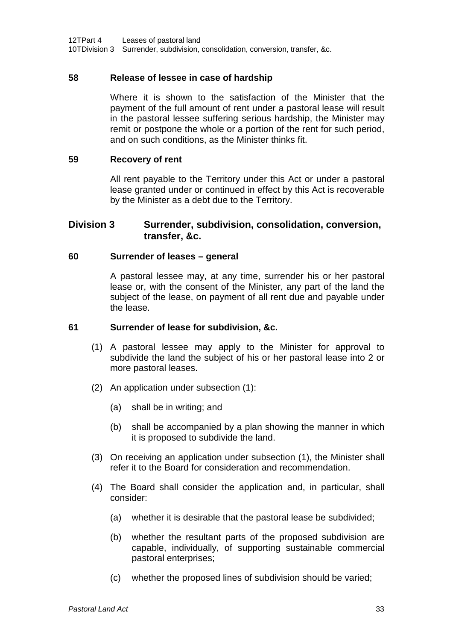### **58 Release of lessee in case of hardship**

Where it is shown to the satisfaction of the Minister that the payment of the full amount of rent under a pastoral lease will result in the pastoral lessee suffering serious hardship, the Minister may remit or postpone the whole or a portion of the rent for such period, and on such conditions, as the Minister thinks fit.

### **59 Recovery of rent**

All rent payable to the Territory under this Act or under a pastoral lease granted under or continued in effect by this Act is recoverable by the Minister as a debt due to the Territory.

## **Division 3 Surrender, subdivision, consolidation, conversion, transfer, &c.**

### **60 Surrender of leases – general**

A pastoral lessee may, at any time, surrender his or her pastoral lease or, with the consent of the Minister, any part of the land the subject of the lease, on payment of all rent due and payable under the lease.

#### **61 Surrender of lease for subdivision, &c.**

- (1) A pastoral lessee may apply to the Minister for approval to subdivide the land the subject of his or her pastoral lease into 2 or more pastoral leases.
- (2) An application under subsection (1):
	- (a) shall be in writing; and
	- (b) shall be accompanied by a plan showing the manner in which it is proposed to subdivide the land.
- (3) On receiving an application under subsection (1), the Minister shall refer it to the Board for consideration and recommendation.
- (4) The Board shall consider the application and, in particular, shall consider:
	- (a) whether it is desirable that the pastoral lease be subdivided;
	- (b) whether the resultant parts of the proposed subdivision are capable, individually, of supporting sustainable commercial pastoral enterprises;
	- (c) whether the proposed lines of subdivision should be varied;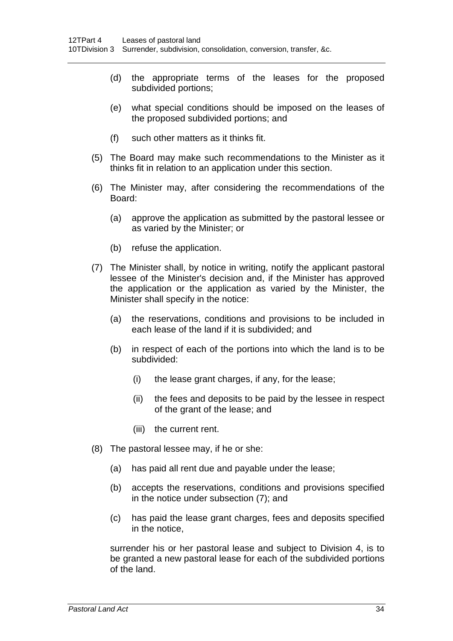- (d) the appropriate terms of the leases for the proposed subdivided portions;
- (e) what special conditions should be imposed on the leases of the proposed subdivided portions; and
- (f) such other matters as it thinks fit.
- (5) The Board may make such recommendations to the Minister as it thinks fit in relation to an application under this section.
- (6) The Minister may, after considering the recommendations of the Board:
	- (a) approve the application as submitted by the pastoral lessee or as varied by the Minister; or
	- (b) refuse the application.
- (7) The Minister shall, by notice in writing, notify the applicant pastoral lessee of the Minister's decision and, if the Minister has approved the application or the application as varied by the Minister, the Minister shall specify in the notice:
	- (a) the reservations, conditions and provisions to be included in each lease of the land if it is subdivided; and
	- (b) in respect of each of the portions into which the land is to be subdivided:
		- (i) the lease grant charges, if any, for the lease;
		- (ii) the fees and deposits to be paid by the lessee in respect of the grant of the lease; and
		- (iii) the current rent.
- (8) The pastoral lessee may, if he or she:
	- (a) has paid all rent due and payable under the lease;
	- (b) accepts the reservations, conditions and provisions specified in the notice under subsection (7); and
	- (c) has paid the lease grant charges, fees and deposits specified in the notice,

surrender his or her pastoral lease and subject to Division 4, is to be granted a new pastoral lease for each of the subdivided portions of the land.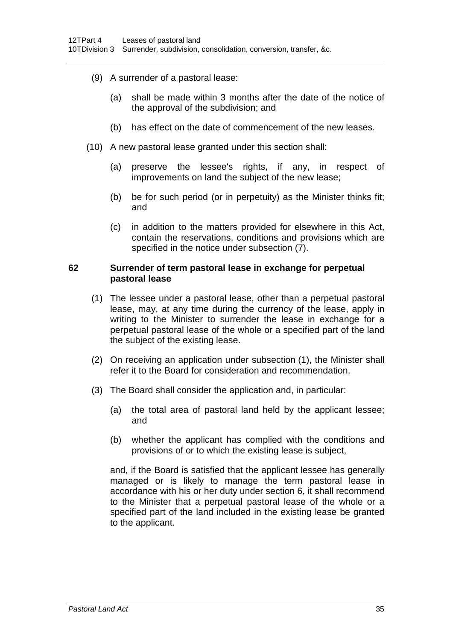- (9) A surrender of a pastoral lease:
	- (a) shall be made within 3 months after the date of the notice of the approval of the subdivision; and
	- (b) has effect on the date of commencement of the new leases.
- (10) A new pastoral lease granted under this section shall:
	- (a) preserve the lessee's rights, if any, in respect of improvements on land the subject of the new lease;
	- (b) be for such period (or in perpetuity) as the Minister thinks fit; and
	- (c) in addition to the matters provided for elsewhere in this Act, contain the reservations, conditions and provisions which are specified in the notice under subsection (7).

### **62 Surrender of term pastoral lease in exchange for perpetual pastoral lease**

- (1) The lessee under a pastoral lease, other than a perpetual pastoral lease, may, at any time during the currency of the lease, apply in writing to the Minister to surrender the lease in exchange for a perpetual pastoral lease of the whole or a specified part of the land the subject of the existing lease.
- (2) On receiving an application under subsection (1), the Minister shall refer it to the Board for consideration and recommendation.
- (3) The Board shall consider the application and, in particular:
	- (a) the total area of pastoral land held by the applicant lessee; and
	- (b) whether the applicant has complied with the conditions and provisions of or to which the existing lease is subject,

and, if the Board is satisfied that the applicant lessee has generally managed or is likely to manage the term pastoral lease in accordance with his or her duty under section 6, it shall recommend to the Minister that a perpetual pastoral lease of the whole or a specified part of the land included in the existing lease be granted to the applicant.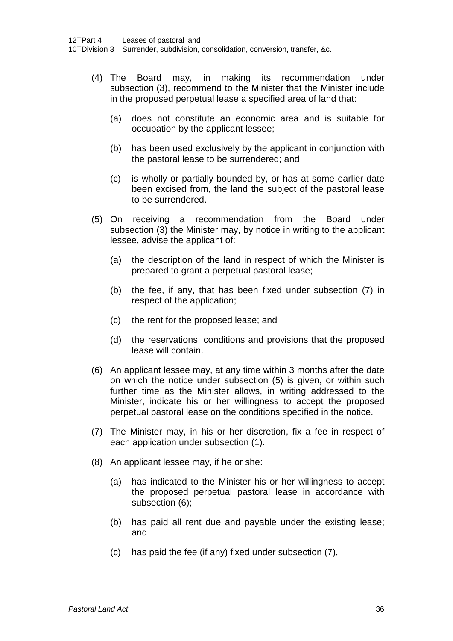- (4) The Board may, in making its recommendation under subsection (3), recommend to the Minister that the Minister include in the proposed perpetual lease a specified area of land that:
	- (a) does not constitute an economic area and is suitable for occupation by the applicant lessee;
	- (b) has been used exclusively by the applicant in conjunction with the pastoral lease to be surrendered; and
	- (c) is wholly or partially bounded by, or has at some earlier date been excised from, the land the subject of the pastoral lease to be surrendered.
- (5) On receiving a recommendation from the Board under subsection (3) the Minister may, by notice in writing to the applicant lessee, advise the applicant of:
	- (a) the description of the land in respect of which the Minister is prepared to grant a perpetual pastoral lease;
	- (b) the fee, if any, that has been fixed under subsection (7) in respect of the application;
	- (c) the rent for the proposed lease; and
	- (d) the reservations, conditions and provisions that the proposed lease will contain.
- (6) An applicant lessee may, at any time within 3 months after the date on which the notice under subsection (5) is given, or within such further time as the Minister allows, in writing addressed to the Minister, indicate his or her willingness to accept the proposed perpetual pastoral lease on the conditions specified in the notice.
- (7) The Minister may, in his or her discretion, fix a fee in respect of each application under subsection (1).
- (8) An applicant lessee may, if he or she:
	- (a) has indicated to the Minister his or her willingness to accept the proposed perpetual pastoral lease in accordance with subsection (6);
	- (b) has paid all rent due and payable under the existing lease; and
	- (c) has paid the fee (if any) fixed under subsection (7),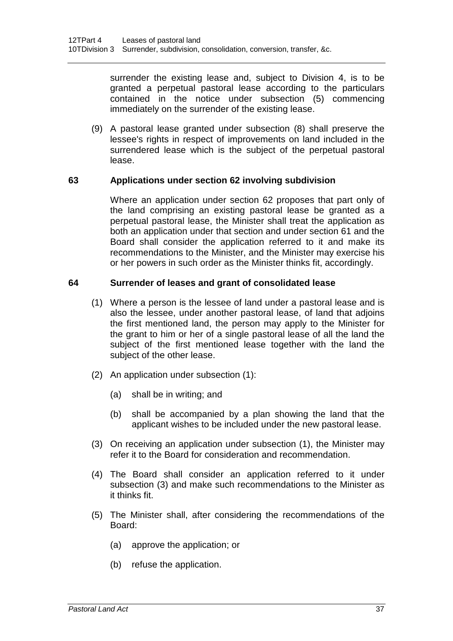surrender the existing lease and, subject to Division 4, is to be granted a perpetual pastoral lease according to the particulars contained in the notice under subsection (5) commencing immediately on the surrender of the existing lease.

(9) A pastoral lease granted under subsection (8) shall preserve the lessee's rights in respect of improvements on land included in the surrendered lease which is the subject of the perpetual pastoral lease.

### **63 Applications under section 62 involving subdivision**

Where an application under section 62 proposes that part only of the land comprising an existing pastoral lease be granted as a perpetual pastoral lease, the Minister shall treat the application as both an application under that section and under section 61 and the Board shall consider the application referred to it and make its recommendations to the Minister, and the Minister may exercise his or her powers in such order as the Minister thinks fit, accordingly.

## **64 Surrender of leases and grant of consolidated lease**

- (1) Where a person is the lessee of land under a pastoral lease and is also the lessee, under another pastoral lease, of land that adjoins the first mentioned land, the person may apply to the Minister for the grant to him or her of a single pastoral lease of all the land the subject of the first mentioned lease together with the land the subject of the other lease.
- (2) An application under subsection (1):
	- (a) shall be in writing; and
	- (b) shall be accompanied by a plan showing the land that the applicant wishes to be included under the new pastoral lease.
- (3) On receiving an application under subsection (1), the Minister may refer it to the Board for consideration and recommendation.
- (4) The Board shall consider an application referred to it under subsection (3) and make such recommendations to the Minister as it thinks fit.
- (5) The Minister shall, after considering the recommendations of the Board:
	- (a) approve the application; or
	- (b) refuse the application.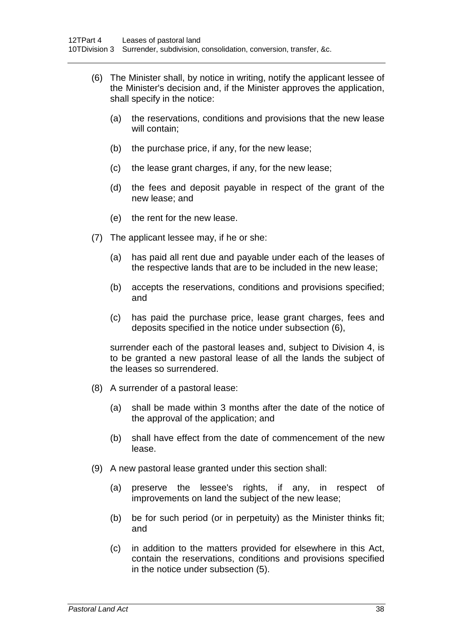- (6) The Minister shall, by notice in writing, notify the applicant lessee of the Minister's decision and, if the Minister approves the application, shall specify in the notice:
	- (a) the reservations, conditions and provisions that the new lease will contain;
	- (b) the purchase price, if any, for the new lease;
	- (c) the lease grant charges, if any, for the new lease;
	- (d) the fees and deposit payable in respect of the grant of the new lease; and
	- (e) the rent for the new lease.
- (7) The applicant lessee may, if he or she:
	- (a) has paid all rent due and payable under each of the leases of the respective lands that are to be included in the new lease;
	- (b) accepts the reservations, conditions and provisions specified; and
	- (c) has paid the purchase price, lease grant charges, fees and deposits specified in the notice under subsection (6),

surrender each of the pastoral leases and, subject to Division 4, is to be granted a new pastoral lease of all the lands the subject of the leases so surrendered.

- (8) A surrender of a pastoral lease:
	- (a) shall be made within 3 months after the date of the notice of the approval of the application; and
	- (b) shall have effect from the date of commencement of the new lease.
- (9) A new pastoral lease granted under this section shall:
	- (a) preserve the lessee's rights, if any, in respect of improvements on land the subject of the new lease;
	- (b) be for such period (or in perpetuity) as the Minister thinks fit; and
	- (c) in addition to the matters provided for elsewhere in this Act, contain the reservations, conditions and provisions specified in the notice under subsection (5).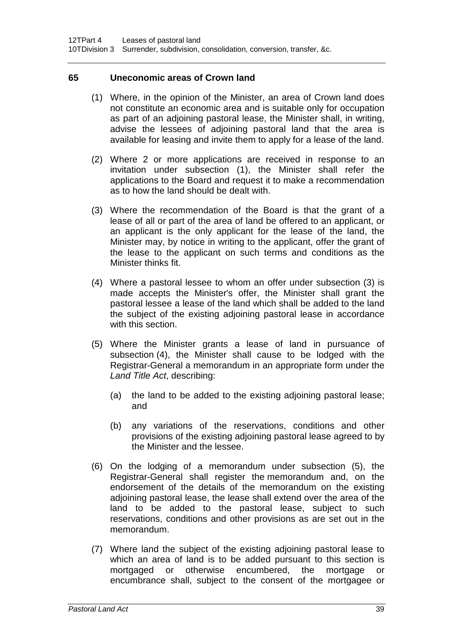### **65 Uneconomic areas of Crown land**

- (1) Where, in the opinion of the Minister, an area of Crown land does not constitute an economic area and is suitable only for occupation as part of an adjoining pastoral lease, the Minister shall, in writing, advise the lessees of adjoining pastoral land that the area is available for leasing and invite them to apply for a lease of the land.
- (2) Where 2 or more applications are received in response to an invitation under subsection (1), the Minister shall refer the applications to the Board and request it to make a recommendation as to how the land should be dealt with.
- (3) Where the recommendation of the Board is that the grant of a lease of all or part of the area of land be offered to an applicant, or an applicant is the only applicant for the lease of the land, the Minister may, by notice in writing to the applicant, offer the grant of the lease to the applicant on such terms and conditions as the Minister thinks fit.
- (4) Where a pastoral lessee to whom an offer under subsection (3) is made accepts the Minister's offer, the Minister shall grant the pastoral lessee a lease of the land which shall be added to the land the subject of the existing adjoining pastoral lease in accordance with this section.
- (5) Where the Minister grants a lease of land in pursuance of subsection (4), the Minister shall cause to be lodged with the Registrar-General a memorandum in an appropriate form under the *Land Title Act*, describing:
	- (a) the land to be added to the existing adjoining pastoral lease; and
	- (b) any variations of the reservations, conditions and other provisions of the existing adjoining pastoral lease agreed to by the Minister and the lessee.
- (6) On the lodging of a memorandum under subsection (5), the Registrar-General shall register the memorandum and, on the endorsement of the details of the memorandum on the existing adjoining pastoral lease, the lease shall extend over the area of the land to be added to the pastoral lease, subject to such reservations, conditions and other provisions as are set out in the memorandum.
- (7) Where land the subject of the existing adjoining pastoral lease to which an area of land is to be added pursuant to this section is mortgaged or otherwise encumbered, the mortgage or encumbrance shall, subject to the consent of the mortgagee or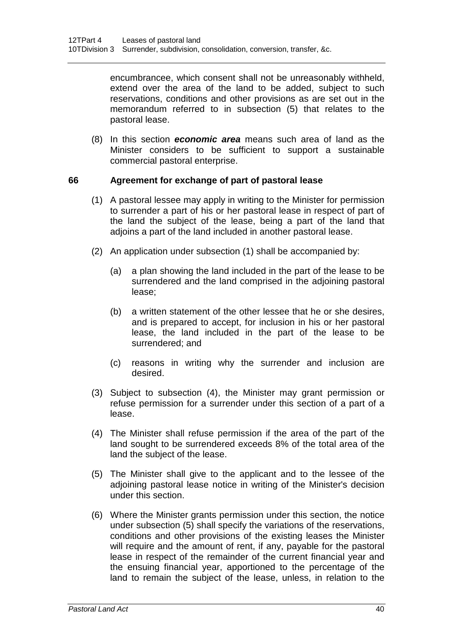encumbrancee, which consent shall not be unreasonably withheld, extend over the area of the land to be added, subject to such reservations, conditions and other provisions as are set out in the memorandum referred to in subsection (5) that relates to the pastoral lease.

(8) In this section *economic area* means such area of land as the Minister considers to be sufficient to support a sustainable commercial pastoral enterprise.

### **66 Agreement for exchange of part of pastoral lease**

- (1) A pastoral lessee may apply in writing to the Minister for permission to surrender a part of his or her pastoral lease in respect of part of the land the subject of the lease, being a part of the land that adjoins a part of the land included in another pastoral lease.
- (2) An application under subsection (1) shall be accompanied by:
	- (a) a plan showing the land included in the part of the lease to be surrendered and the land comprised in the adjoining pastoral lease;
	- (b) a written statement of the other lessee that he or she desires, and is prepared to accept, for inclusion in his or her pastoral lease, the land included in the part of the lease to be surrendered; and
	- (c) reasons in writing why the surrender and inclusion are desired.
- (3) Subject to subsection (4), the Minister may grant permission or refuse permission for a surrender under this section of a part of a lease.
- (4) The Minister shall refuse permission if the area of the part of the land sought to be surrendered exceeds 8% of the total area of the land the subject of the lease.
- (5) The Minister shall give to the applicant and to the lessee of the adjoining pastoral lease notice in writing of the Minister's decision under this section.
- (6) Where the Minister grants permission under this section, the notice under subsection (5) shall specify the variations of the reservations, conditions and other provisions of the existing leases the Minister will require and the amount of rent, if any, payable for the pastoral lease in respect of the remainder of the current financial year and the ensuing financial year, apportioned to the percentage of the land to remain the subject of the lease, unless, in relation to the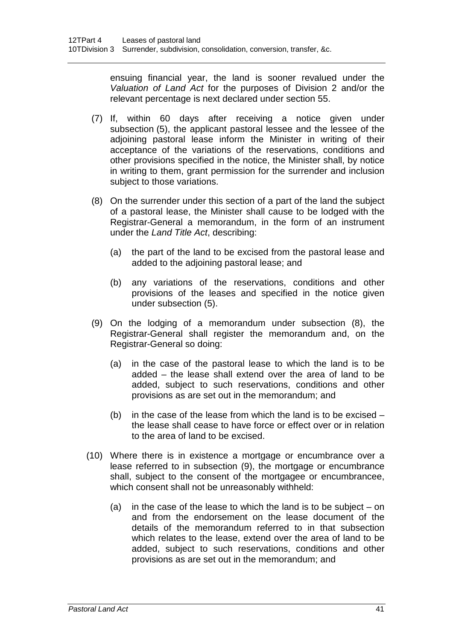ensuing financial year, the land is sooner revalued under the *Valuation of Land Act* for the purposes of Division 2 and/or the relevant percentage is next declared under section 55.

- (7) If, within 60 days after receiving a notice given under subsection (5), the applicant pastoral lessee and the lessee of the adjoining pastoral lease inform the Minister in writing of their acceptance of the variations of the reservations, conditions and other provisions specified in the notice, the Minister shall, by notice in writing to them, grant permission for the surrender and inclusion subject to those variations.
- (8) On the surrender under this section of a part of the land the subject of a pastoral lease, the Minister shall cause to be lodged with the Registrar-General a memorandum, in the form of an instrument under the *Land Title Act*, describing:
	- (a) the part of the land to be excised from the pastoral lease and added to the adjoining pastoral lease; and
	- (b) any variations of the reservations, conditions and other provisions of the leases and specified in the notice given under subsection (5).
- (9) On the lodging of a memorandum under subsection (8), the Registrar-General shall register the memorandum and, on the Registrar-General so doing:
	- (a) in the case of the pastoral lease to which the land is to be added – the lease shall extend over the area of land to be added, subject to such reservations, conditions and other provisions as are set out in the memorandum; and
	- (b) in the case of the lease from which the land is to be excised the lease shall cease to have force or effect over or in relation to the area of land to be excised.
- (10) Where there is in existence a mortgage or encumbrance over a lease referred to in subsection (9), the mortgage or encumbrance shall, subject to the consent of the mortgagee or encumbrancee, which consent shall not be unreasonably withheld:
	- (a) in the case of the lease to which the land is to be subject  $-$  on and from the endorsement on the lease document of the details of the memorandum referred to in that subsection which relates to the lease, extend over the area of land to be added, subject to such reservations, conditions and other provisions as are set out in the memorandum; and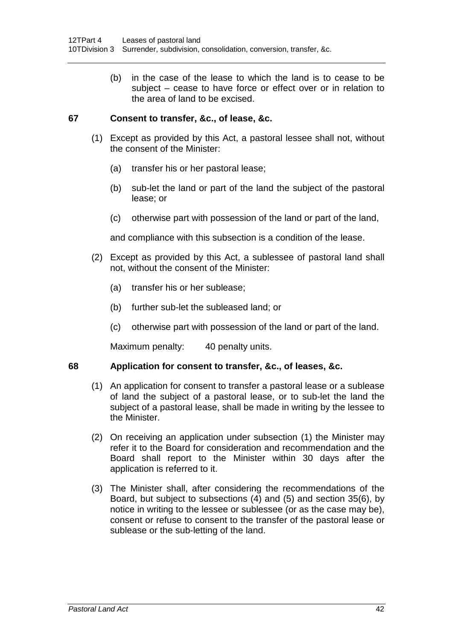(b) in the case of the lease to which the land is to cease to be subject – cease to have force or effect over or in relation to the area of land to be excised.

### **67 Consent to transfer, &c., of lease, &c.**

- (1) Except as provided by this Act, a pastoral lessee shall not, without the consent of the Minister:
	- (a) transfer his or her pastoral lease;
	- (b) sub-let the land or part of the land the subject of the pastoral lease; or
	- (c) otherwise part with possession of the land or part of the land,

and compliance with this subsection is a condition of the lease.

- (2) Except as provided by this Act, a sublessee of pastoral land shall not, without the consent of the Minister:
	- (a) transfer his or her sublease;
	- (b) further sub-let the subleased land; or
	- (c) otherwise part with possession of the land or part of the land.

Maximum penalty: 40 penalty units.

#### **68 Application for consent to transfer, &c., of leases, &c.**

- (1) An application for consent to transfer a pastoral lease or a sublease of land the subject of a pastoral lease, or to sub-let the land the subject of a pastoral lease, shall be made in writing by the lessee to the Minister.
- (2) On receiving an application under subsection (1) the Minister may refer it to the Board for consideration and recommendation and the Board shall report to the Minister within 30 days after the application is referred to it.
- (3) The Minister shall, after considering the recommendations of the Board, but subject to subsections (4) and (5) and section 35(6), by notice in writing to the lessee or sublessee (or as the case may be), consent or refuse to consent to the transfer of the pastoral lease or sublease or the sub-letting of the land.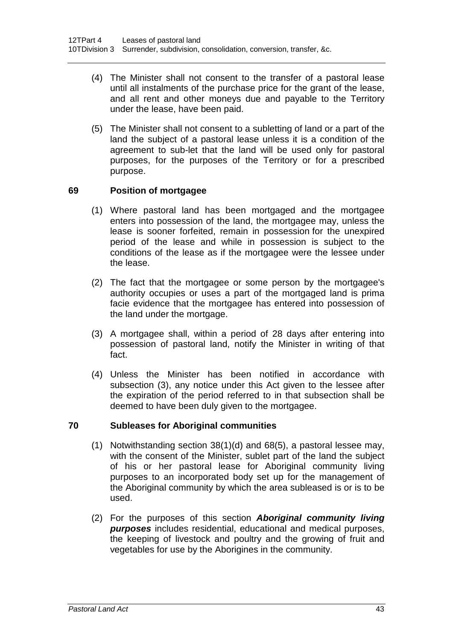- (4) The Minister shall not consent to the transfer of a pastoral lease until all instalments of the purchase price for the grant of the lease, and all rent and other moneys due and payable to the Territory under the lease, have been paid.
- (5) The Minister shall not consent to a subletting of land or a part of the land the subject of a pastoral lease unless it is a condition of the agreement to sub-let that the land will be used only for pastoral purposes, for the purposes of the Territory or for a prescribed purpose.

## **69 Position of mortgagee**

- (1) Where pastoral land has been mortgaged and the mortgagee enters into possession of the land, the mortgagee may, unless the lease is sooner forfeited, remain in possession for the unexpired period of the lease and while in possession is subject to the conditions of the lease as if the mortgagee were the lessee under the lease.
- (2) The fact that the mortgagee or some person by the mortgagee's authority occupies or uses a part of the mortgaged land is prima facie evidence that the mortgagee has entered into possession of the land under the mortgage.
- (3) A mortgagee shall, within a period of 28 days after entering into possession of pastoral land, notify the Minister in writing of that fact.
- (4) Unless the Minister has been notified in accordance with subsection (3), any notice under this Act given to the lessee after the expiration of the period referred to in that subsection shall be deemed to have been duly given to the mortgagee.

# **70 Subleases for Aboriginal communities**

- (1) Notwithstanding section 38(1)(d) and 68(5), a pastoral lessee may, with the consent of the Minister, sublet part of the land the subject of his or her pastoral lease for Aboriginal community living purposes to an incorporated body set up for the management of the Aboriginal community by which the area subleased is or is to be used.
- (2) For the purposes of this section *Aboriginal community living purposes* includes residential, educational and medical purposes, the keeping of livestock and poultry and the growing of fruit and vegetables for use by the Aborigines in the community.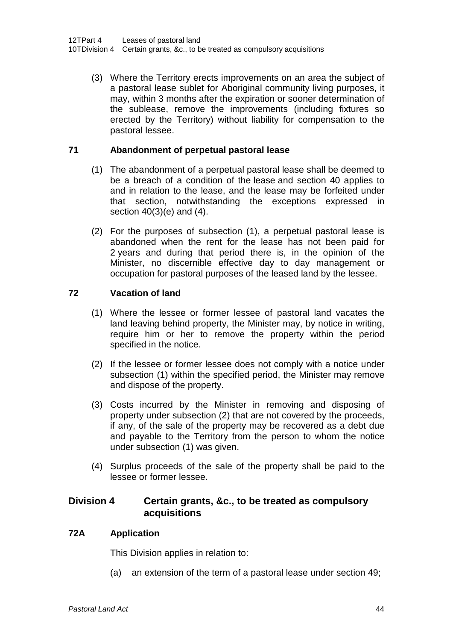(3) Where the Territory erects improvements on an area the subject of a pastoral lease sublet for Aboriginal community living purposes, it may, within 3 months after the expiration or sooner determination of the sublease, remove the improvements (including fixtures so erected by the Territory) without liability for compensation to the pastoral lessee.

## **71 Abandonment of perpetual pastoral lease**

- (1) The abandonment of a perpetual pastoral lease shall be deemed to be a breach of a condition of the lease and section 40 applies to and in relation to the lease, and the lease may be forfeited under that section, notwithstanding the exceptions expressed in section 40(3)(e) and (4).
- (2) For the purposes of subsection (1), a perpetual pastoral lease is abandoned when the rent for the lease has not been paid for 2 years and during that period there is, in the opinion of the Minister, no discernible effective day to day management or occupation for pastoral purposes of the leased land by the lessee.

# **72 Vacation of land**

- (1) Where the lessee or former lessee of pastoral land vacates the land leaving behind property, the Minister may, by notice in writing, require him or her to remove the property within the period specified in the notice.
- (2) If the lessee or former lessee does not comply with a notice under subsection (1) within the specified period, the Minister may remove and dispose of the property.
- (3) Costs incurred by the Minister in removing and disposing of property under subsection (2) that are not covered by the proceeds, if any, of the sale of the property may be recovered as a debt due and payable to the Territory from the person to whom the notice under subsection (1) was given.
- (4) Surplus proceeds of the sale of the property shall be paid to the lessee or former lessee.

# **Division 4 Certain grants, &c., to be treated as compulsory acquisitions**

### **72A Application**

This Division applies in relation to:

(a) an extension of the term of a pastoral lease under section 49;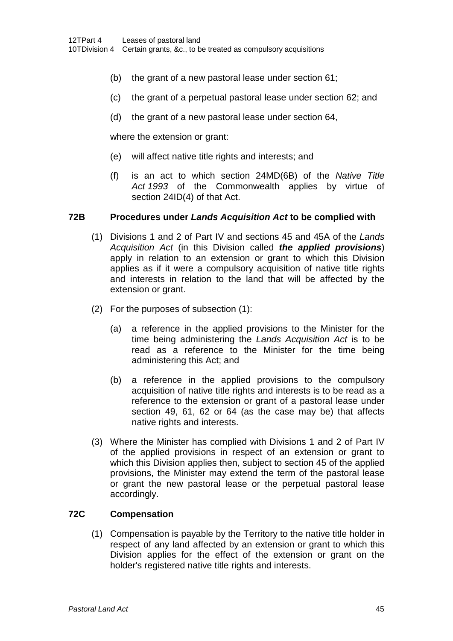- (b) the grant of a new pastoral lease under section 61;
- (c) the grant of a perpetual pastoral lease under section 62; and
- (d) the grant of a new pastoral lease under section 64,

where the extension or grant:

- (e) will affect native title rights and interests; and
- (f) is an act to which section 24MD(6B) of the *Native Title Act 1993* of the Commonwealth applies by virtue of section 24ID(4) of that Act.

#### **72B Procedures under** *Lands Acquisition Act* **to be complied with**

- (1) Divisions 1 and 2 of Part IV and sections 45 and 45A of the *Lands Acquisition Act* (in this Division called *the applied provisions*) apply in relation to an extension or grant to which this Division applies as if it were a compulsory acquisition of native title rights and interests in relation to the land that will be affected by the extension or grant.
- (2) For the purposes of subsection (1):
	- (a) a reference in the applied provisions to the Minister for the time being administering the *Lands Acquisition Act* is to be read as a reference to the Minister for the time being administering this Act; and
	- (b) a reference in the applied provisions to the compulsory acquisition of native title rights and interests is to be read as a reference to the extension or grant of a pastoral lease under section 49, 61, 62 or 64 (as the case may be) that affects native rights and interests.
- (3) Where the Minister has complied with Divisions 1 and 2 of Part IV of the applied provisions in respect of an extension or grant to which this Division applies then, subject to section 45 of the applied provisions, the Minister may extend the term of the pastoral lease or grant the new pastoral lease or the perpetual pastoral lease accordingly.

### **72C Compensation**

(1) Compensation is payable by the Territory to the native title holder in respect of any land affected by an extension or grant to which this Division applies for the effect of the extension or grant on the holder's registered native title rights and interests.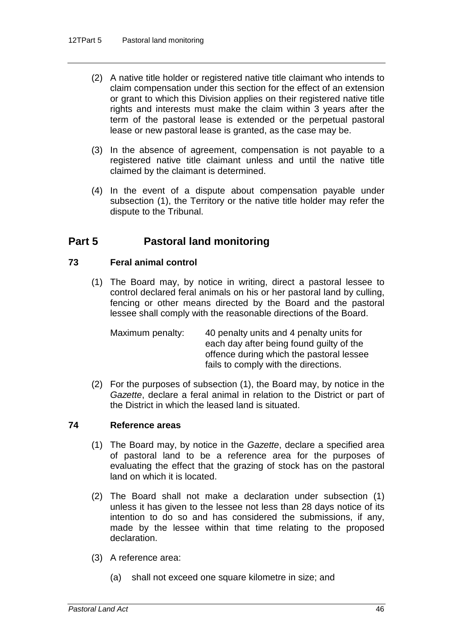- (2) A native title holder or registered native title claimant who intends to claim compensation under this section for the effect of an extension or grant to which this Division applies on their registered native title rights and interests must make the claim within 3 years after the term of the pastoral lease is extended or the perpetual pastoral lease or new pastoral lease is granted, as the case may be.
- (3) In the absence of agreement, compensation is not payable to a registered native title claimant unless and until the native title claimed by the claimant is determined.
- (4) In the event of a dispute about compensation payable under subsection (1), the Territory or the native title holder may refer the dispute to the Tribunal.

# **Part 5 Pastoral land monitoring**

### **73 Feral animal control**

(1) The Board may, by notice in writing, direct a pastoral lessee to control declared feral animals on his or her pastoral land by culling, fencing or other means directed by the Board and the pastoral lessee shall comply with the reasonable directions of the Board.

Maximum penalty: 40 penalty units and 4 penalty units for each day after being found guilty of the offence during which the pastoral lessee fails to comply with the directions.

(2) For the purposes of subsection (1), the Board may, by notice in the *Gazette*, declare a feral animal in relation to the District or part of the District in which the leased land is situated.

#### **74 Reference areas**

- (1) The Board may, by notice in the *Gazette*, declare a specified area of pastoral land to be a reference area for the purposes of evaluating the effect that the grazing of stock has on the pastoral land on which it is located.
- (2) The Board shall not make a declaration under subsection (1) unless it has given to the lessee not less than 28 days notice of its intention to do so and has considered the submissions, if any, made by the lessee within that time relating to the proposed declaration.
- (3) A reference area:
	- (a) shall not exceed one square kilometre in size; and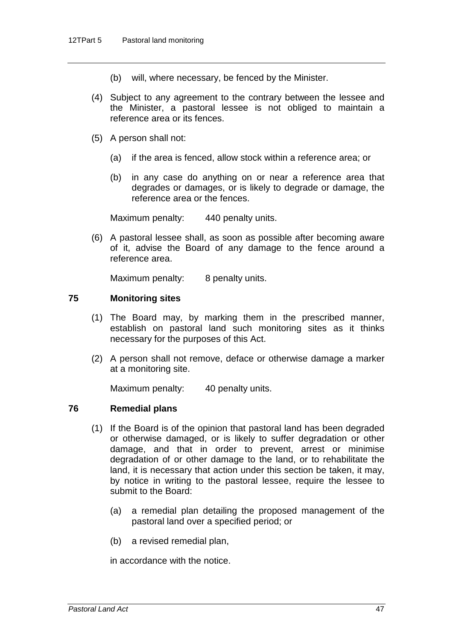- (b) will, where necessary, be fenced by the Minister.
- (4) Subject to any agreement to the contrary between the lessee and the Minister, a pastoral lessee is not obliged to maintain a reference area or its fences.
- (5) A person shall not:
	- (a) if the area is fenced, allow stock within a reference area; or
	- (b) in any case do anything on or near a reference area that degrades or damages, or is likely to degrade or damage, the reference area or the fences.

Maximum penalty: 440 penalty units.

(6) A pastoral lessee shall, as soon as possible after becoming aware of it, advise the Board of any damage to the fence around a reference area.

Maximum penalty: 8 penalty units.

### **75 Monitoring sites**

- (1) The Board may, by marking them in the prescribed manner, establish on pastoral land such monitoring sites as it thinks necessary for the purposes of this Act.
- (2) A person shall not remove, deface or otherwise damage a marker at a monitoring site.

Maximum penalty: 40 penalty units.

#### **76 Remedial plans**

- (1) If the Board is of the opinion that pastoral land has been degraded or otherwise damaged, or is likely to suffer degradation or other damage, and that in order to prevent, arrest or minimise degradation of or other damage to the land, or to rehabilitate the land, it is necessary that action under this section be taken, it may, by notice in writing to the pastoral lessee, require the lessee to submit to the Board:
	- (a) a remedial plan detailing the proposed management of the pastoral land over a specified period; or
	- (b) a revised remedial plan,

in accordance with the notice.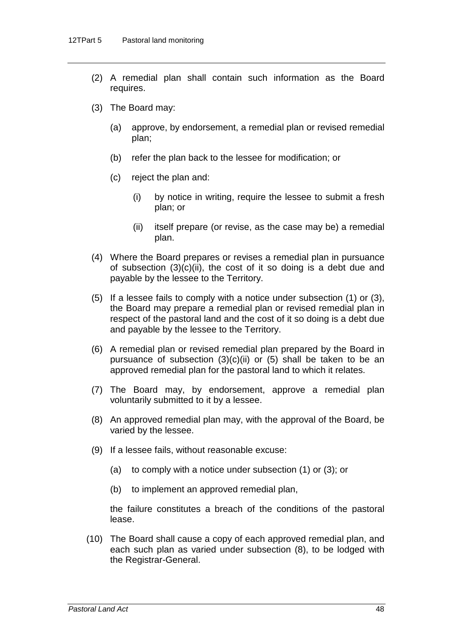- (2) A remedial plan shall contain such information as the Board requires.
- (3) The Board may:
	- (a) approve, by endorsement, a remedial plan or revised remedial plan;
	- (b) refer the plan back to the lessee for modification; or
	- (c) reject the plan and:
		- (i) by notice in writing, require the lessee to submit a fresh plan; or
		- (ii) itself prepare (or revise, as the case may be) a remedial plan.
- (4) Where the Board prepares or revises a remedial plan in pursuance of subsection  $(3)(c)(ii)$ , the cost of it so doing is a debt due and payable by the lessee to the Territory.
- (5) If a lessee fails to comply with a notice under subsection (1) or (3), the Board may prepare a remedial plan or revised remedial plan in respect of the pastoral land and the cost of it so doing is a debt due and payable by the lessee to the Territory.
- (6) A remedial plan or revised remedial plan prepared by the Board in pursuance of subsection  $(3)(c)(ii)$  or  $(5)$  shall be taken to be an approved remedial plan for the pastoral land to which it relates.
- (7) The Board may, by endorsement, approve a remedial plan voluntarily submitted to it by a lessee.
- (8) An approved remedial plan may, with the approval of the Board, be varied by the lessee.
- (9) If a lessee fails, without reasonable excuse:
	- (a) to comply with a notice under subsection (1) or (3); or
	- (b) to implement an approved remedial plan,

the failure constitutes a breach of the conditions of the pastoral lease.

(10) The Board shall cause a copy of each approved remedial plan, and each such plan as varied under subsection (8), to be lodged with the Registrar-General.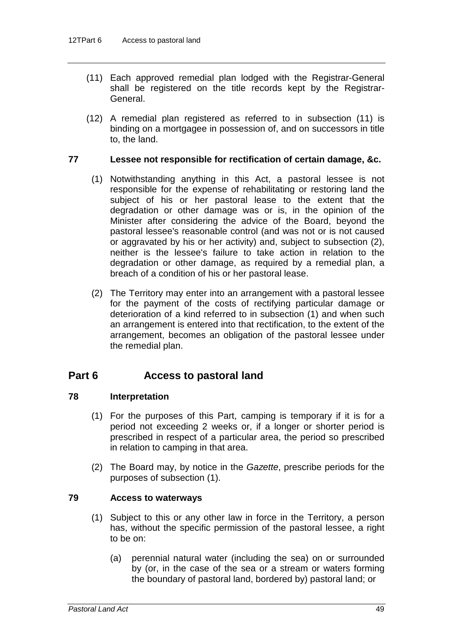- (11) Each approved remedial plan lodged with the Registrar-General shall be registered on the title records kept by the Registrar-General.
- (12) A remedial plan registered as referred to in subsection (11) is binding on a mortgagee in possession of, and on successors in title to, the land.

### **77 Lessee not responsible for rectification of certain damage, &c.**

- (1) Notwithstanding anything in this Act, a pastoral lessee is not responsible for the expense of rehabilitating or restoring land the subject of his or her pastoral lease to the extent that the degradation or other damage was or is, in the opinion of the Minister after considering the advice of the Board, beyond the pastoral lessee's reasonable control (and was not or is not caused or aggravated by his or her activity) and, subject to subsection (2), neither is the lessee's failure to take action in relation to the degradation or other damage, as required by a remedial plan, a breach of a condition of his or her pastoral lease.
- (2) The Territory may enter into an arrangement with a pastoral lessee for the payment of the costs of rectifying particular damage or deterioration of a kind referred to in subsection (1) and when such an arrangement is entered into that rectification, to the extent of the arrangement, becomes an obligation of the pastoral lessee under the remedial plan.

# **Part 6 Access to pastoral land**

### **78 Interpretation**

- (1) For the purposes of this Part, camping is temporary if it is for a period not exceeding 2 weeks or, if a longer or shorter period is prescribed in respect of a particular area, the period so prescribed in relation to camping in that area.
- (2) The Board may, by notice in the *Gazette*, prescribe periods for the purposes of subsection (1).

### **79 Access to waterways**

- (1) Subject to this or any other law in force in the Territory, a person has, without the specific permission of the pastoral lessee, a right to be on:
	- (a) perennial natural water (including the sea) on or surrounded by (or, in the case of the sea or a stream or waters forming the boundary of pastoral land, bordered by) pastoral land; or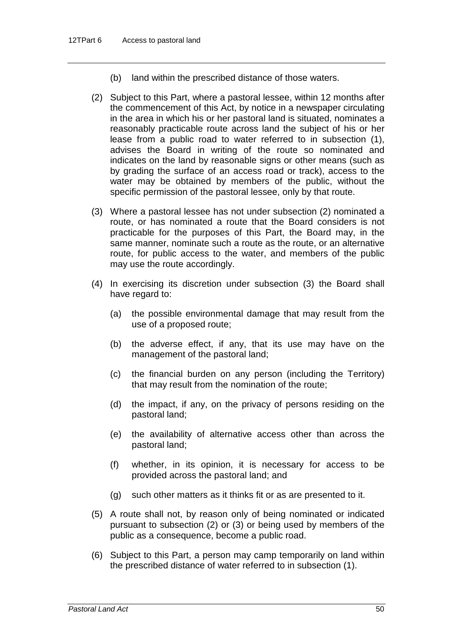- (b) land within the prescribed distance of those waters.
- (2) Subject to this Part, where a pastoral lessee, within 12 months after the commencement of this Act, by notice in a newspaper circulating in the area in which his or her pastoral land is situated, nominates a reasonably practicable route across land the subject of his or her lease from a public road to water referred to in subsection (1), advises the Board in writing of the route so nominated and indicates on the land by reasonable signs or other means (such as by grading the surface of an access road or track), access to the water may be obtained by members of the public, without the specific permission of the pastoral lessee, only by that route.
- (3) Where a pastoral lessee has not under subsection (2) nominated a route, or has nominated a route that the Board considers is not practicable for the purposes of this Part, the Board may, in the same manner, nominate such a route as the route, or an alternative route, for public access to the water, and members of the public may use the route accordingly.
- (4) In exercising its discretion under subsection (3) the Board shall have regard to:
	- (a) the possible environmental damage that may result from the use of a proposed route;
	- (b) the adverse effect, if any, that its use may have on the management of the pastoral land;
	- (c) the financial burden on any person (including the Territory) that may result from the nomination of the route;
	- (d) the impact, if any, on the privacy of persons residing on the pastoral land;
	- (e) the availability of alternative access other than across the pastoral land;
	- (f) whether, in its opinion, it is necessary for access to be provided across the pastoral land; and
	- (g) such other matters as it thinks fit or as are presented to it.
- (5) A route shall not, by reason only of being nominated or indicated pursuant to subsection (2) or (3) or being used by members of the public as a consequence, become a public road.
- (6) Subject to this Part, a person may camp temporarily on land within the prescribed distance of water referred to in subsection (1).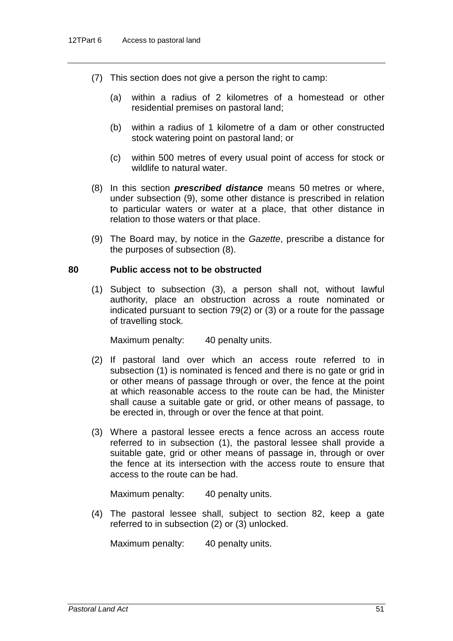- (7) This section does not give a person the right to camp:
	- (a) within a radius of 2 kilometres of a homestead or other residential premises on pastoral land;
	- (b) within a radius of 1 kilometre of a dam or other constructed stock watering point on pastoral land; or
	- (c) within 500 metres of every usual point of access for stock or wildlife to natural water.
- (8) In this section *prescribed distance* means 50 metres or where, under subsection (9), some other distance is prescribed in relation to particular waters or water at a place, that other distance in relation to those waters or that place.
- (9) The Board may, by notice in the *Gazette*, prescribe a distance for the purposes of subsection (8).

#### **80 Public access not to be obstructed**

(1) Subject to subsection (3), a person shall not, without lawful authority, place an obstruction across a route nominated or indicated pursuant to section 79(2) or (3) or a route for the passage of travelling stock.

Maximum penalty: 40 penalty units.

- (2) If pastoral land over which an access route referred to in subsection (1) is nominated is fenced and there is no gate or grid in or other means of passage through or over, the fence at the point at which reasonable access to the route can be had, the Minister shall cause a suitable gate or grid, or other means of passage, to be erected in, through or over the fence at that point.
- (3) Where a pastoral lessee erects a fence across an access route referred to in subsection (1), the pastoral lessee shall provide a suitable gate, grid or other means of passage in, through or over the fence at its intersection with the access route to ensure that access to the route can be had.

Maximum penalty: 40 penalty units.

(4) The pastoral lessee shall, subject to section 82, keep a gate referred to in subsection (2) or (3) unlocked.

Maximum penalty: 40 penalty units.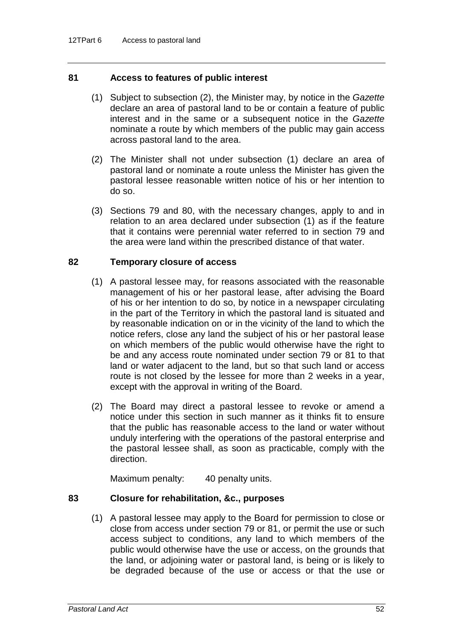### **81 Access to features of public interest**

- (1) Subject to subsection (2), the Minister may, by notice in the *Gazette* declare an area of pastoral land to be or contain a feature of public interest and in the same or a subsequent notice in the *Gazette* nominate a route by which members of the public may gain access across pastoral land to the area.
- (2) The Minister shall not under subsection (1) declare an area of pastoral land or nominate a route unless the Minister has given the pastoral lessee reasonable written notice of his or her intention to do so.
- (3) Sections 79 and 80, with the necessary changes, apply to and in relation to an area declared under subsection (1) as if the feature that it contains were perennial water referred to in section 79 and the area were land within the prescribed distance of that water.

### **82 Temporary closure of access**

- (1) A pastoral lessee may, for reasons associated with the reasonable management of his or her pastoral lease, after advising the Board of his or her intention to do so, by notice in a newspaper circulating in the part of the Territory in which the pastoral land is situated and by reasonable indication on or in the vicinity of the land to which the notice refers, close any land the subject of his or her pastoral lease on which members of the public would otherwise have the right to be and any access route nominated under section 79 or 81 to that land or water adjacent to the land, but so that such land or access route is not closed by the lessee for more than 2 weeks in a year, except with the approval in writing of the Board.
- (2) The Board may direct a pastoral lessee to revoke or amend a notice under this section in such manner as it thinks fit to ensure that the public has reasonable access to the land or water without unduly interfering with the operations of the pastoral enterprise and the pastoral lessee shall, as soon as practicable, comply with the direction.

Maximum penalty: 40 penalty units.

### **83 Closure for rehabilitation, &c., purposes**

(1) A pastoral lessee may apply to the Board for permission to close or close from access under section 79 or 81, or permit the use or such access subject to conditions, any land to which members of the public would otherwise have the use or access, on the grounds that the land, or adjoining water or pastoral land, is being or is likely to be degraded because of the use or access or that the use or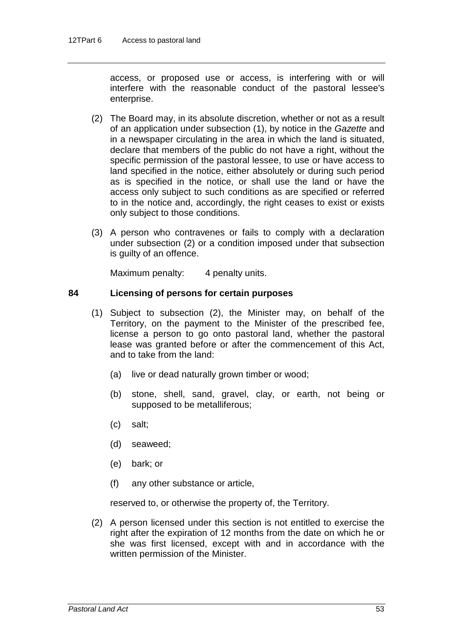access, or proposed use or access, is interfering with or will interfere with the reasonable conduct of the pastoral lessee's enterprise.

- (2) The Board may, in its absolute discretion, whether or not as a result of an application under subsection (1), by notice in the *Gazette* and in a newspaper circulating in the area in which the land is situated, declare that members of the public do not have a right, without the specific permission of the pastoral lessee, to use or have access to land specified in the notice, either absolutely or during such period as is specified in the notice, or shall use the land or have the access only subject to such conditions as are specified or referred to in the notice and, accordingly, the right ceases to exist or exists only subject to those conditions.
- (3) A person who contravenes or fails to comply with a declaration under subsection (2) or a condition imposed under that subsection is guilty of an offence.

Maximum penalty: 4 penalty units.

### **84 Licensing of persons for certain purposes**

- (1) Subject to subsection (2), the Minister may, on behalf of the Territory, on the payment to the Minister of the prescribed fee, license a person to go onto pastoral land, whether the pastoral lease was granted before or after the commencement of this Act, and to take from the land:
	- (a) live or dead naturally grown timber or wood;
	- (b) stone, shell, sand, gravel, clay, or earth, not being or supposed to be metalliferous;
	- (c) salt;
	- (d) seaweed;
	- (e) bark; or
	- (f) any other substance or article,

reserved to, or otherwise the property of, the Territory.

(2) A person licensed under this section is not entitled to exercise the right after the expiration of 12 months from the date on which he or she was first licensed, except with and in accordance with the written permission of the Minister.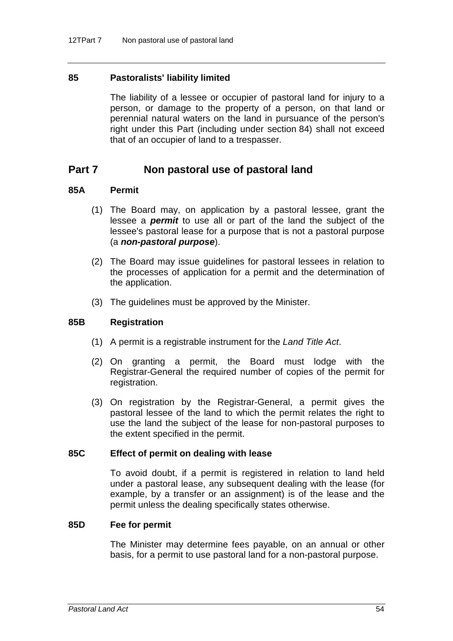#### **85 Pastoralists' liability limited**

The liability of a lessee or occupier of pastoral land for injury to a person, or damage to the property of a person, on that land or perennial natural waters on the land in pursuance of the person's right under this Part (including under section 84) shall not exceed that of an occupier of land to a trespasser.

# **Part 7 Non pastoral use of pastoral land**

# **85A Permit**

- (1) The Board may, on application by a pastoral lessee, grant the lessee a *permit* to use all or part of the land the subject of the lessee's pastoral lease for a purpose that is not a pastoral purpose (a *non-pastoral purpose*).
- (2) The Board may issue guidelines for pastoral lessees in relation to the processes of application for a permit and the determination of the application.
- (3) The guidelines must be approved by the Minister.

#### **85B Registration**

- (1) A permit is a registrable instrument for the *Land Title Act*.
- (2) On granting a permit, the Board must lodge with the Registrar-General the required number of copies of the permit for registration.
- (3) On registration by the Registrar-General, a permit gives the pastoral lessee of the land to which the permit relates the right to use the land the subject of the lease for non-pastoral purposes to the extent specified in the permit.

#### **85C Effect of permit on dealing with lease**

To avoid doubt, if a permit is registered in relation to land held under a pastoral lease, any subsequent dealing with the lease (for example, by a transfer or an assignment) is of the lease and the permit unless the dealing specifically states otherwise.

#### **85D Fee for permit**

The Minister may determine fees payable, on an annual or other basis, for a permit to use pastoral land for a non-pastoral purpose.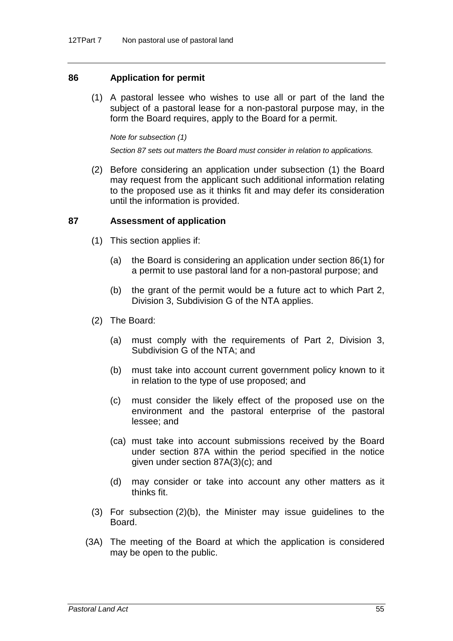#### **86 Application for permit**

(1) A pastoral lessee who wishes to use all or part of the land the subject of a pastoral lease for a non-pastoral purpose may, in the form the Board requires, apply to the Board for a permit.

*Note for subsection (1)*

*Section 87 sets out matters the Board must consider in relation to applications.*

(2) Before considering an application under subsection (1) the Board may request from the applicant such additional information relating to the proposed use as it thinks fit and may defer its consideration until the information is provided.

#### **87 Assessment of application**

- (1) This section applies if:
	- (a) the Board is considering an application under section 86(1) for a permit to use pastoral land for a non-pastoral purpose; and
	- (b) the grant of the permit would be a future act to which Part 2, Division 3, Subdivision G of the NTA applies.
- (2) The Board:
	- (a) must comply with the requirements of Part 2, Division 3, Subdivision G of the NTA; and
	- (b) must take into account current government policy known to it in relation to the type of use proposed; and
	- (c) must consider the likely effect of the proposed use on the environment and the pastoral enterprise of the pastoral lessee; and
	- (ca) must take into account submissions received by the Board under section 87A within the period specified in the notice given under section 87A(3)(c); and
	- (d) may consider or take into account any other matters as it thinks fit.
- (3) For subsection (2)(b), the Minister may issue guidelines to the Board.
- (3A) The meeting of the Board at which the application is considered may be open to the public.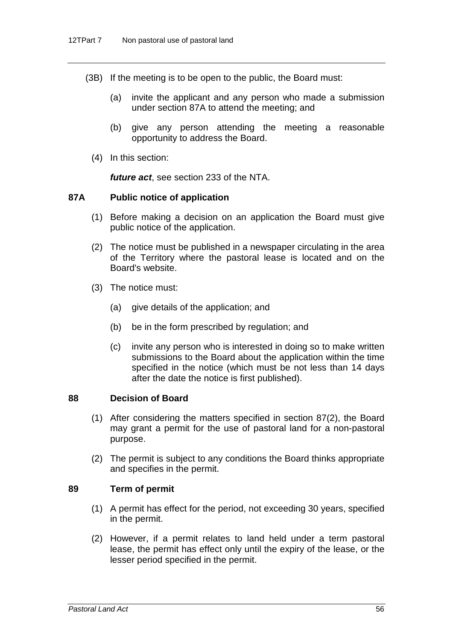- (3B) If the meeting is to be open to the public, the Board must:
	- (a) invite the applicant and any person who made a submission under section 87A to attend the meeting; and
	- (b) give any person attending the meeting a reasonable opportunity to address the Board.
	- (4) In this section:

*future act*, see section 233 of the NTA.

#### **87A Public notice of application**

- (1) Before making a decision on an application the Board must give public notice of the application.
- (2) The notice must be published in a newspaper circulating in the area of the Territory where the pastoral lease is located and on the Board's website.
- (3) The notice must:
	- (a) give details of the application; and
	- (b) be in the form prescribed by regulation; and
	- (c) invite any person who is interested in doing so to make written submissions to the Board about the application within the time specified in the notice (which must be not less than 14 days after the date the notice is first published).

#### **88 Decision of Board**

- (1) After considering the matters specified in section 87(2), the Board may grant a permit for the use of pastoral land for a non-pastoral purpose.
- (2) The permit is subject to any conditions the Board thinks appropriate and specifies in the permit.

#### **89 Term of permit**

- (1) A permit has effect for the period, not exceeding 30 years, specified in the permit.
- (2) However, if a permit relates to land held under a term pastoral lease, the permit has effect only until the expiry of the lease, or the lesser period specified in the permit.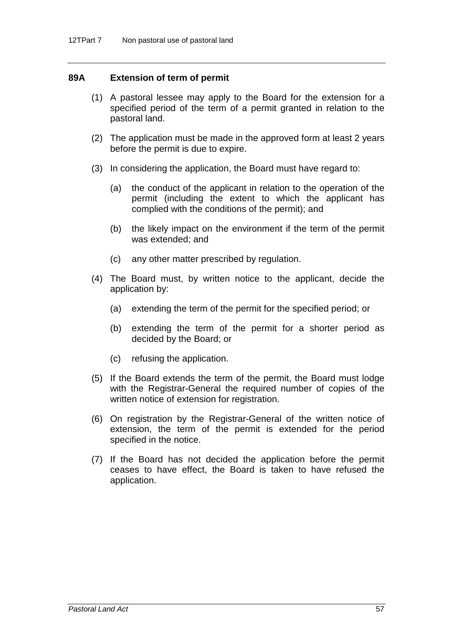#### **89A Extension of term of permit**

- (1) A pastoral lessee may apply to the Board for the extension for a specified period of the term of a permit granted in relation to the pastoral land.
- (2) The application must be made in the approved form at least 2 years before the permit is due to expire.
- (3) In considering the application, the Board must have regard to:
	- (a) the conduct of the applicant in relation to the operation of the permit (including the extent to which the applicant has complied with the conditions of the permit); and
	- (b) the likely impact on the environment if the term of the permit was extended; and
	- (c) any other matter prescribed by regulation.
- (4) The Board must, by written notice to the applicant, decide the application by:
	- (a) extending the term of the permit for the specified period; or
	- (b) extending the term of the permit for a shorter period as decided by the Board; or
	- (c) refusing the application.
- (5) If the Board extends the term of the permit, the Board must lodge with the Registrar-General the required number of copies of the written notice of extension for registration.
- (6) On registration by the Registrar-General of the written notice of extension, the term of the permit is extended for the period specified in the notice.
- (7) If the Board has not decided the application before the permit ceases to have effect, the Board is taken to have refused the application.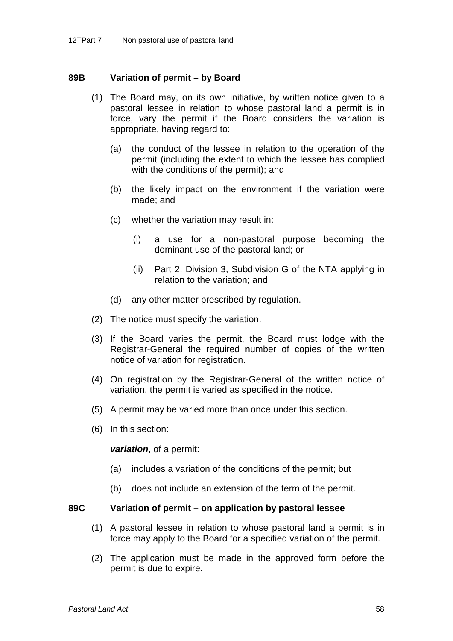#### **89B Variation of permit – by Board**

- (1) The Board may, on its own initiative, by written notice given to a pastoral lessee in relation to whose pastoral land a permit is in force, vary the permit if the Board considers the variation is appropriate, having regard to:
	- (a) the conduct of the lessee in relation to the operation of the permit (including the extent to which the lessee has complied with the conditions of the permit); and
	- (b) the likely impact on the environment if the variation were made; and
	- (c) whether the variation may result in:
		- (i) a use for a non-pastoral purpose becoming the dominant use of the pastoral land; or
		- (ii) Part 2, Division 3, Subdivision G of the NTA applying in relation to the variation; and
	- (d) any other matter prescribed by regulation.
- (2) The notice must specify the variation.
- (3) If the Board varies the permit, the Board must lodge with the Registrar-General the required number of copies of the written notice of variation for registration.
- (4) On registration by the Registrar-General of the written notice of variation, the permit is varied as specified in the notice.
- (5) A permit may be varied more than once under this section.
- (6) In this section:

#### *variation*, of a permit:

- (a) includes a variation of the conditions of the permit; but
- (b) does not include an extension of the term of the permit.

#### **89C Variation of permit – on application by pastoral lessee**

- (1) A pastoral lessee in relation to whose pastoral land a permit is in force may apply to the Board for a specified variation of the permit.
- (2) The application must be made in the approved form before the permit is due to expire.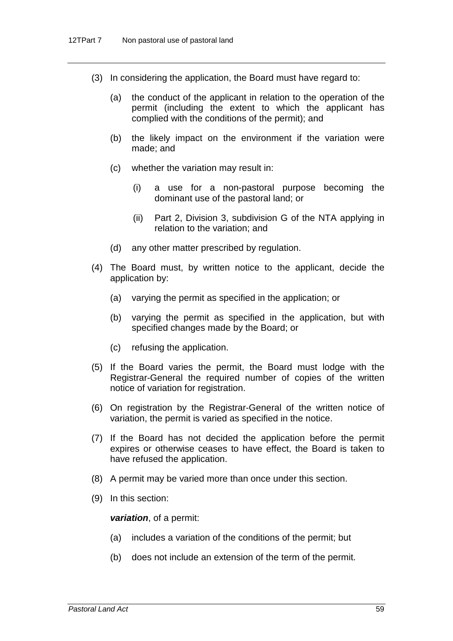- (3) In considering the application, the Board must have regard to:
	- (a) the conduct of the applicant in relation to the operation of the permit (including the extent to which the applicant has complied with the conditions of the permit); and
	- (b) the likely impact on the environment if the variation were made; and
	- (c) whether the variation may result in:
		- (i) a use for a non-pastoral purpose becoming the dominant use of the pastoral land; or
		- (ii) Part 2, Division 3, subdivision G of the NTA applying in relation to the variation; and
	- (d) any other matter prescribed by regulation.
- (4) The Board must, by written notice to the applicant, decide the application by:
	- (a) varying the permit as specified in the application; or
	- (b) varying the permit as specified in the application, but with specified changes made by the Board; or
	- (c) refusing the application.
- (5) If the Board varies the permit, the Board must lodge with the Registrar-General the required number of copies of the written notice of variation for registration.
- (6) On registration by the Registrar-General of the written notice of variation, the permit is varied as specified in the notice.
- (7) If the Board has not decided the application before the permit expires or otherwise ceases to have effect, the Board is taken to have refused the application.
- (8) A permit may be varied more than once under this section.
- (9) In this section:

*variation*, of a permit:

- (a) includes a variation of the conditions of the permit; but
- (b) does not include an extension of the term of the permit.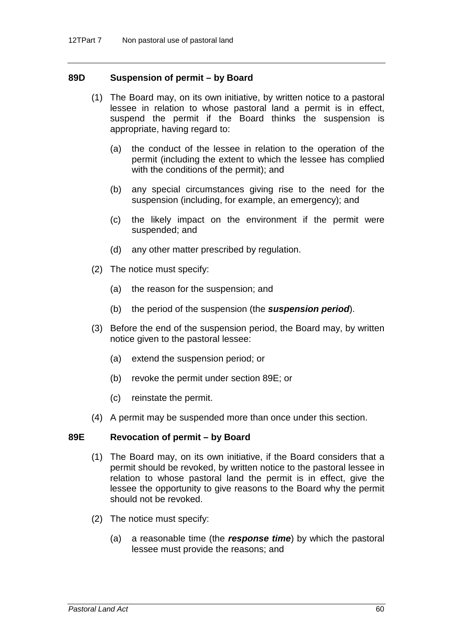#### **89D Suspension of permit – by Board**

- (1) The Board may, on its own initiative, by written notice to a pastoral lessee in relation to whose pastoral land a permit is in effect, suspend the permit if the Board thinks the suspension is appropriate, having regard to:
	- (a) the conduct of the lessee in relation to the operation of the permit (including the extent to which the lessee has complied with the conditions of the permit); and
	- (b) any special circumstances giving rise to the need for the suspension (including, for example, an emergency); and
	- (c) the likely impact on the environment if the permit were suspended; and
	- (d) any other matter prescribed by regulation.
- (2) The notice must specify:
	- (a) the reason for the suspension; and
	- (b) the period of the suspension (the *suspension period*).
- (3) Before the end of the suspension period, the Board may, by written notice given to the pastoral lessee:
	- (a) extend the suspension period; or
	- (b) revoke the permit under section 89E; or
	- (c) reinstate the permit.
- (4) A permit may be suspended more than once under this section.

#### **89E Revocation of permit – by Board**

- (1) The Board may, on its own initiative, if the Board considers that a permit should be revoked, by written notice to the pastoral lessee in relation to whose pastoral land the permit is in effect, give the lessee the opportunity to give reasons to the Board why the permit should not be revoked.
- (2) The notice must specify:
	- (a) a reasonable time (the *response time*) by which the pastoral lessee must provide the reasons; and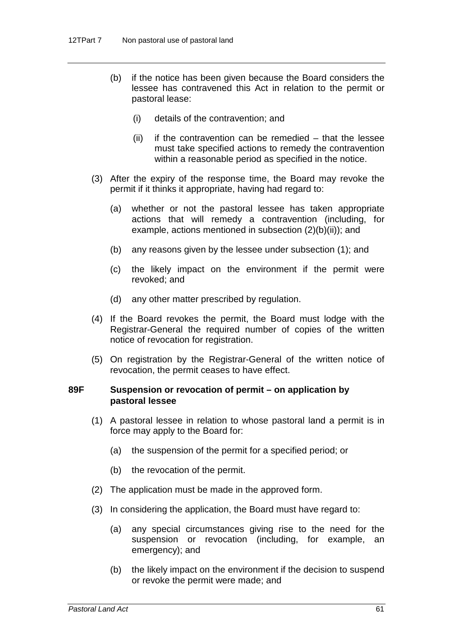- (b) if the notice has been given because the Board considers the lessee has contravened this Act in relation to the permit or pastoral lease:
	- (i) details of the contravention; and
	- (ii) if the contravention can be remedied that the lessee must take specified actions to remedy the contravention within a reasonable period as specified in the notice.
- (3) After the expiry of the response time, the Board may revoke the permit if it thinks it appropriate, having had regard to:
	- (a) whether or not the pastoral lessee has taken appropriate actions that will remedy a contravention (including, for example, actions mentioned in subsection (2)(b)(ii)); and
	- (b) any reasons given by the lessee under subsection (1); and
	- (c) the likely impact on the environment if the permit were revoked; and
	- (d) any other matter prescribed by regulation.
- (4) If the Board revokes the permit, the Board must lodge with the Registrar-General the required number of copies of the written notice of revocation for registration.
- (5) On registration by the Registrar-General of the written notice of revocation, the permit ceases to have effect.

## **89F Suspension or revocation of permit – on application by pastoral lessee**

- (1) A pastoral lessee in relation to whose pastoral land a permit is in force may apply to the Board for:
	- (a) the suspension of the permit for a specified period; or
	- (b) the revocation of the permit.
- (2) The application must be made in the approved form.
- (3) In considering the application, the Board must have regard to:
	- (a) any special circumstances giving rise to the need for the suspension or revocation (including, for example, an emergency); and
	- (b) the likely impact on the environment if the decision to suspend or revoke the permit were made; and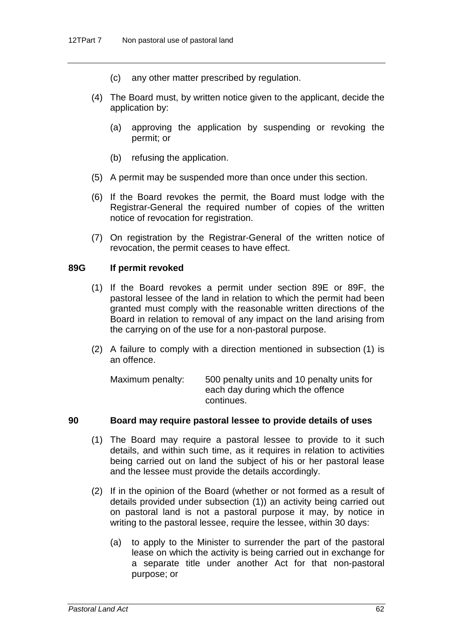- (c) any other matter prescribed by regulation.
- (4) The Board must, by written notice given to the applicant, decide the application by:
	- (a) approving the application by suspending or revoking the permit; or
	- (b) refusing the application.
- (5) A permit may be suspended more than once under this section.
- (6) If the Board revokes the permit, the Board must lodge with the Registrar-General the required number of copies of the written notice of revocation for registration.
- (7) On registration by the Registrar-General of the written notice of revocation, the permit ceases to have effect.

#### **89G If permit revoked**

- (1) If the Board revokes a permit under section 89E or 89F, the pastoral lessee of the land in relation to which the permit had been granted must comply with the reasonable written directions of the Board in relation to removal of any impact on the land arising from the carrying on of the use for a non-pastoral purpose.
- (2) A failure to comply with a direction mentioned in subsection (1) is an offence.

| Maximum penalty: | 500 penalty units and 10 penalty units for |
|------------------|--------------------------------------------|
|                  | each day during which the offence          |
|                  | continues.                                 |

#### **90 Board may require pastoral lessee to provide details of uses**

- (1) The Board may require a pastoral lessee to provide to it such details, and within such time, as it requires in relation to activities being carried out on land the subject of his or her pastoral lease and the lessee must provide the details accordingly.
- (2) If in the opinion of the Board (whether or not formed as a result of details provided under subsection (1)) an activity being carried out on pastoral land is not a pastoral purpose it may, by notice in writing to the pastoral lessee, require the lessee, within 30 days:
	- (a) to apply to the Minister to surrender the part of the pastoral lease on which the activity is being carried out in exchange for a separate title under another Act for that non-pastoral purpose; or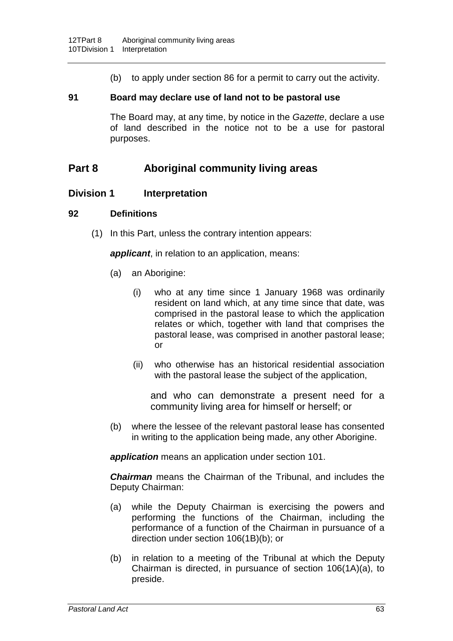(b) to apply under section 86 for a permit to carry out the activity.

#### **91 Board may declare use of land not to be pastoral use**

The Board may, at any time, by notice in the *Gazette*, declare a use of land described in the notice not to be a use for pastoral purposes.

# **Part 8 Aboriginal community living areas**

#### **Division 1 Interpretation**

#### **92 Definitions**

(1) In this Part, unless the contrary intention appears:

*applicant*, in relation to an application, means:

- (a) an Aborigine:
	- (i) who at any time since 1 January 1968 was ordinarily resident on land which, at any time since that date, was comprised in the pastoral lease to which the application relates or which, together with land that comprises the pastoral lease, was comprised in another pastoral lease; or
	- (ii) who otherwise has an historical residential association with the pastoral lease the subject of the application,

and who can demonstrate a present need for a community living area for himself or herself; or

(b) where the lessee of the relevant pastoral lease has consented in writing to the application being made, any other Aborigine.

*application* means an application under section 101.

*Chairman* means the Chairman of the Tribunal, and includes the Deputy Chairman:

- (a) while the Deputy Chairman is exercising the powers and performing the functions of the Chairman, including the performance of a function of the Chairman in pursuance of a direction under section 106(1B)(b); or
- (b) in relation to a meeting of the Tribunal at which the Deputy Chairman is directed, in pursuance of section 106(1A)(a), to preside.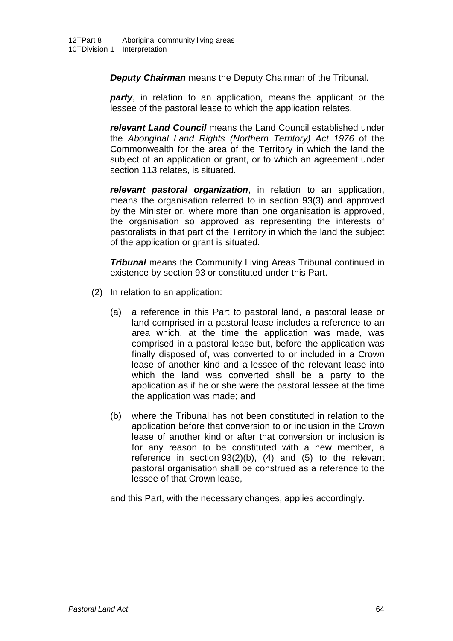*Deputy Chairman* means the Deputy Chairman of the Tribunal.

*party*, in relation to an application, means the applicant or the lessee of the pastoral lease to which the application relates.

*relevant Land Council* means the Land Council established under the *Aboriginal Land Rights (Northern Territory) Act 1976* of the Commonwealth for the area of the Territory in which the land the subject of an application or grant, or to which an agreement under section 113 relates, is situated.

*relevant pastoral organization*, in relation to an application, means the organisation referred to in section 93(3) and approved by the Minister or, where more than one organisation is approved, the organisation so approved as representing the interests of pastoralists in that part of the Territory in which the land the subject of the application or grant is situated.

*Tribunal* means the Community Living Areas Tribunal continued in existence by section 93 or constituted under this Part.

- (2) In relation to an application:
	- (a) a reference in this Part to pastoral land, a pastoral lease or land comprised in a pastoral lease includes a reference to an area which, at the time the application was made, was comprised in a pastoral lease but, before the application was finally disposed of, was converted to or included in a Crown lease of another kind and a lessee of the relevant lease into which the land was converted shall be a party to the application as if he or she were the pastoral lessee at the time the application was made; and
	- (b) where the Tribunal has not been constituted in relation to the application before that conversion to or inclusion in the Crown lease of another kind or after that conversion or inclusion is for any reason to be constituted with a new member, a reference in section 93(2)(b), (4) and (5) to the relevant pastoral organisation shall be construed as a reference to the lessee of that Crown lease,

and this Part, with the necessary changes, applies accordingly.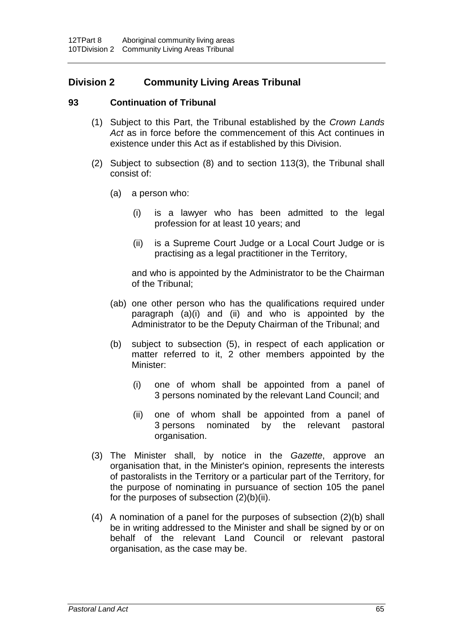# **Division 2 Community Living Areas Tribunal**

# **93 Continuation of Tribunal**

- (1) Subject to this Part, the Tribunal established by the *Crown Lands Act* as in force before the commencement of this Act continues in existence under this Act as if established by this Division.
- (2) Subject to subsection (8) and to section 113(3), the Tribunal shall consist of:
	- (a) a person who:
		- (i) is a lawyer who has been admitted to the legal profession for at least 10 years; and
		- (ii) is a Supreme Court Judge or a Local Court Judge or is practising as a legal practitioner in the Territory,

and who is appointed by the Administrator to be the Chairman of the Tribunal;

- (ab) one other person who has the qualifications required under paragraph (a)(i) and (ii) and who is appointed by the Administrator to be the Deputy Chairman of the Tribunal; and
- (b) subject to subsection (5), in respect of each application or matter referred to it, 2 other members appointed by the Minister:
	- (i) one of whom shall be appointed from a panel of 3 persons nominated by the relevant Land Council; and
	- (ii) one of whom shall be appointed from a panel of 3 persons nominated by the relevant pastoral organisation.
- (3) The Minister shall, by notice in the *Gazette*, approve an organisation that, in the Minister's opinion, represents the interests of pastoralists in the Territory or a particular part of the Territory, for the purpose of nominating in pursuance of section 105 the panel for the purposes of subsection (2)(b)(ii).
- (4) A nomination of a panel for the purposes of subsection (2)(b) shall be in writing addressed to the Minister and shall be signed by or on behalf of the relevant Land Council or relevant pastoral organisation, as the case may be.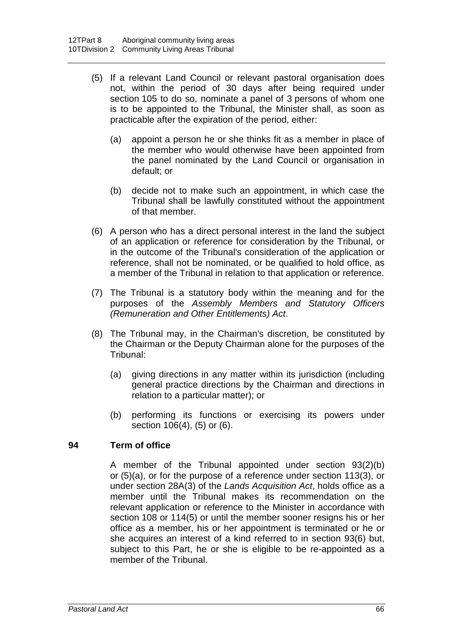- (5) If a relevant Land Council or relevant pastoral organisation does not, within the period of 30 days after being required under section 105 to do so, nominate a panel of 3 persons of whom one is to be appointed to the Tribunal, the Minister shall, as soon as practicable after the expiration of the period, either:
	- (a) appoint a person he or she thinks fit as a member in place of the member who would otherwise have been appointed from the panel nominated by the Land Council or organisation in default; or
	- (b) decide not to make such an appointment, in which case the Tribunal shall be lawfully constituted without the appointment of that member.
- (6) A person who has a direct personal interest in the land the subject of an application or reference for consideration by the Tribunal, or in the outcome of the Tribunal's consideration of the application or reference, shall not be nominated, or be qualified to hold office, as a member of the Tribunal in relation to that application or reference.
- (7) The Tribunal is a statutory body within the meaning and for the purposes of the *Assembly Members and Statutory Officers (Remuneration and Other Entitlements) Act*.
- (8) The Tribunal may, in the Chairman's discretion, be constituted by the Chairman or the Deputy Chairman alone for the purposes of the Tribunal:
	- (a) giving directions in any matter within its jurisdiction (including general practice directions by the Chairman and directions in relation to a particular matter); or
	- (b) performing its functions or exercising its powers under section 106(4), (5) or (6).

# **94 Term of office**

A member of the Tribunal appointed under section 93(2)(b) or (5)(a), or for the purpose of a reference under section 113(3), or under section 28A(3) of the *Lands Acquisition Act*, holds office as a member until the Tribunal makes its recommendation on the relevant application or reference to the Minister in accordance with section 108 or 114(5) or until the member sooner resigns his or her office as a member, his or her appointment is terminated or he or she acquires an interest of a kind referred to in section 93(6) but, subject to this Part, he or she is eligible to be re-appointed as a member of the Tribunal.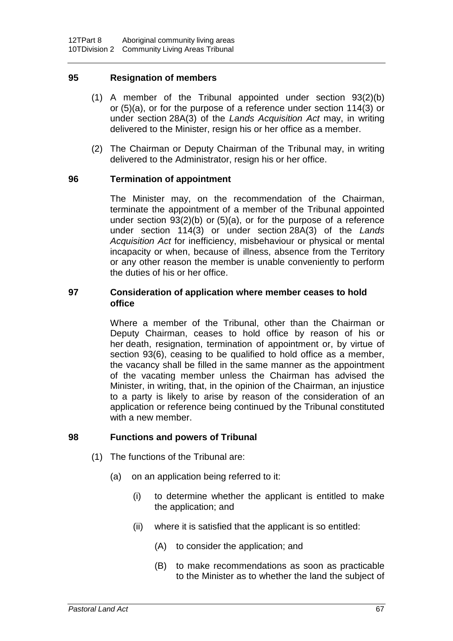# **95 Resignation of members**

- (1) A member of the Tribunal appointed under section 93(2)(b) or (5)(a), or for the purpose of a reference under section 114(3) or under section 28A(3) of the *Lands Acquisition Act* may, in writing delivered to the Minister, resign his or her office as a member.
- (2) The Chairman or Deputy Chairman of the Tribunal may, in writing delivered to the Administrator, resign his or her office.

#### **96 Termination of appointment**

The Minister may, on the recommendation of the Chairman, terminate the appointment of a member of the Tribunal appointed under section 93(2)(b) or (5)(a), or for the purpose of a reference under section 114(3) or under section 28A(3) of the *Lands Acquisition Act* for inefficiency, misbehaviour or physical or mental incapacity or when, because of illness, absence from the Territory or any other reason the member is unable conveniently to perform the duties of his or her office.

## **97 Consideration of application where member ceases to hold office**

Where a member of the Tribunal, other than the Chairman or Deputy Chairman, ceases to hold office by reason of his or her death, resignation, termination of appointment or, by virtue of section 93(6), ceasing to be qualified to hold office as a member, the vacancy shall be filled in the same manner as the appointment of the vacating member unless the Chairman has advised the Minister, in writing, that, in the opinion of the Chairman, an injustice to a party is likely to arise by reason of the consideration of an application or reference being continued by the Tribunal constituted with a new member.

# **98 Functions and powers of Tribunal**

- (1) The functions of the Tribunal are:
	- (a) on an application being referred to it:
		- (i) to determine whether the applicant is entitled to make the application; and
		- (ii) where it is satisfied that the applicant is so entitled:
			- (A) to consider the application; and
			- (B) to make recommendations as soon as practicable to the Minister as to whether the land the subject of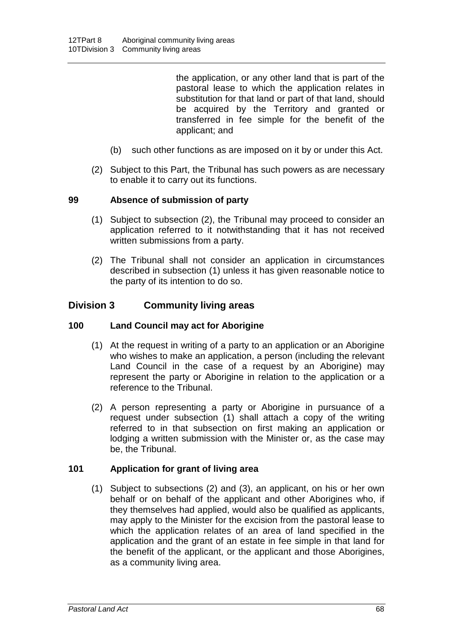the application, or any other land that is part of the pastoral lease to which the application relates in substitution for that land or part of that land, should be acquired by the Territory and granted or transferred in fee simple for the benefit of the applicant; and

- (b) such other functions as are imposed on it by or under this Act.
- (2) Subject to this Part, the Tribunal has such powers as are necessary to enable it to carry out its functions.

# **99 Absence of submission of party**

- (1) Subject to subsection (2), the Tribunal may proceed to consider an application referred to it notwithstanding that it has not received written submissions from a party.
- (2) The Tribunal shall not consider an application in circumstances described in subsection (1) unless it has given reasonable notice to the party of its intention to do so.

# **Division 3 Community living areas**

# **100 Land Council may act for Aborigine**

- (1) At the request in writing of a party to an application or an Aborigine who wishes to make an application, a person (including the relevant Land Council in the case of a request by an Aborigine) may represent the party or Aborigine in relation to the application or a reference to the Tribunal.
- (2) A person representing a party or Aborigine in pursuance of a request under subsection (1) shall attach a copy of the writing referred to in that subsection on first making an application or lodging a written submission with the Minister or, as the case may be, the Tribunal.

# **101 Application for grant of living area**

(1) Subject to subsections (2) and (3), an applicant, on his or her own behalf or on behalf of the applicant and other Aborigines who, if they themselves had applied, would also be qualified as applicants, may apply to the Minister for the excision from the pastoral lease to which the application relates of an area of land specified in the application and the grant of an estate in fee simple in that land for the benefit of the applicant, or the applicant and those Aborigines, as a community living area.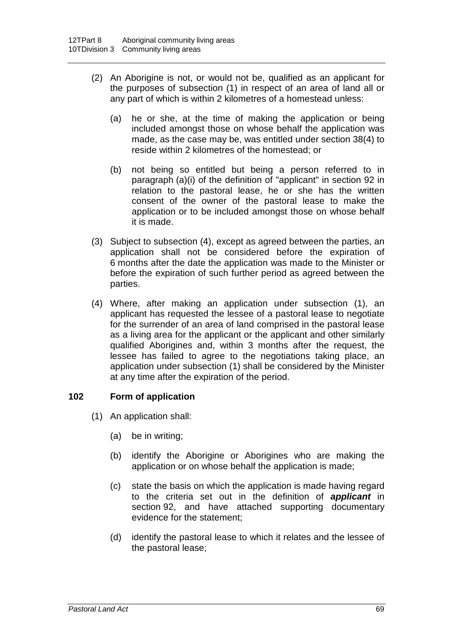- (2) An Aborigine is not, or would not be, qualified as an applicant for the purposes of subsection (1) in respect of an area of land all or any part of which is within 2 kilometres of a homestead unless:
	- (a) he or she, at the time of making the application or being included amongst those on whose behalf the application was made, as the case may be, was entitled under section 38(4) to reside within 2 kilometres of the homestead; or
	- (b) not being so entitled but being a person referred to in paragraph (a)(i) of the definition of "applicant" in section 92 in relation to the pastoral lease, he or she has the written consent of the owner of the pastoral lease to make the application or to be included amongst those on whose behalf it is made.
- (3) Subject to subsection (4), except as agreed between the parties, an application shall not be considered before the expiration of 6 months after the date the application was made to the Minister or before the expiration of such further period as agreed between the parties.
- (4) Where, after making an application under subsection (1), an applicant has requested the lessee of a pastoral lease to negotiate for the surrender of an area of land comprised in the pastoral lease as a living area for the applicant or the applicant and other similarly qualified Aborigines and, within 3 months after the request, the lessee has failed to agree to the negotiations taking place, an application under subsection (1) shall be considered by the Minister at any time after the expiration of the period.

# **102 Form of application**

- (1) An application shall:
	- (a) be in writing;
	- (b) identify the Aborigine or Aborigines who are making the application or on whose behalf the application is made;
	- (c) state the basis on which the application is made having regard to the criteria set out in the definition of *applicant* in section 92, and have attached supporting documentary evidence for the statement;
	- (d) identify the pastoral lease to which it relates and the lessee of the pastoral lease;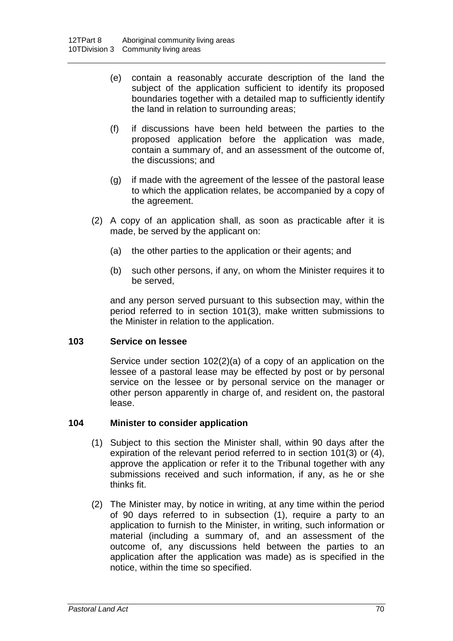- (e) contain a reasonably accurate description of the land the subject of the application sufficient to identify its proposed boundaries together with a detailed map to sufficiently identify the land in relation to surrounding areas;
- (f) if discussions have been held between the parties to the proposed application before the application was made, contain a summary of, and an assessment of the outcome of, the discussions; and
- (g) if made with the agreement of the lessee of the pastoral lease to which the application relates, be accompanied by a copy of the agreement.
- (2) A copy of an application shall, as soon as practicable after it is made, be served by the applicant on:
	- (a) the other parties to the application or their agents; and
	- (b) such other persons, if any, on whom the Minister requires it to be served,

and any person served pursuant to this subsection may, within the period referred to in section 101(3), make written submissions to the Minister in relation to the application.

# **103 Service on lessee**

Service under section 102(2)(a) of a copy of an application on the lessee of a pastoral lease may be effected by post or by personal service on the lessee or by personal service on the manager or other person apparently in charge of, and resident on, the pastoral lease.

#### **104 Minister to consider application**

- (1) Subject to this section the Minister shall, within 90 days after the expiration of the relevant period referred to in section 101(3) or (4), approve the application or refer it to the Tribunal together with any submissions received and such information, if any, as he or she thinks fit.
- (2) The Minister may, by notice in writing, at any time within the period of 90 days referred to in subsection (1), require a party to an application to furnish to the Minister, in writing, such information or material (including a summary of, and an assessment of the outcome of, any discussions held between the parties to an application after the application was made) as is specified in the notice, within the time so specified.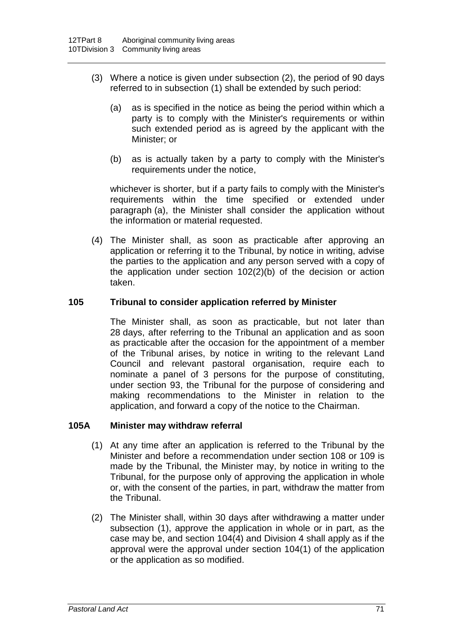- (3) Where a notice is given under subsection (2), the period of 90 days referred to in subsection (1) shall be extended by such period:
	- (a) as is specified in the notice as being the period within which a party is to comply with the Minister's requirements or within such extended period as is agreed by the applicant with the Minister; or
	- (b) as is actually taken by a party to comply with the Minister's requirements under the notice,

whichever is shorter, but if a party fails to comply with the Minister's requirements within the time specified or extended under paragraph (a), the Minister shall consider the application without the information or material requested.

(4) The Minister shall, as soon as practicable after approving an application or referring it to the Tribunal, by notice in writing, advise the parties to the application and any person served with a copy of the application under section 102(2)(b) of the decision or action taken.

# **105 Tribunal to consider application referred by Minister**

The Minister shall, as soon as practicable, but not later than 28 days, after referring to the Tribunal an application and as soon as practicable after the occasion for the appointment of a member of the Tribunal arises, by notice in writing to the relevant Land Council and relevant pastoral organisation, require each to nominate a panel of 3 persons for the purpose of constituting, under section 93, the Tribunal for the purpose of considering and making recommendations to the Minister in relation to the application, and forward a copy of the notice to the Chairman.

# **105A Minister may withdraw referral**

- (1) At any time after an application is referred to the Tribunal by the Minister and before a recommendation under section 108 or 109 is made by the Tribunal, the Minister may, by notice in writing to the Tribunal, for the purpose only of approving the application in whole or, with the consent of the parties, in part, withdraw the matter from the Tribunal.
- (2) The Minister shall, within 30 days after withdrawing a matter under subsection (1), approve the application in whole or in part, as the case may be, and section 104(4) and Division 4 shall apply as if the approval were the approval under section 104(1) of the application or the application as so modified.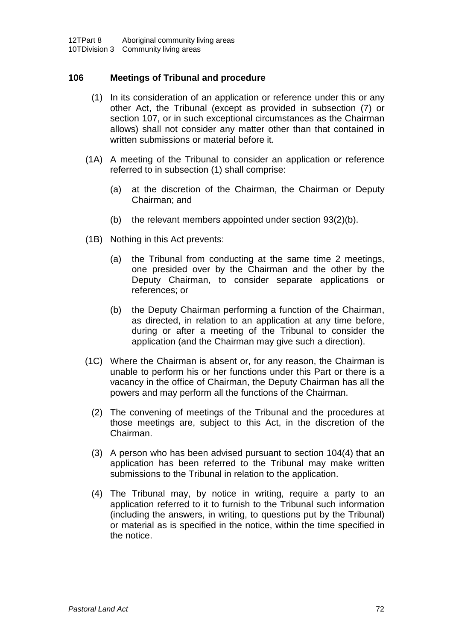# **106 Meetings of Tribunal and procedure**

- (1) In its consideration of an application or reference under this or any other Act, the Tribunal (except as provided in subsection (7) or section 107, or in such exceptional circumstances as the Chairman allows) shall not consider any matter other than that contained in written submissions or material before it.
- (1A) A meeting of the Tribunal to consider an application or reference referred to in subsection (1) shall comprise:
	- (a) at the discretion of the Chairman, the Chairman or Deputy Chairman; and
	- (b) the relevant members appointed under section 93(2)(b).
- (1B) Nothing in this Act prevents:
	- (a) the Tribunal from conducting at the same time 2 meetings, one presided over by the Chairman and the other by the Deputy Chairman, to consider separate applications or references; or
	- (b) the Deputy Chairman performing a function of the Chairman, as directed, in relation to an application at any time before, during or after a meeting of the Tribunal to consider the application (and the Chairman may give such a direction).
- (1C) Where the Chairman is absent or, for any reason, the Chairman is unable to perform his or her functions under this Part or there is a vacancy in the office of Chairman, the Deputy Chairman has all the powers and may perform all the functions of the Chairman.
	- (2) The convening of meetings of the Tribunal and the procedures at those meetings are, subject to this Act, in the discretion of the Chairman.
	- (3) A person who has been advised pursuant to section 104(4) that an application has been referred to the Tribunal may make written submissions to the Tribunal in relation to the application.
	- (4) The Tribunal may, by notice in writing, require a party to an application referred to it to furnish to the Tribunal such information (including the answers, in writing, to questions put by the Tribunal) or material as is specified in the notice, within the time specified in the notice.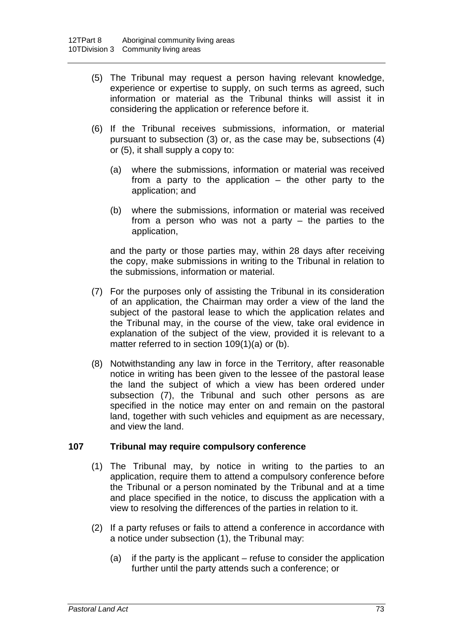- (5) The Tribunal may request a person having relevant knowledge, experience or expertise to supply, on such terms as agreed, such information or material as the Tribunal thinks will assist it in considering the application or reference before it.
- (6) If the Tribunal receives submissions, information, or material pursuant to subsection (3) or, as the case may be, subsections (4) or (5), it shall supply a copy to:
	- (a) where the submissions, information or material was received from a party to the application – the other party to the application; and
	- (b) where the submissions, information or material was received from a person who was not a party – the parties to the application,

and the party or those parties may, within 28 days after receiving the copy, make submissions in writing to the Tribunal in relation to the submissions, information or material.

- (7) For the purposes only of assisting the Tribunal in its consideration of an application, the Chairman may order a view of the land the subject of the pastoral lease to which the application relates and the Tribunal may, in the course of the view, take oral evidence in explanation of the subject of the view, provided it is relevant to a matter referred to in section 109(1)(a) or (b).
- (8) Notwithstanding any law in force in the Territory, after reasonable notice in writing has been given to the lessee of the pastoral lease the land the subject of which a view has been ordered under subsection (7), the Tribunal and such other persons as are specified in the notice may enter on and remain on the pastoral land, together with such vehicles and equipment as are necessary, and view the land.

# **107 Tribunal may require compulsory conference**

- (1) The Tribunal may, by notice in writing to the parties to an application, require them to attend a compulsory conference before the Tribunal or a person nominated by the Tribunal and at a time and place specified in the notice, to discuss the application with a view to resolving the differences of the parties in relation to it.
- (2) If a party refuses or fails to attend a conference in accordance with a notice under subsection (1), the Tribunal may:
	- (a) if the party is the applicant refuse to consider the application further until the party attends such a conference; or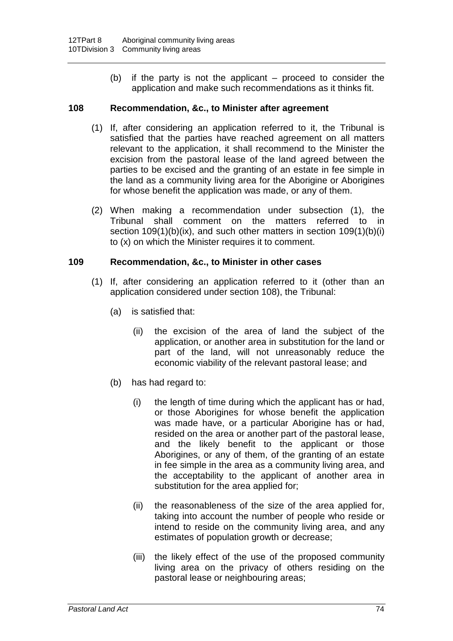(b) if the party is not the applicant – proceed to consider the application and make such recommendations as it thinks fit.

# **108 Recommendation, &c., to Minister after agreement**

- (1) If, after considering an application referred to it, the Tribunal is satisfied that the parties have reached agreement on all matters relevant to the application, it shall recommend to the Minister the excision from the pastoral lease of the land agreed between the parties to be excised and the granting of an estate in fee simple in the land as a community living area for the Aborigine or Aborigines for whose benefit the application was made, or any of them.
- (2) When making a recommendation under subsection (1), the Tribunal shall comment on the matters referred to in section 109(1)(b)(ix), and such other matters in section 109(1)(b)(i) to (x) on which the Minister requires it to comment.

# **109 Recommendation, &c., to Minister in other cases**

- (1) If, after considering an application referred to it (other than an application considered under section 108), the Tribunal:
	- (a) is satisfied that:
		- (ii) the excision of the area of land the subject of the application, or another area in substitution for the land or part of the land, will not unreasonably reduce the economic viability of the relevant pastoral lease; and
	- (b) has had regard to:
		- (i) the length of time during which the applicant has or had, or those Aborigines for whose benefit the application was made have, or a particular Aborigine has or had, resided on the area or another part of the pastoral lease, and the likely benefit to the applicant or those Aborigines, or any of them, of the granting of an estate in fee simple in the area as a community living area, and the acceptability to the applicant of another area in substitution for the area applied for;
		- (ii) the reasonableness of the size of the area applied for, taking into account the number of people who reside or intend to reside on the community living area, and any estimates of population growth or decrease;
		- (iii) the likely effect of the use of the proposed community living area on the privacy of others residing on the pastoral lease or neighbouring areas;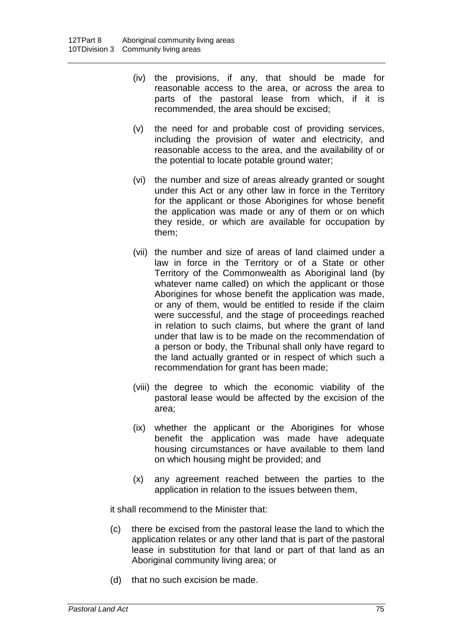- (iv) the provisions, if any, that should be made for reasonable access to the area, or across the area to parts of the pastoral lease from which, if it is recommended, the area should be excised;
- (v) the need for and probable cost of providing services, including the provision of water and electricity, and reasonable access to the area, and the availability of or the potential to locate potable ground water;
- (vi) the number and size of areas already granted or sought under this Act or any other law in force in the Territory for the applicant or those Aborigines for whose benefit the application was made or any of them or on which they reside, or which are available for occupation by them;
- (vii) the number and size of areas of land claimed under a law in force in the Territory or of a State or other Territory of the Commonwealth as Aboriginal land (by whatever name called) on which the applicant or those Aborigines for whose benefit the application was made, or any of them, would be entitled to reside if the claim were successful, and the stage of proceedings reached in relation to such claims, but where the grant of land under that law is to be made on the recommendation of a person or body, the Tribunal shall only have regard to the land actually granted or in respect of which such a recommendation for grant has been made;
- (viii) the degree to which the economic viability of the pastoral lease would be affected by the excision of the area;
- (ix) whether the applicant or the Aborigines for whose benefit the application was made have adequate housing circumstances or have available to them land on which housing might be provided; and
- (x) any agreement reached between the parties to the application in relation to the issues between them,

it shall recommend to the Minister that:

- (c) there be excised from the pastoral lease the land to which the application relates or any other land that is part of the pastoral lease in substitution for that land or part of that land as an Aboriginal community living area; or
- (d) that no such excision be made.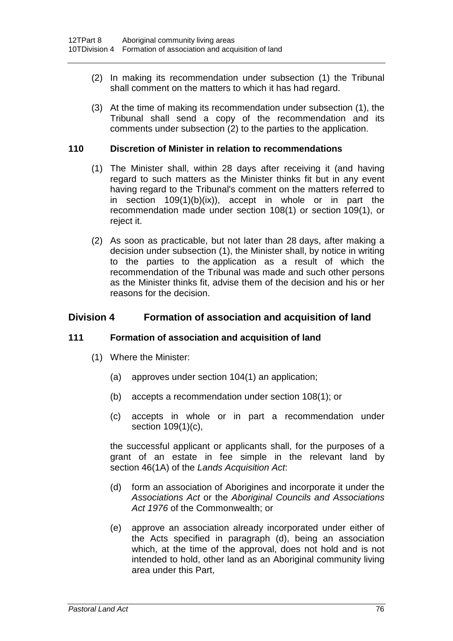- (2) In making its recommendation under subsection (1) the Tribunal shall comment on the matters to which it has had regard.
- (3) At the time of making its recommendation under subsection (1), the Tribunal shall send a copy of the recommendation and its comments under subsection (2) to the parties to the application.

# **110 Discretion of Minister in relation to recommendations**

- (1) The Minister shall, within 28 days after receiving it (and having regard to such matters as the Minister thinks fit but in any event having regard to the Tribunal's comment on the matters referred to in section 109(1)(b)(ix)), accept in whole or in part the recommendation made under section 108(1) or section 109(1), or reject it.
- (2) As soon as practicable, but not later than 28 days, after making a decision under subsection (1), the Minister shall, by notice in writing to the parties to the application as a result of which the recommendation of the Tribunal was made and such other persons as the Minister thinks fit, advise them of the decision and his or her reasons for the decision.

# **Division 4 Formation of association and acquisition of land**

# **111 Formation of association and acquisition of land**

- (1) Where the Minister:
	- (a) approves under section 104(1) an application;
	- (b) accepts a recommendation under section 108(1); or
	- (c) accepts in whole or in part a recommendation under section 109(1)(c),

the successful applicant or applicants shall, for the purposes of a grant of an estate in fee simple in the relevant land by section 46(1A) of the *Lands Acquisition Act*:

- (d) form an association of Aborigines and incorporate it under the *Associations Act* or the *Aboriginal Councils and Associations Act 1976* of the Commonwealth; or
- (e) approve an association already incorporated under either of the Acts specified in paragraph (d), being an association which, at the time of the approval, does not hold and is not intended to hold, other land as an Aboriginal community living area under this Part,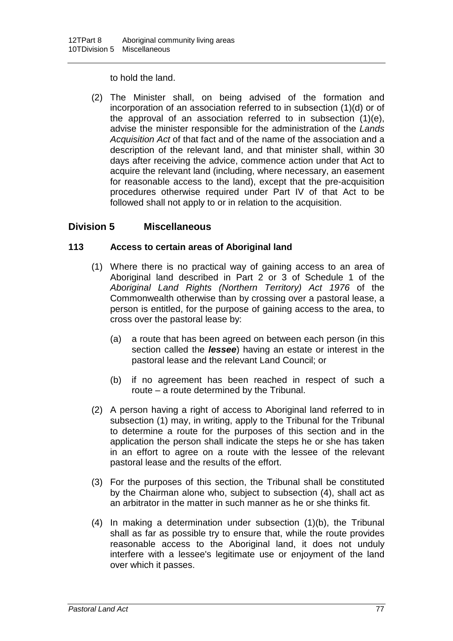to hold the land.

(2) The Minister shall, on being advised of the formation and incorporation of an association referred to in subsection (1)(d) or of the approval of an association referred to in subsection (1)(e), advise the minister responsible for the administration of the *Lands Acquisition Act* of that fact and of the name of the association and a description of the relevant land, and that minister shall, within 30 days after receiving the advice, commence action under that Act to acquire the relevant land (including, where necessary, an easement for reasonable access to the land), except that the pre-acquisition procedures otherwise required under Part IV of that Act to be followed shall not apply to or in relation to the acquisition.

# **Division 5 Miscellaneous**

# **113 Access to certain areas of Aboriginal land**

- (1) Where there is no practical way of gaining access to an area of Aboriginal land described in Part 2 or 3 of Schedule 1 of the *Aboriginal Land Rights (Northern Territory) Act 1976* of the Commonwealth otherwise than by crossing over a pastoral lease, a person is entitled, for the purpose of gaining access to the area, to cross over the pastoral lease by:
	- (a) a route that has been agreed on between each person (in this section called the *lessee*) having an estate or interest in the pastoral lease and the relevant Land Council; or
	- (b) if no agreement has been reached in respect of such a route – a route determined by the Tribunal.
- (2) A person having a right of access to Aboriginal land referred to in subsection (1) may, in writing, apply to the Tribunal for the Tribunal to determine a route for the purposes of this section and in the application the person shall indicate the steps he or she has taken in an effort to agree on a route with the lessee of the relevant pastoral lease and the results of the effort.
- (3) For the purposes of this section, the Tribunal shall be constituted by the Chairman alone who, subject to subsection (4), shall act as an arbitrator in the matter in such manner as he or she thinks fit.
- (4) In making a determination under subsection (1)(b), the Tribunal shall as far as possible try to ensure that, while the route provides reasonable access to the Aboriginal land, it does not unduly interfere with a lessee's legitimate use or enjoyment of the land over which it passes.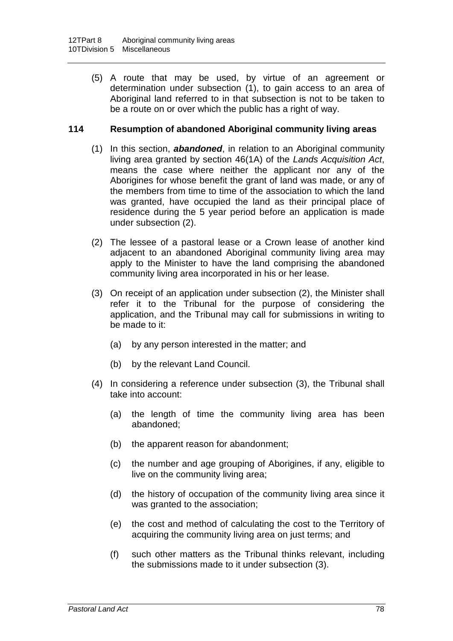(5) A route that may be used, by virtue of an agreement or determination under subsection (1), to gain access to an area of Aboriginal land referred to in that subsection is not to be taken to be a route on or over which the public has a right of way.

# **114 Resumption of abandoned Aboriginal community living areas**

- (1) In this section, *abandoned*, in relation to an Aboriginal community living area granted by section 46(1A) of the *Lands Acquisition Act*, means the case where neither the applicant nor any of the Aborigines for whose benefit the grant of land was made, or any of the members from time to time of the association to which the land was granted, have occupied the land as their principal place of residence during the 5 year period before an application is made under subsection (2).
- (2) The lessee of a pastoral lease or a Crown lease of another kind adjacent to an abandoned Aboriginal community living area may apply to the Minister to have the land comprising the abandoned community living area incorporated in his or her lease.
- (3) On receipt of an application under subsection (2), the Minister shall refer it to the Tribunal for the purpose of considering the application, and the Tribunal may call for submissions in writing to be made to it:
	- (a) by any person interested in the matter; and
	- (b) by the relevant Land Council.
- (4) In considering a reference under subsection (3), the Tribunal shall take into account:
	- (a) the length of time the community living area has been abandoned;
	- (b) the apparent reason for abandonment;
	- (c) the number and age grouping of Aborigines, if any, eligible to live on the community living area;
	- (d) the history of occupation of the community living area since it was granted to the association;
	- (e) the cost and method of calculating the cost to the Territory of acquiring the community living area on just terms; and
	- (f) such other matters as the Tribunal thinks relevant, including the submissions made to it under subsection (3).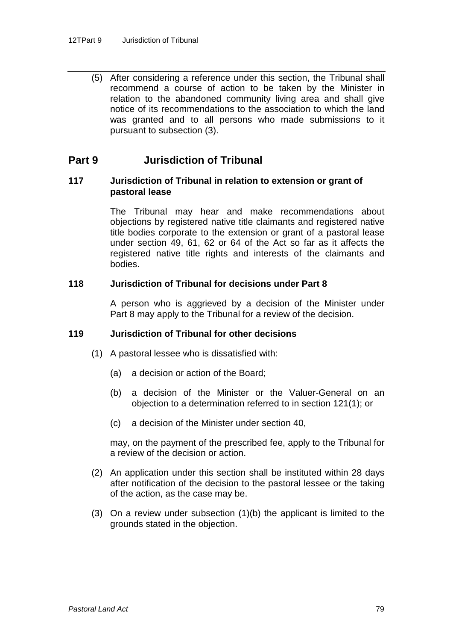(5) After considering a reference under this section, the Tribunal shall recommend a course of action to be taken by the Minister in relation to the abandoned community living area and shall give notice of its recommendations to the association to which the land was granted and to all persons who made submissions to it pursuant to subsection (3).

# **Part 9 Jurisdiction of Tribunal**

# **117 Jurisdiction of Tribunal in relation to extension or grant of pastoral lease**

The Tribunal may hear and make recommendations about objections by registered native title claimants and registered native title bodies corporate to the extension or grant of a pastoral lease under section 49, 61, 62 or 64 of the Act so far as it affects the registered native title rights and interests of the claimants and bodies.

# **118 Jurisdiction of Tribunal for decisions under Part 8**

A person who is aggrieved by a decision of the Minister under Part 8 may apply to the Tribunal for a review of the decision.

# **119 Jurisdiction of Tribunal for other decisions**

- (1) A pastoral lessee who is dissatisfied with:
	- (a) a decision or action of the Board;
	- (b) a decision of the Minister or the Valuer-General on an objection to a determination referred to in section 121(1); or
	- (c) a decision of the Minister under section 40,

may, on the payment of the prescribed fee, apply to the Tribunal for a review of the decision or action.

- (2) An application under this section shall be instituted within 28 days after notification of the decision to the pastoral lessee or the taking of the action, as the case may be.
- (3) On a review under subsection (1)(b) the applicant is limited to the grounds stated in the objection.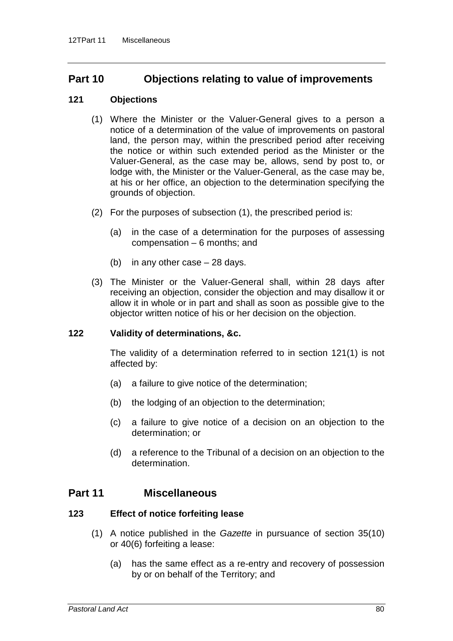# **Part 10 Objections relating to value of improvements**

## **121 Objections**

- (1) Where the Minister or the Valuer-General gives to a person a notice of a determination of the value of improvements on pastoral land, the person may, within the prescribed period after receiving the notice or within such extended period as the Minister or the Valuer-General, as the case may be, allows, send by post to, or lodge with, the Minister or the Valuer-General, as the case may be, at his or her office, an objection to the determination specifying the grounds of objection.
- (2) For the purposes of subsection (1), the prescribed period is:
	- (a) in the case of a determination for the purposes of assessing compensation – 6 months; and
	- (b) in any other case 28 days.
- (3) The Minister or the Valuer-General shall, within 28 days after receiving an objection, consider the objection and may disallow it or allow it in whole or in part and shall as soon as possible give to the objector written notice of his or her decision on the objection.

#### **122 Validity of determinations, &c.**

The validity of a determination referred to in section 121(1) is not affected by:

- (a) a failure to give notice of the determination;
- (b) the lodging of an objection to the determination;
- (c) a failure to give notice of a decision on an objection to the determination; or
- (d) a reference to the Tribunal of a decision on an objection to the determination.

# **Part 11 Miscellaneous**

#### **123 Effect of notice forfeiting lease**

- (1) A notice published in the *Gazette* in pursuance of section 35(10) or 40(6) forfeiting a lease:
	- (a) has the same effect as a re-entry and recovery of possession by or on behalf of the Territory; and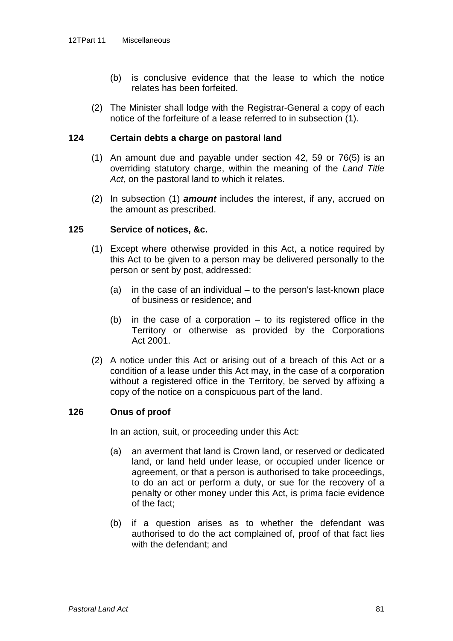- (b) is conclusive evidence that the lease to which the notice relates has been forfeited.
- (2) The Minister shall lodge with the Registrar-General a copy of each notice of the forfeiture of a lease referred to in subsection (1).

#### **124 Certain debts a charge on pastoral land**

- (1) An amount due and payable under section 42, 59 or 76(5) is an overriding statutory charge, within the meaning of the *Land Title Act*, on the pastoral land to which it relates.
- (2) In subsection (1) *amount* includes the interest, if any, accrued on the amount as prescribed.

#### **125 Service of notices, &c.**

- (1) Except where otherwise provided in this Act, a notice required by this Act to be given to a person may be delivered personally to the person or sent by post, addressed:
	- (a) in the case of an individual  $-$  to the person's last-known place of business or residence; and
	- (b) in the case of a corporation to its registered office in the Territory or otherwise as provided by the Corporations Act 2001.
- (2) A notice under this Act or arising out of a breach of this Act or a condition of a lease under this Act may, in the case of a corporation without a registered office in the Territory, be served by affixing a copy of the notice on a conspicuous part of the land.

#### **126 Onus of proof**

In an action, suit, or proceeding under this Act:

- (a) an averment that land is Crown land, or reserved or dedicated land, or land held under lease, or occupied under licence or agreement, or that a person is authorised to take proceedings, to do an act or perform a duty, or sue for the recovery of a penalty or other money under this Act, is prima facie evidence of the fact;
- (b) if a question arises as to whether the defendant was authorised to do the act complained of, proof of that fact lies with the defendant; and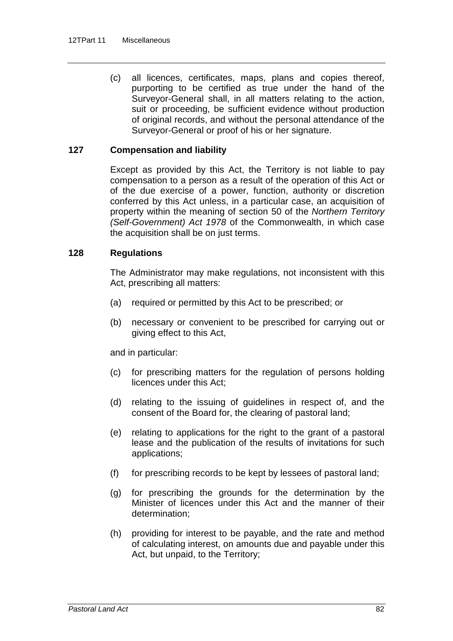(c) all licences, certificates, maps, plans and copies thereof, purporting to be certified as true under the hand of the Surveyor-General shall, in all matters relating to the action, suit or proceeding, be sufficient evidence without production of original records, and without the personal attendance of the Surveyor-General or proof of his or her signature.

## **127 Compensation and liability**

Except as provided by this Act, the Territory is not liable to pay compensation to a person as a result of the operation of this Act or of the due exercise of a power, function, authority or discretion conferred by this Act unless, in a particular case, an acquisition of property within the meaning of section 50 of the *Northern Territory (Self-Government) Act 1978* of the Commonwealth, in which case the acquisition shall be on just terms.

#### **128 Regulations**

The Administrator may make regulations, not inconsistent with this Act, prescribing all matters:

- (a) required or permitted by this Act to be prescribed; or
- (b) necessary or convenient to be prescribed for carrying out or giving effect to this Act,

and in particular:

- (c) for prescribing matters for the regulation of persons holding licences under this Act;
- (d) relating to the issuing of guidelines in respect of, and the consent of the Board for, the clearing of pastoral land;
- (e) relating to applications for the right to the grant of a pastoral lease and the publication of the results of invitations for such applications;
- (f) for prescribing records to be kept by lessees of pastoral land;
- (g) for prescribing the grounds for the determination by the Minister of licences under this Act and the manner of their determination;
- (h) providing for interest to be payable, and the rate and method of calculating interest, on amounts due and payable under this Act, but unpaid, to the Territory;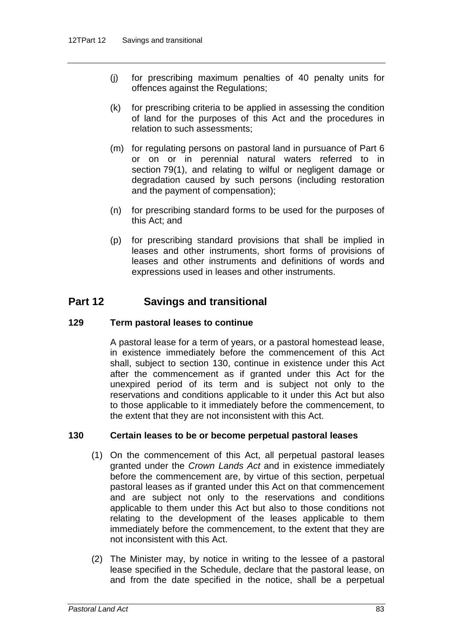- (j) for prescribing maximum penalties of 40 penalty units for offences against the Regulations;
- (k) for prescribing criteria to be applied in assessing the condition of land for the purposes of this Act and the procedures in relation to such assessments;
- (m) for regulating persons on pastoral land in pursuance of Part 6 or on or in perennial natural waters referred to in section 79(1), and relating to wilful or negligent damage or degradation caused by such persons (including restoration and the payment of compensation);
- (n) for prescribing standard forms to be used for the purposes of this Act; and
- (p) for prescribing standard provisions that shall be implied in leases and other instruments, short forms of provisions of leases and other instruments and definitions of words and expressions used in leases and other instruments.

# **Part 12 Savings and transitional**

# **129 Term pastoral leases to continue**

A pastoral lease for a term of years, or a pastoral homestead lease, in existence immediately before the commencement of this Act shall, subject to section 130, continue in existence under this Act after the commencement as if granted under this Act for the unexpired period of its term and is subject not only to the reservations and conditions applicable to it under this Act but also to those applicable to it immediately before the commencement, to the extent that they are not inconsistent with this Act.

# **130 Certain leases to be or become perpetual pastoral leases**

- (1) On the commencement of this Act, all perpetual pastoral leases granted under the *Crown Lands Act* and in existence immediately before the commencement are, by virtue of this section, perpetual pastoral leases as if granted under this Act on that commencement and are subject not only to the reservations and conditions applicable to them under this Act but also to those conditions not relating to the development of the leases applicable to them immediately before the commencement, to the extent that they are not inconsistent with this Act.
- (2) The Minister may, by notice in writing to the lessee of a pastoral lease specified in the Schedule, declare that the pastoral lease, on and from the date specified in the notice, shall be a perpetual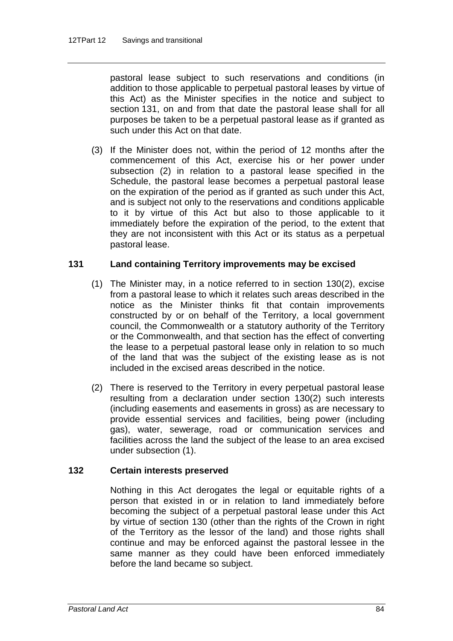pastoral lease subject to such reservations and conditions (in addition to those applicable to perpetual pastoral leases by virtue of this Act) as the Minister specifies in the notice and subject to section 131, on and from that date the pastoral lease shall for all purposes be taken to be a perpetual pastoral lease as if granted as such under this Act on that date.

(3) If the Minister does not, within the period of 12 months after the commencement of this Act, exercise his or her power under subsection (2) in relation to a pastoral lease specified in the Schedule, the pastoral lease becomes a perpetual pastoral lease on the expiration of the period as if granted as such under this Act, and is subject not only to the reservations and conditions applicable to it by virtue of this Act but also to those applicable to it immediately before the expiration of the period, to the extent that they are not inconsistent with this Act or its status as a perpetual pastoral lease.

# **131 Land containing Territory improvements may be excised**

- (1) The Minister may, in a notice referred to in section 130(2), excise from a pastoral lease to which it relates such areas described in the notice as the Minister thinks fit that contain improvements constructed by or on behalf of the Territory, a local government council, the Commonwealth or a statutory authority of the Territory or the Commonwealth, and that section has the effect of converting the lease to a perpetual pastoral lease only in relation to so much of the land that was the subject of the existing lease as is not included in the excised areas described in the notice.
- (2) There is reserved to the Territory in every perpetual pastoral lease resulting from a declaration under section 130(2) such interests (including easements and easements in gross) as are necessary to provide essential services and facilities, being power (including gas), water, sewerage, road or communication services and facilities across the land the subject of the lease to an area excised under subsection (1).

# **132 Certain interests preserved**

Nothing in this Act derogates the legal or equitable rights of a person that existed in or in relation to land immediately before becoming the subject of a perpetual pastoral lease under this Act by virtue of section 130 (other than the rights of the Crown in right of the Territory as the lessor of the land) and those rights shall continue and may be enforced against the pastoral lessee in the same manner as they could have been enforced immediately before the land became so subject.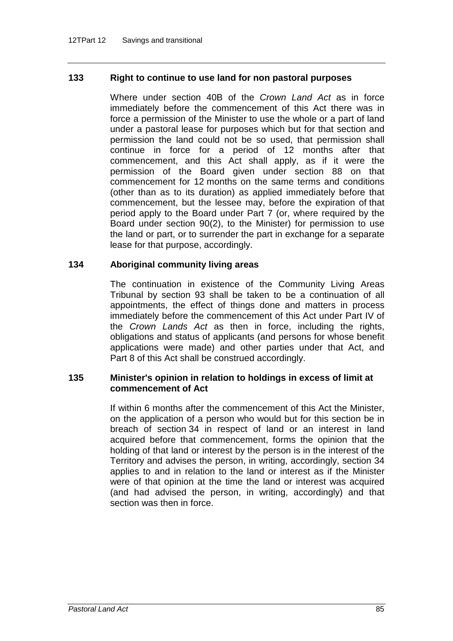#### **133 Right to continue to use land for non pastoral purposes**

Where under section 40B of the *Crown Land Act* as in force immediately before the commencement of this Act there was in force a permission of the Minister to use the whole or a part of land under a pastoral lease for purposes which but for that section and permission the land could not be so used, that permission shall continue in force for a period of 12 months after that commencement, and this Act shall apply, as if it were the permission of the Board given under section 88 on that commencement for 12 months on the same terms and conditions (other than as to its duration) as applied immediately before that commencement, but the lessee may, before the expiration of that period apply to the Board under Part 7 (or, where required by the Board under section 90(2), to the Minister) for permission to use the land or part, or to surrender the part in exchange for a separate lease for that purpose, accordingly.

## **134 Aboriginal community living areas**

The continuation in existence of the Community Living Areas Tribunal by section 93 shall be taken to be a continuation of all appointments, the effect of things done and matters in process immediately before the commencement of this Act under Part IV of the *Crown Lands Act* as then in force, including the rights, obligations and status of applicants (and persons for whose benefit applications were made) and other parties under that Act, and Part 8 of this Act shall be construed accordingly.

#### **135 Minister's opinion in relation to holdings in excess of limit at commencement of Act**

If within 6 months after the commencement of this Act the Minister, on the application of a person who would but for this section be in breach of section 34 in respect of land or an interest in land acquired before that commencement, forms the opinion that the holding of that land or interest by the person is in the interest of the Territory and advises the person, in writing, accordingly, section 34 applies to and in relation to the land or interest as if the Minister were of that opinion at the time the land or interest was acquired (and had advised the person, in writing, accordingly) and that section was then in force.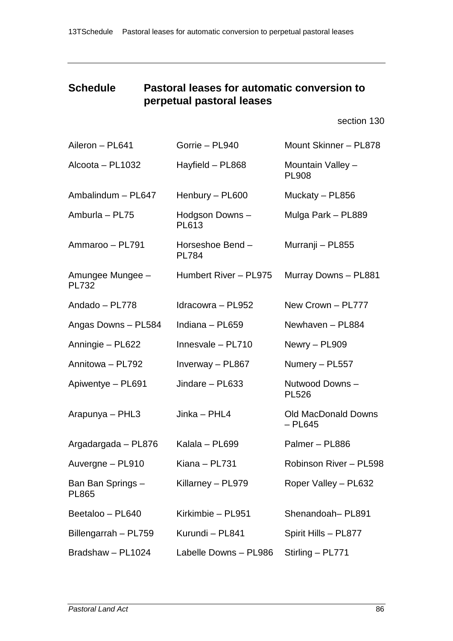# **Schedule Pastoral leases for automatic conversion to perpetual pastoral leases**

section 130

| Aileron - PL641                   | Gorrie - PL940                  | Mount Skinner - PL878                   |
|-----------------------------------|---------------------------------|-----------------------------------------|
| Alcoota - PL1032                  | Hayfield - PL868                | Mountain Valley -<br><b>PL908</b>       |
| Ambalindum - PL647                | Henbury - PL600                 | Muckaty - PL856                         |
| Amburla - PL75                    | Hodgson Downs-<br>PL613         | Mulga Park - PL889                      |
| Ammaroo - PL791                   | Horseshoe Bend-<br><b>PL784</b> | Murranji - PL855                        |
| Amungee Mungee -<br>PL732         | Humbert River - PL975           | Murray Downs - PL881                    |
| Andado - PL778                    | Idracowra - PL952               | New Crown - PL777                       |
| Angas Downs - PL584               | Indiana - PL659                 | Newhaven - PL884                        |
| Anningie - PL622                  | Innesvale - PL710               | Newry - PL909                           |
| Annitowa - PL792                  | Inverway - PL867                | Numery - PL557                          |
| Apiwentye - PL691                 | Jindare - PL633                 | Nutwood Downs-<br><b>PL526</b>          |
| Arapunya – PHL3                   | Jinka - PHL4                    | <b>Old MacDonald Downs</b><br>$-$ PL645 |
| Argadargada - PL876               | Kalala - PL699                  | Palmer - PL886                          |
| Auvergne - PL910                  | Kiana - PL731                   | Robinson River - PL598                  |
| Ban Ban Springs -<br><b>PL865</b> | Killarney - PL979               | Roper Valley - PL632                    |
| Beetaloo - PL640                  | Kirkimbie - PL951               | Shenandoah-PL891                        |
| Billengarrah - PL759              | Kurundi - PL841                 | Spirit Hills - PL877                    |
| Bradshaw - PL1024                 | Labelle Downs - PL986           | Stirling - PL771                        |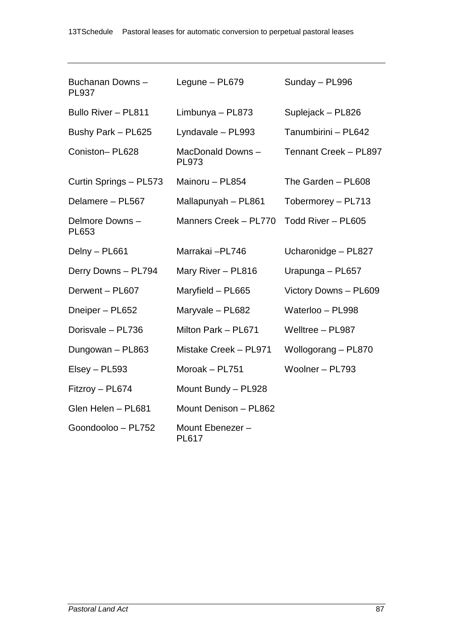| Buchanan Downs-<br><b>PL937</b> | Legune $-$ PL679                 | Sunday - PL996        |
|---------------------------------|----------------------------------|-----------------------|
| Bullo River - PL811             | Limbunya - PL873                 | Suplejack - PL826     |
| Bushy Park - PL625              | Lyndavale - PL993                | Tanumbirini - PL642   |
| Coniston-PL628                  | MacDonald Downs-<br><b>PL973</b> | Tennant Creek - PL897 |
| Curtin Springs - PL573          | Mainoru - PL854                  | The Garden - PL608    |
| Delamere - PL567                | Mallapunyah - PL861              | Tobermorey - PL713    |
| Delmore Downs-<br>PL653         | Manners Creek - PL770            | Todd River - PL605    |
| Delny - PL661                   | Marrakai - PL746                 | Ucharonidge - PL827   |
| Derry Downs - PL794             | Mary River - PL816               | Urapunga - PL657      |
| Derwent - PL607                 | Maryfield - PL665                | Victory Downs - PL609 |
| Dneiper - PL652                 | Maryvale - PL682                 | Waterloo - PL998      |
| Dorisvale - PL736               | Milton Park - PL671              | Welltree - PL987      |
| Dungowan - PL863                | Mistake Creek - PL971            | Wollogorang - PL870   |
| $E$ lsey – PL593                | Moroak - PL751                   | Woolner - PL793       |
| Fitzroy - PL674                 | Mount Bundy - PL928              |                       |
| Glen Helen - PL681              | Mount Denison - PL862            |                       |
| Goondooloo - PL752              | Mount Ebenezer-<br><b>PL617</b>  |                       |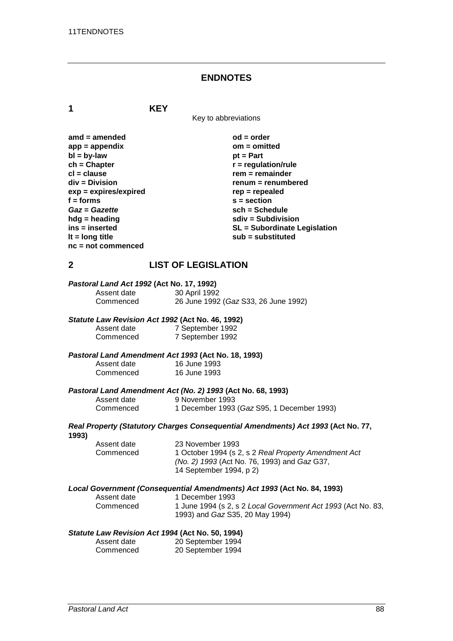### **ENDNOTES**

|  | <b>KEY</b> |
|--|------------|
|--|------------|

Key to abbreviations

| $amd = amended$         | $od = order$                        |
|-------------------------|-------------------------------------|
| $app = appendix$        | om = omitted                        |
| $bl = by-law$           | $pt = Part$                         |
| $ch = Chapter$          | $r =$ regulation/rule               |
| $cl = clause$           | $rem = remainder$                   |
| $div = Division$        | renum = renumbered                  |
| $exp = expires/expired$ | rep = repealed                      |
| $f =$ forms             | $s = section$                       |
| Gaz = Gazette           | $sch = Schedule$                    |
| $h dg =$ heading        | sdiv = Subdivision                  |
| $ins = inserted$        | <b>SL</b> = Subordinate Legislation |
| It = $long$ title       | sub = substituted                   |
| $nc = not commenced$    |                                     |

# **2 LIST OF LEGISLATION**

|       | Pastoral Land Act 1992 (Act No. 17, 1992)        |                                                                                  |
|-------|--------------------------------------------------|----------------------------------------------------------------------------------|
|       | Assent date                                      | 30 April 1992                                                                    |
|       | Commenced                                        | 26 June 1992 (Gaz S33, 26 June 1992)                                             |
|       | Statute Law Revision Act 1992 (Act No. 46, 1992) |                                                                                  |
|       | Assent date                                      | 7 September 1992                                                                 |
|       | Commenced                                        | 7 September 1992                                                                 |
|       |                                                  | Pastoral Land Amendment Act 1993 (Act No. 18, 1993)                              |
|       | Assent date                                      | 16 June 1993                                                                     |
|       | Commenced                                        | 16 June 1993                                                                     |
|       |                                                  | Pastoral Land Amendment Act (No. 2) 1993 (Act No. 68, 1993)                      |
|       | Assent date                                      | 9 November 1993                                                                  |
|       | Commenced                                        | 1 December 1993 (Gaz S95, 1 December 1993)                                       |
| 1993) |                                                  | Real Property (Statutory Charges Consequential Amendments) Act 1993 (Act No. 77, |
|       | Assent date                                      | 23 November 1993                                                                 |
|       | Commenced                                        | 1 October 1994 (s 2, s 2 Real Property Amendment Act                             |
|       |                                                  | (No. 2) 1993 (Act No. 76, 1993) and Gaz G37,                                     |
|       |                                                  | 14 September 1994, p 2)                                                          |
|       |                                                  | Local Government (Consequential Amendments) Act 1993 (Act No. 84, 1993)          |
|       | Assent date                                      | 1 December 1993                                                                  |
|       | Commenced                                        | 1 June 1994 (s 2, s 2 Local Government Act 1993 (Act No. 83,                     |
|       |                                                  | 1993) and Gaz S35, 20 May 1994)                                                  |
|       | Statute Law Revision Act 1994 (Act No. 50, 1994) |                                                                                  |

| Assent date | 20 September 1994 |
|-------------|-------------------|
| Commenced   | 20 September 1994 |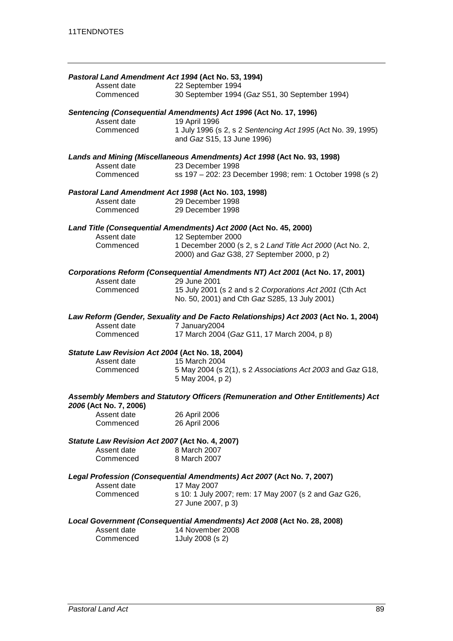|                                                      | Pastoral Land Amendment Act 1994 (Act No. 53, 1994)                                  |
|------------------------------------------------------|--------------------------------------------------------------------------------------|
| Assent date                                          | 22 September 1994                                                                    |
| Commenced                                            | 30 September 1994 (Gaz S51, 30 September 1994)                                       |
|                                                      |                                                                                      |
|                                                      | Sentencing (Consequential Amendments) Act 1996 (Act No. 17, 1996)                    |
| Assent date                                          | 19 April 1996                                                                        |
| Commenced                                            | 1 July 1996 (s 2, s 2 Sentencing Act 1995 (Act No. 39, 1995)                         |
|                                                      | and Gaz S15, 13 June 1996)                                                           |
|                                                      | Lands and Mining (Miscellaneous Amendments) Act 1998 (Act No. 93, 1998)              |
| Assent date                                          | 23 December 1998                                                                     |
| Commenced                                            | ss 197 - 202: 23 December 1998; rem: 1 October 1998 (s 2)                            |
|                                                      |                                                                                      |
| Pastoral Land Amendment Act 1998 (Act No. 103, 1998) |                                                                                      |
| Assent date                                          | 29 December 1998                                                                     |
| Commenced                                            | 29 December 1998                                                                     |
|                                                      |                                                                                      |
|                                                      | Land Title (Consequential Amendments) Act 2000 (Act No. 45, 2000)                    |
| Assent date<br>Commenced                             | 12 September 2000<br>1 December 2000 (s 2, s 2 Land Title Act 2000 (Act No. 2,       |
|                                                      | 2000) and Gaz G38, 27 September 2000, p 2)                                           |
|                                                      |                                                                                      |
|                                                      | Corporations Reform (Consequential Amendments NT) Act 2001 (Act No. 17, 2001)        |
| Assent date                                          | 29 June 2001                                                                         |
| Commenced                                            | 15 July 2001 (s 2 and s 2 Corporations Act 2001 (Cth Act                             |
|                                                      | No. 50, 2001) and Cth Gaz S285, 13 July 2001)                                        |
|                                                      |                                                                                      |
|                                                      | Law Reform (Gender, Sexuality and De Facto Relationships) Act 2003 (Act No. 1, 2004) |
| Assent date                                          | 7 January2004                                                                        |
| Commenced                                            | 17 March 2004 (Gaz G11, 17 March 2004, p 8)                                          |
| Statute Law Revision Act 2004 (Act No. 18, 2004)     |                                                                                      |
| Assent date                                          | 15 March 2004                                                                        |
| Commenced                                            |                                                                                      |
|                                                      |                                                                                      |
|                                                      | 5 May 2004 (s 2(1), s 2 Associations Act 2003 and Gaz G18,                           |
|                                                      | 5 May 2004, p 2)                                                                     |
|                                                      | Assembly Members and Statutory Officers (Remuneration and Other Entitlements) Act    |
| 2006 (Act No. 7, 2006)                               |                                                                                      |
| Assent date                                          | 26 April 2006                                                                        |
| Commenced                                            | 26 April 2006                                                                        |
|                                                      |                                                                                      |
| Statute Law Revision Act 2007 (Act No. 4, 2007)      |                                                                                      |
| Assent date                                          | 8 March 2007                                                                         |
| Commenced                                            | 8 March 2007                                                                         |
|                                                      |                                                                                      |
|                                                      | Legal Profession (Consequential Amendments) Act 2007 (Act No. 7, 2007)               |
| Assent date                                          | 17 May 2007                                                                          |
| Commenced                                            | s 10: 1 July 2007; rem: 17 May 2007 (s 2 and Gaz G26,<br>27 June 2007, p 3)          |
|                                                      |                                                                                      |
|                                                      | Local Government (Consequential Amendments) Act 2008 (Act No. 28, 2008)              |
| Assent date                                          | 14 November 2008                                                                     |
| Commenced                                            | 1 July 2008 (s 2)                                                                    |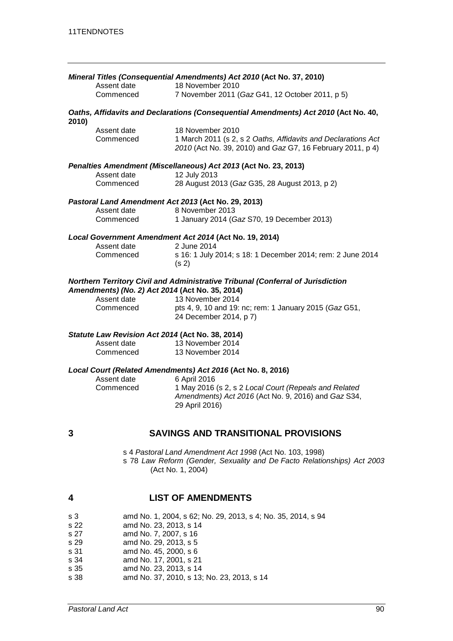|                                                                                              |                                                                             | Mineral Titles (Consequential Amendments) Act 2010 (Act No. 37, 2010)                                                                                         |  |
|----------------------------------------------------------------------------------------------|-----------------------------------------------------------------------------|---------------------------------------------------------------------------------------------------------------------------------------------------------------|--|
|                                                                                              | Assent date<br>Commenced                                                    | 18 November 2010<br>7 November 2011 (Gaz G41, 12 October 2011, p 5)                                                                                           |  |
|                                                                                              |                                                                             |                                                                                                                                                               |  |
| Oaths, Affidavits and Declarations (Consequential Amendments) Act 2010 (Act No. 40,<br>2010) |                                                                             |                                                                                                                                                               |  |
|                                                                                              | Assent date                                                                 | 18 November 2010                                                                                                                                              |  |
|                                                                                              | Commenced                                                                   | 1 March 2011 (s 2, s 2 Oaths, Affidavits and Declarations Act<br>2010 (Act No. 39, 2010) and Gaz G7, 16 February 2011, p 4)                                   |  |
|                                                                                              |                                                                             | Penalties Amendment (Miscellaneous) Act 2013 (Act No. 23, 2013)                                                                                               |  |
|                                                                                              | Assent date<br>Commenced                                                    | 12 July 2013<br>28 August 2013 (Gaz G35, 28 August 2013, p 2)                                                                                                 |  |
|                                                                                              |                                                                             | Pastoral Land Amendment Act 2013 (Act No. 29, 2013)                                                                                                           |  |
|                                                                                              | Assent date                                                                 | 8 November 2013                                                                                                                                               |  |
|                                                                                              | Commenced                                                                   | 1 January 2014 (Gaz S70, 19 December 2013)                                                                                                                    |  |
|                                                                                              | Assent date                                                                 | Local Government Amendment Act 2014 (Act No. 19, 2014)<br>2 June 2014                                                                                         |  |
|                                                                                              | Commenced                                                                   | s 16: 1 July 2014; s 18: 1 December 2014; rem: 2 June 2014<br>(s 2)                                                                                           |  |
|                                                                                              | Amendments) (No. 2) Act 2014 (Act No. 35, 2014)<br>Assent date<br>Commenced | Northern Territory Civil and Administrative Tribunal (Conferral of Jurisdiction<br>13 November 2014<br>pts 4, 9, 10 and 19: nc; rem: 1 January 2015 (Gaz G51, |  |
|                                                                                              |                                                                             | 24 December 2014, p 7)                                                                                                                                        |  |
| Statute Law Revision Act 2014 (Act No. 38, 2014)                                             |                                                                             |                                                                                                                                                               |  |
|                                                                                              | Assent date<br>Commenced                                                    | 13 November 2014<br>13 November 2014                                                                                                                          |  |
|                                                                                              |                                                                             |                                                                                                                                                               |  |
|                                                                                              | Assent date                                                                 | Local Court (Related Amendments) Act 2016 (Act No. 8, 2016)<br>6 April 2016                                                                                   |  |
|                                                                                              | Commenced                                                                   | 1 May 2016 (s 2, s 2 Local Court (Repeals and Related<br>Amendments) Act 2016 (Act No. 9, 2016) and Gaz S34,<br>29 April 2016)                                |  |
| 3                                                                                            |                                                                             | <b>SAVINGS AND TRANSITIONAL PROVISIONS</b>                                                                                                                    |  |
|                                                                                              |                                                                             | s 4 Pastoral Land Amendment Act 1998 (Act No. 103, 1998)<br>s 78 Law Reform (Gender, Sexuality and De Facto Relationships) Act 2003<br>(Act No. 1, 2004)      |  |
| 4                                                                                            |                                                                             | <b>LIST OF AMENDMENTS</b>                                                                                                                                     |  |
| s <sub>3</sub>                                                                               |                                                                             | amd No. 1, 2004, s 62; No. 29, 2013, s 4; No. 35, 2014, s 94                                                                                                  |  |

- s 22 amd No. 23, 2013, s 14<br>s 27 amd No. 7, 2007, s 16
- s 27 amd No. 7, 2007, s 16
- s 29 amd No. 29, 2013, s 5
- s 31 amd No. 45, 2000, s 6
- s 34 amd No. 17, 2001, s 21
- s 35 amd No. 23, 2013, s 14
- s 38 amd No. 37, 2010, s 13; No. 23, 2013, s 14